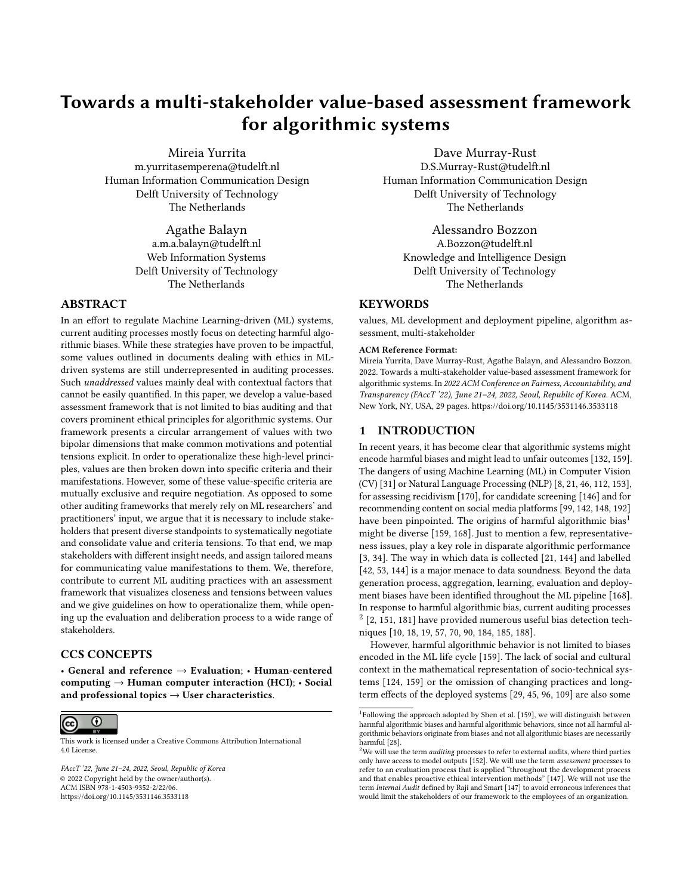# <span id="page-0-0"></span>Towards a multi-stakeholder value-based assessment framework for algorithmic systems

[Mireia Yurrita](https://orcid.org/0000-0002-9685-4873) m.yurritasemperena@tudelft.nl Human Information Communication Design Delft University of Technology The Netherlands

> [Agathe Balayn](https://orcid.org/0000-0003-2725-5305) a.m.a.balayn@tudelft.nl Web Information Systems Delft University of Technology The Netherlands

## ABSTRACT

In an effort to regulate Machine Learning-driven (ML) systems, current auditing processes mostly focus on detecting harmful algorithmic biases. While these strategies have proven to be impactful, some values outlined in documents dealing with ethics in MLdriven systems are still underrepresented in auditing processes. Such unaddressed values mainly deal with contextual factors that cannot be easily quantified. In this paper, we develop a value-based assessment framework that is not limited to bias auditing and that covers prominent ethical principles for algorithmic systems. Our framework presents a circular arrangement of values with two bipolar dimensions that make common motivations and potential tensions explicit. In order to operationalize these high-level principles, values are then broken down into specific criteria and their manifestations. However, some of these value-specific criteria are mutually exclusive and require negotiation. As opposed to some other auditing frameworks that merely rely on ML researchers' and practitioners' input, we argue that it is necessary to include stakeholders that present diverse standpoints to systematically negotiate and consolidate value and criteria tensions. To that end, we map stakeholders with different insight needs, and assign tailored means for communicating value manifestations to them. We, therefore, contribute to current ML auditing practices with an assessment framework that visualizes closeness and tensions between values and we give guidelines on how to operationalize them, while opening up the evaluation and deliberation process to a wide range of stakeholders.

# CCS CONCEPTS

• General and reference → Evaluation; • Human-centered computing  $\rightarrow$  Human computer interaction (HCI);  $\cdot$  Social and professional topics  $\rightarrow$  User characteristics.



This work is licensed under a [Creative Commons Attribution International](https://creativecommons.org/licenses/by/4.0/) [4.0 License.](https://creativecommons.org/licenses/by/4.0/)

FAccT '22, June 21–24, 2022, Seoul, Republic of Korea © 2022 Copyright held by the owner/author(s). ACM ISBN 978-1-4503-9352-2/22/06. <https://doi.org/10.1145/3531146.3533118>

[Dave Murray-Rust](https://orcid.org/0000-0001-6098-7861) D.S.Murray-Rust@tudelft.nl Human Information Communication Design Delft University of Technology The Netherlands

> [Alessandro Bozzon](https://orcid.org/0000-0002-3300-2913) A.Bozzon@tudelft.nl Knowledge and Intelligence Design Delft University of Technology The Netherlands

## **KEYWORDS**

values, ML development and deployment pipeline, algorithm assessment, multi-stakeholder

### ACM Reference Format:

Mireia Yurrita, Dave Murray-Rust, Agathe Balayn, and Alessandro Bozzon. 2022. Towards a multi-stakeholder value-based assessment framework for algorithmic systems. In 2022 ACM Conference on Fairness, Accountability, and Transparency (FAccT '22), June 21–24, 2022, Seoul, Republic of Korea. ACM, New York, NY, USA, [29](#page-28-0) pages.<https://doi.org/10.1145/3531146.3533118>

### 1 INTRODUCTION

In recent years, it has become clear that algorithmic systems might encode harmful biases and might lead to unfair outcomes [\[132,](#page-13-0) [159\]](#page-13-1). The dangers of using Machine Learning (ML) in Computer Vision (CV) [\[31\]](#page-10-0) or Natural Language Processing (NLP) [\[8,](#page-10-1) [21,](#page-10-2) [46,](#page-11-0) [112,](#page-12-0) [153\]](#page-13-2), for assessing recidivism [\[170\]](#page-13-3), for candidate screening [\[146\]](#page-13-4) and for recommending content on social media platforms [\[99,](#page-12-1) [142,](#page-13-5) [148,](#page-13-6) [192\]](#page-14-0) have been pinpointed. The origins of harmful algorithmic bias<sup>1</sup> might be diverse [\[159,](#page-13-1) [168\]](#page-13-7). Just to mention a few, representativeness issues, play a key role in disparate algorithmic performance [\[3,](#page-10-3) [34\]](#page-11-1). The way in which data is collected [\[21,](#page-10-2) [144\]](#page-13-8) and labelled [\[42,](#page-11-2) [53,](#page-11-3) [144\]](#page-13-8) is a major menace to data soundness. Beyond the data generation process, aggregation, learning, evaluation and deployment biases have been identified throughout the ML pipeline [\[168\]](#page-13-7). In response to harmful algorithmic bias, current auditing processes  $2$  [\[2,](#page-10-4) [151,](#page-13-9) [181\]](#page-14-1) have provided numerous useful bias detection techniques [\[10,](#page-10-5) [18,](#page-10-6) [19,](#page-10-7) [57,](#page-11-4) [70,](#page-11-5) [90,](#page-12-2) [184,](#page-14-2) [185,](#page-14-3) [188\]](#page-14-4).

However, harmful algorithmic behavior is not limited to biases encoded in the ML life cycle [\[159\]](#page-13-1). The lack of social and cultural context in the mathematical representation of socio-technical systems [\[124,](#page-12-3) [159\]](#page-13-1) or the omission of changing practices and longterm effects of the deployed systems [\[29,](#page-10-8) [45,](#page-11-6) [96,](#page-12-4) [109\]](#page-12-5) are also some

<sup>&</sup>lt;sup>1</sup>Following the approach adopted by Shen et al. [\[159\]](#page-13-1), we will distinguish between harmful algorithmic biases and harmful algorithmic behaviors, since not all harmful algorithmic behaviors originate from biases and not all algorithmic biases are necessarily harmful [\[28\]](#page-10-9).

 $2$ We will use the term *auditing* processes to refer to external audits, where third parties only have access to model outputs [\[152\]](#page-13-10). We will use the term assessment processes to refer to an evaluation process that is applied "throughout the development process and that enables proactive ethical intervention methods" [\[147\]](#page-13-11). We will not use the term Internal Audit defined by Raji and Smart [\[147\]](#page-13-11) to avoid erroneous inferences that would limit the stakeholders of our framework to the employees of an organization.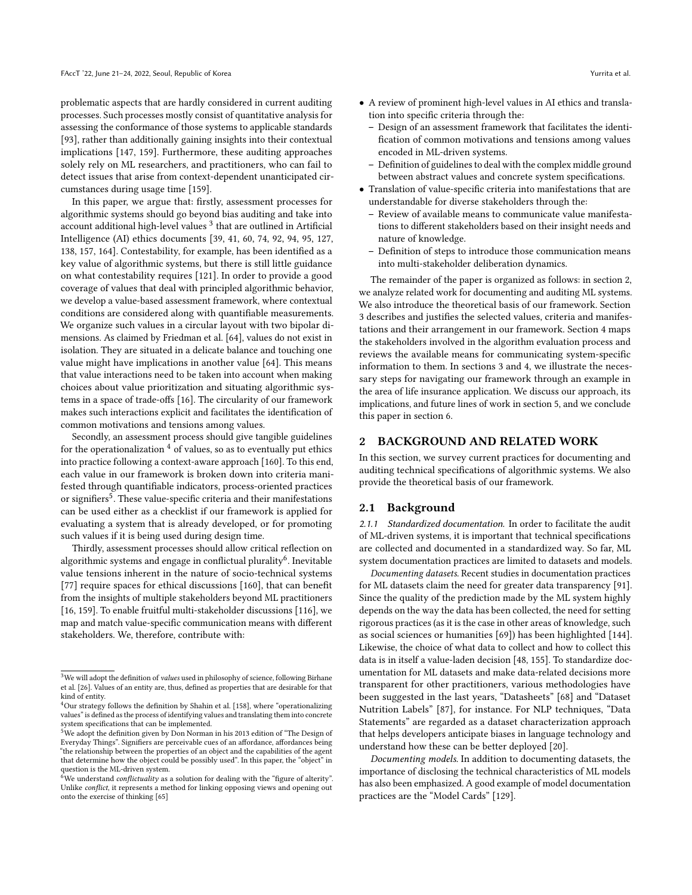problematic aspects that are hardly considered in current auditing processes. Such processes mostly consist of quantitative analysis for assessing the conformance of those systems to applicable standards [\[93\]](#page-12-6), rather than additionally gaining insights into their contextual implications [\[147,](#page-13-11) [159\]](#page-13-1). Furthermore, these auditing approaches solely rely on ML researchers, and practitioners, who can fail to detect issues that arise from context-dependent unanticipated circumstances during usage time [\[159\]](#page-13-1).

In this paper, we argue that: firstly, assessment processes for algorithmic systems should go beyond bias auditing and take into account additional high-level values  $^3$  $^3$  that are outlined in Artificial Intelligence (AI) ethics documents [\[39,](#page-11-7) [41,](#page-11-8) [60,](#page-11-9) [74,](#page-11-10) [92,](#page-12-7) [94,](#page-12-8) [95,](#page-12-9) [127,](#page-13-12) [138,](#page-13-13) [157,](#page-13-14) [164\]](#page-13-15). Contestability, for example, has been identified as a key value of algorithmic systems, but there is still little guidance on what contestability requires [\[121\]](#page-12-10). In order to provide a good coverage of values that deal with principled algorithmic behavior, we develop a value-based assessment framework, where contextual conditions are considered along with quantifiable measurements. We organize such values in a circular layout with two bipolar dimensions. As claimed by Friedman et al. [\[64\]](#page-11-11), values do not exist in isolation. They are situated in a delicate balance and touching one value might have implications in another value [\[64\]](#page-11-11). This means that value interactions need to be taken into account when making choices about value prioritization and situating algorithmic systems in a space of trade-offs [\[16\]](#page-10-10). The circularity of our framework makes such interactions explicit and facilitates the identification of common motivations and tensions among values.

Secondly, an assessment process should give tangible guidelines for the operationalization  $4$  of values, so as to eventually put ethics into practice following a context-aware approach [\[160\]](#page-13-16). To this end, each value in our framework is broken down into criteria manifested through quantifiable indicators, process-oriented practices or signifiers<sup>[5](#page-0-0)</sup>. These value-specific criteria and their manifestations can be used either as a checklist if our framework is applied for evaluating a system that is already developed, or for promoting such values if it is being used during design time.

Thirdly, assessment processes should allow critical reflection on algorithmic systems and engage in conflictual plurality $^6$  $^6$ . Inevitable value tensions inherent in the nature of socio-technical systems [\[77\]](#page-11-12) require spaces for ethical discussions [\[160\]](#page-13-16), that can benefit from the insights of multiple stakeholders beyond ML practitioners [\[16,](#page-10-10) [159\]](#page-13-1). To enable fruitful multi-stakeholder discussions [\[116\]](#page-12-11), we map and match value-specific communication means with different stakeholders. We, therefore, contribute with:

- A review of prominent high-level values in AI ethics and translation into specific criteria through the:
	- Design of an assessment framework that facilitates the identification of common motivations and tensions among values encoded in ML-driven systems.
	- Definition of guidelines to deal with the complex middle ground between abstract values and concrete system specifications.
- Translation of value-specific criteria into manifestations that are understandable for diverse stakeholders through the:
	- Review of available means to communicate value manifestations to different stakeholders based on their insight needs and nature of knowledge.
	- Definition of steps to introduce those communication means into multi-stakeholder deliberation dynamics.

The remainder of the paper is organized as follows: in section [2,](#page-1-0) we analyze related work for documenting and auditing ML systems. We also introduce the theoretical basis of our framework. Section [3](#page-3-0) describes and justifies the selected values, criteria and manifestations and their arrangement in our framework. Section [4](#page-7-0) maps the stakeholders involved in the algorithm evaluation process and reviews the available means for communicating system-specific information to them. In sections [3](#page-3-0) and [4,](#page-7-0) we illustrate the necessary steps for navigating our framework through an example in the area of life insurance application. We discuss our approach, its implications, and future lines of work in section [5,](#page-8-0) and we conclude this paper in section [6.](#page-9-0)

### <span id="page-1-0"></span>2 BACKGROUND AND RELATED WORK

In this section, we survey current practices for documenting and auditing technical specifications of algorithmic systems. We also provide the theoretical basis of our framework.

#### 2.1 Background

2.1.1 Standardized documentation. In order to facilitate the audit of ML-driven systems, it is important that technical specifications are collected and documented in a standardized way. So far, ML system documentation practices are limited to datasets and models.

Documenting datasets. Recent studies in documentation practices for ML datasets claim the need for greater data transparency [\[91\]](#page-12-12). Since the quality of the prediction made by the ML system highly depends on the way the data has been collected, the need for setting rigorous practices (as it is the case in other areas of knowledge, such as social sciences or humanities [\[69\]](#page-11-14)) has been highlighted [\[144\]](#page-13-8). Likewise, the choice of what data to collect and how to collect this data is in itself a value-laden decision [\[48,](#page-11-15) [155\]](#page-13-18). To standardize documentation for ML datasets and make data-related decisions more transparent for other practitioners, various methodologies have been suggested in the last years, "Datasheets" [\[68\]](#page-11-16) and "Dataset Nutrition Labels" [\[87\]](#page-12-13), for instance. For NLP techniques, "Data Statements" are regarded as a dataset characterization approach that helps developers anticipate biases in language technology and understand how these can be better deployed [\[20\]](#page-10-12).

Documenting models. In addition to documenting datasets, the importance of disclosing the technical characteristics of ML models has also been emphasized. A good example of model documentation practices are the "Model Cards" [\[129\]](#page-13-19).

<sup>&</sup>lt;sup>3</sup>We will adopt the definition of *values* used in philosophy of science, following Birhane et al. [\[26\]](#page-10-11). Values of an entity are, thus, defined as properties that are desirable for that kind of entity.

<sup>4</sup>Our strategy follows the definition by Shahin et al. [\[158\]](#page-13-17), where "operationalizing values" is defined as the process of identifying values and translating them into concrete

system specifications that can be implemented.<br><sup>5</sup>We adopt the definition given by Don Norman in his 2013 edition of "The Design of Everyday Things". Signifiers are perceivable cues of an affordance, affordances being "the relationship between the properties of an object and the capabilities of the agent that determine how the object could be possibly used". In this paper, the "object" in question is the ML-driven system.

 $6$ We understand *conflictuality* as a solution for dealing with the "figure of alterity". Unlike conflict, it represents a method for linking opposing views and opening out onto the exercise of thinking [\[65\]](#page-11-13)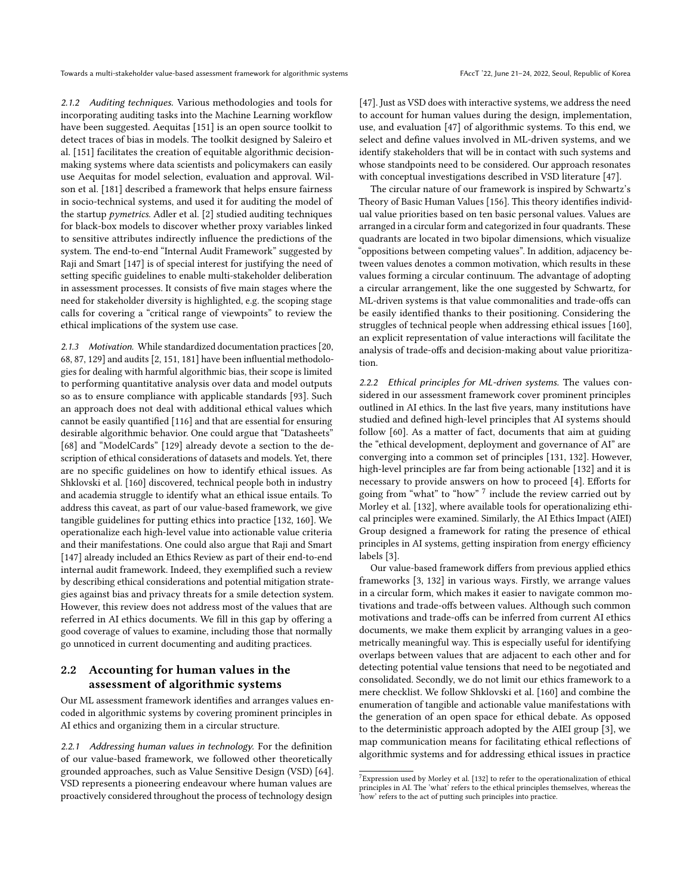2.1.2 Auditing techniques. Various methodologies and tools for incorporating auditing tasks into the Machine Learning workflow have been suggested. Aequitas [\[151\]](#page-13-9) is an open source toolkit to detect traces of bias in models. The toolkit designed by Saleiro et al. [\[151\]](#page-13-9) facilitates the creation of equitable algorithmic decisionmaking systems where data scientists and policymakers can easily use Aequitas for model selection, evaluation and approval. Wilson et al. [\[181\]](#page-14-1) described a framework that helps ensure fairness in socio-technical systems, and used it for auditing the model of the startup *pymetrics*. Adler et al.  $[2]$  studied auditing techniques for black-box models to discover whether proxy variables linked to sensitive attributes indirectly influence the predictions of the system. The end-to-end "Internal Audit Framework" suggested by Raji and Smart [\[147\]](#page-13-11) is of special interest for justifying the need of setting specific guidelines to enable multi-stakeholder deliberation in assessment processes. It consists of five main stages where the need for stakeholder diversity is highlighted, e.g. the scoping stage calls for covering a "critical range of viewpoints" to review the ethical implications of the system use case.

2.1.3 Motivation. While standardized documentation practices [\[20,](#page-10-12) [68,](#page-11-16) [87,](#page-12-13) [129\]](#page-13-19) and audits [\[2,](#page-10-4) [151,](#page-13-9) [181\]](#page-14-1) have been influential methodologies for dealing with harmful algorithmic bias, their scope is limited to performing quantitative analysis over data and model outputs so as to ensure compliance with applicable standards [\[93\]](#page-12-6). Such an approach does not deal with additional ethical values which cannot be easily quantified [\[116\]](#page-12-11) and that are essential for ensuring desirable algorithmic behavior. One could argue that "Datasheets" [\[68\]](#page-11-16) and "ModelCards" [\[129\]](#page-13-19) already devote a section to the description of ethical considerations of datasets and models. Yet, there are no specific guidelines on how to identify ethical issues. As Shklovski et al. [\[160\]](#page-13-16) discovered, technical people both in industry and academia struggle to identify what an ethical issue entails. To address this caveat, as part of our value-based framework, we give tangible guidelines for putting ethics into practice [\[132,](#page-13-0) [160\]](#page-13-16). We operationalize each high-level value into actionable value criteria and their manifestations. One could also argue that Raji and Smart [\[147\]](#page-13-11) already included an Ethics Review as part of their end-to-end internal audit framework. Indeed, they exemplified such a review by describing ethical considerations and potential mitigation strategies against bias and privacy threats for a smile detection system. However, this review does not address most of the values that are referred in AI ethics documents. We fill in this gap by offering a good coverage of values to examine, including those that normally go unnoticed in current documenting and auditing practices.

# 2.2 Accounting for human values in the assessment of algorithmic systems

Our ML assessment framework identifies and arranges values encoded in algorithmic systems by covering prominent principles in AI ethics and organizing them in a circular structure.

2.2.1 Addressing human values in technology. For the definition of our value-based framework, we followed other theoretically grounded approaches, such as Value Sensitive Design (VSD) [\[64\]](#page-11-11). VSD represents a pioneering endeavour where human values are proactively considered throughout the process of technology design

[\[47\]](#page-11-17). Just as VSD does with interactive systems, we address the need to account for human values during the design, implementation, use, and evaluation [\[47\]](#page-11-17) of algorithmic systems. To this end, we select and define values involved in ML-driven systems, and we identify stakeholders that will be in contact with such systems and whose standpoints need to be considered. Our approach resonates with conceptual investigations described in VSD literature [\[47\]](#page-11-17).

The circular nature of our framework is inspired by Schwartz's Theory of Basic Human Values [\[156\]](#page-13-20). This theory identifies individual value priorities based on ten basic personal values. Values are arranged in a circular form and categorized in four quadrants. These quadrants are located in two bipolar dimensions, which visualize "oppositions between competing values". In addition, adjacency between values denotes a common motivation, which results in these values forming a circular continuum. The advantage of adopting a circular arrangement, like the one suggested by Schwartz, for ML-driven systems is that value commonalities and trade-offs can be easily identified thanks to their positioning. Considering the struggles of technical people when addressing ethical issues [\[160\]](#page-13-16), an explicit representation of value interactions will facilitate the analysis of trade-offs and decision-making about value prioritization.

2.2.2 Ethical principles for ML-driven systems. The values considered in our assessment framework cover prominent principles outlined in AI ethics. In the last five years, many institutions have studied and defined high-level principles that AI systems should follow [\[60\]](#page-11-9). As a matter of fact, documents that aim at guiding the "ethical development, deployment and governance of AI" are converging into a common set of principles [\[131,](#page-13-21) [132\]](#page-13-0). However, high-level principles are far from being actionable [\[132\]](#page-13-0) and it is necessary to provide answers on how to proceed [\[4\]](#page-10-13). Efforts for going from "what" to "how" <sup>[7](#page-0-0)</sup> include the review carried out by Morley et al. [\[132\]](#page-13-0), where available tools for operationalizing ethical principles were examined. Similarly, the AI Ethics Impact (AIEI) Group designed a framework for rating the presence of ethical principles in AI systems, getting inspiration from energy efficiency labels [\[3\]](#page-10-3).

Our value-based framework differs from previous applied ethics frameworks [\[3,](#page-10-3) [132\]](#page-13-0) in various ways. Firstly, we arrange values in a circular form, which makes it easier to navigate common motivations and trade-offs between values. Although such common motivations and trade-offs can be inferred from current AI ethics documents, we make them explicit by arranging values in a geometrically meaningful way. This is especially useful for identifying overlaps between values that are adjacent to each other and for detecting potential value tensions that need to be negotiated and consolidated. Secondly, we do not limit our ethics framework to a mere checklist. We follow Shklovski et al. [\[160\]](#page-13-16) and combine the enumeration of tangible and actionable value manifestations with the generation of an open space for ethical debate. As opposed to the deterministic approach adopted by the AIEI group [\[3\]](#page-10-3), we map communication means for facilitating ethical reflections of algorithmic systems and for addressing ethical issues in practice

 $7$ Expression used by Morley et al. [\[132\]](#page-13-0) to refer to the operationalization of ethical principles in AI. The 'what' refers to the ethical principles themselves, whereas the 'how' refers to the act of putting such principles into practice.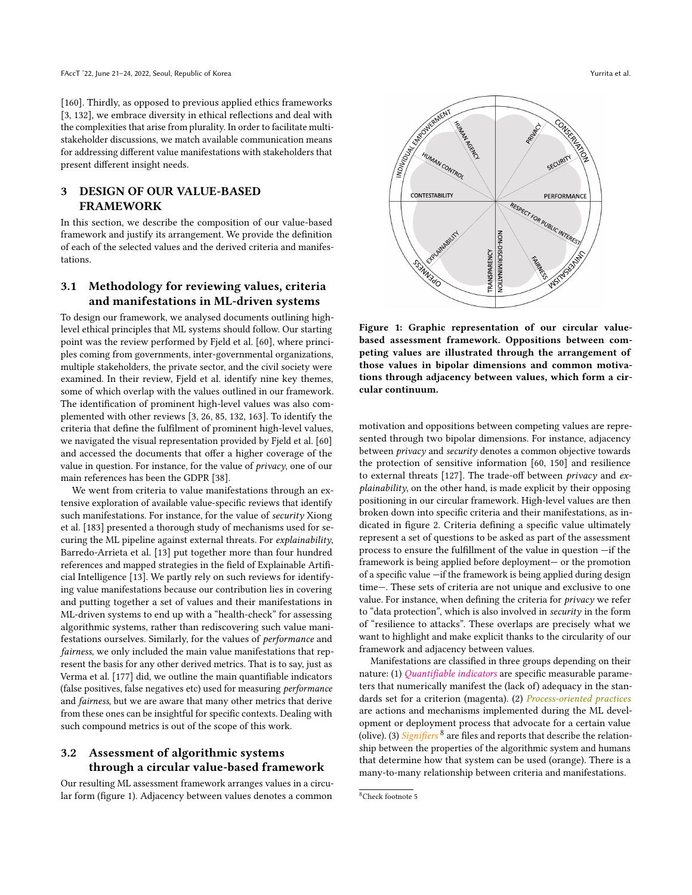[\[160\]](#page-13-16). Thirdly, as opposed to previous applied ethics frameworks [\[3,](#page-10-3) [132\]](#page-13-0), we embrace diversity in ethical reflections and deal with the complexities that arise from plurality. In order to facilitate multistakeholder discussions, we match available communication means for addressing different value manifestations with stakeholders that present different insight needs.

### <span id="page-3-0"></span>3 DESIGN OF OUR VALUE-BASED FRAMEWORK

In this section, we describe the composition of our value-based framework and justify its arrangement. We provide the definition of each of the selected values and the derived criteria and manifestations.

# 3.1 Methodology for reviewing values, criteria and manifestations in ML-driven systems

To design our framework, we analysed documents outlining highlevel ethical principles that ML systems should follow. Our starting point was the review performed by Fjeld et al. [\[60\]](#page-11-9), where principles coming from governments, inter-governmental organizations, multiple stakeholders, the private sector, and the civil society were examined. In their review, Fjeld et al. identify nine key themes, some of which overlap with the values outlined in our framework. The identification of prominent high-level values was also complemented with other reviews [\[3,](#page-10-3) [26,](#page-10-11) [85,](#page-12-14) [132,](#page-13-0) [163\]](#page-13-22). To identify the criteria that define the fulfilment of prominent high-level values, we navigated the visual representation provided by Fjeld et al. [\[60\]](#page-11-9) and accessed the documents that offer a higher coverage of the value in question. For instance, for the value of privacy, one of our main references has been the GDPR [\[38\]](#page-11-18).

We went from criteria to value manifestations through an extensive exploration of available value-specific reviews that identify such manifestations. For instance, for the value of security Xiong et al. [\[183\]](#page-14-5) presented a thorough study of mechanisms used for securing the ML pipeline against external threats. For explainability, Barredo-Arrieta et al. [\[13\]](#page-10-14) put together more than four hundred references and mapped strategies in the field of Explainable Artificial Intelligence [\[13\]](#page-10-14). We partly rely on such reviews for identifying value manifestations because our contribution lies in covering and putting together a set of values and their manifestations in ML-driven systems to end up with a "health-check" for assessing algorithmic systems, rather than rediscovering such value manifestations ourselves. Similarly, for the values of performance and fairness, we only included the main value manifestations that represent the basis for any other derived metrics. That is to say, just as Verma et al. [\[177\]](#page-14-6) did, we outline the main quantifiable indicators (false positives, false negatives etc) used for measuring performance and fairness, but we are aware that many other metrics that derive from these ones can be insightful for specific contexts. Dealing with such compound metrics is out of the scope of this work.

# <span id="page-3-2"></span>3.2 Assessment of algorithmic systems through a circular value-based framework

Our resulting ML assessment framework arranges values in a circular form (figure [1\)](#page-3-1). Adjacency between values denotes a common

<span id="page-3-1"></span>

Figure 1: Graphic representation of our circular valuebased assessment framework. Oppositions between competing values are illustrated through the arrangement of those values in bipolar dimensions and common motivations through adjacency between values, which form a circular continuum.

motivation and oppositions between competing values are represented through two bipolar dimensions. For instance, adjacency between privacy and security denotes a common objective towards the protection of sensitive information [\[60,](#page-11-9) [150\]](#page-13-23) and resilience to external threats [\[127\]](#page-13-12). The trade-off between privacy and explainability, on the other hand, is made explicit by their opposing positioning in our circular framework. High-level values are then broken down into specific criteria and their manifestations, as indicated in figure [2.](#page-5-0) Criteria defining a specific value ultimately represent a set of questions to be asked as part of the assessment process to ensure the fulfillment of the value in question —if the framework is being applied before deployment— or the promotion of a specific value —if the framework is being applied during design time—. These sets of criteria are not unique and exclusive to one value. For instance, when defining the criteria for privacy we refer to "data protection", which is also involved in security in the form of "resilience to attacks". These overlaps are precisely what we want to highlight and make explicit thanks to the circularity of our framework and adjacency between values.

Manifestations are classified in three groups depending on their nature: (1) *Quantifiable indicators* are specific measurable parameters that numerically manifest the (lack of) adequacy in the standards set for a criterion (magenta). (2) Process-oriented practices are actions and mechanisms implemented during the ML development or deployment process that advocate for a certain value (olive). (3)  $Signifiers$ <sup>[8](#page-0-0)</sup> are files and reports that describe the relationship between the properties of the algorithmic system and humans that determine how that system can be used (orange). There is a many-to-many relationship between criteria and manifestations.

<sup>8</sup>Check footnote 5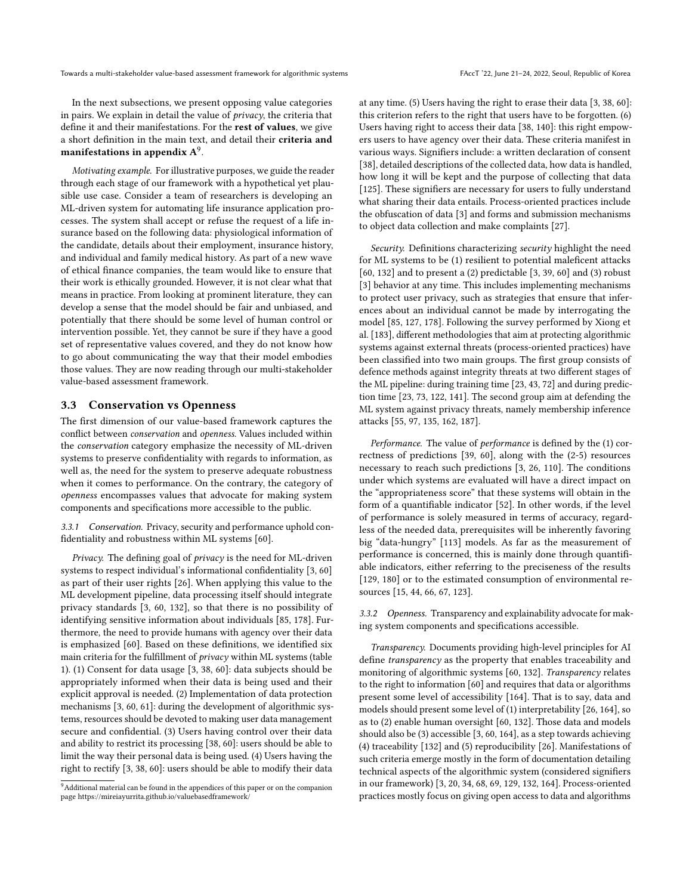In the next subsections, we present opposing value categories in pairs. We explain in detail the value of privacy, the criteria that define it and their manifestations. For the rest of values, we give a short definition in the main text, and detail their criteria and manifestations in appendix  $\mathrm{A}^{9}.$  $\mathrm{A}^{9}.$  $\mathrm{A}^{9}.$ 

Motivating example. For illustrative purposes, we guide the reader through each stage of our framework with a hypothetical yet plausible use case. Consider a team of researchers is developing an ML-driven system for automating life insurance application processes. The system shall accept or refuse the request of a life insurance based on the following data: physiological information of the candidate, details about their employment, insurance history, and individual and family medical history. As part of a new wave of ethical finance companies, the team would like to ensure that their work is ethically grounded. However, it is not clear what that means in practice. From looking at prominent literature, they can develop a sense that the model should be fair and unbiased, and potentially that there should be some level of human control or intervention possible. Yet, they cannot be sure if they have a good set of representative values covered, and they do not know how to go about communicating the way that their model embodies those values. They are now reading through our multi-stakeholder value-based assessment framework.

### 3.3 Conservation vs Openness

The first dimension of our value-based framework captures the conflict between conservation and openness. Values included within the conservation category emphasize the necessity of ML-driven systems to preserve confidentiality with regards to information, as well as, the need for the system to preserve adequate robustness when it comes to performance. On the contrary, the category of openness encompasses values that advocate for making system components and specifications more accessible to the public.

3.3.1 Conservation. Privacy, security and performance uphold confidentiality and robustness within ML systems [\[60\]](#page-11-9).

Privacy. The defining goal of privacy is the need for ML-driven systems to respect individual's informational confidentiality [\[3,](#page-10-3) [60\]](#page-11-9) as part of their user rights [\[26\]](#page-10-11). When applying this value to the ML development pipeline, data processing itself should integrate privacy standards [\[3,](#page-10-3) [60,](#page-11-9) [132\]](#page-13-0), so that there is no possibility of identifying sensitive information about individuals [\[85,](#page-12-14) [178\]](#page-14-7). Furthermore, the need to provide humans with agency over their data is emphasized [\[60\]](#page-11-9). Based on these definitions, we identified six main criteria for the fulfillment of privacy within ML systems (table [1\)](#page-5-1). (1) Consent for data usage [\[3,](#page-10-3) [38,](#page-11-18) [60\]](#page-11-9): data subjects should be appropriately informed when their data is being used and their explicit approval is needed. (2) Implementation of data protection mechanisms [\[3,](#page-10-3) [60,](#page-11-9) [61\]](#page-11-19): during the development of algorithmic systems, resources should be devoted to making user data management secure and confidential. (3) Users having control over their data and ability to restrict its processing [\[38,](#page-11-18) [60\]](#page-11-9): users should be able to limit the way their personal data is being used. (4) Users having the right to rectify [\[3,](#page-10-3) [38,](#page-11-18) [60\]](#page-11-9): users should be able to modify their data

at any time. (5) Users having the right to erase their data [\[3,](#page-10-3) [38,](#page-11-18) [60\]](#page-11-9): this criterion refers to the right that users have to be forgotten. (6) Users having right to access their data [\[38,](#page-11-18) [140\]](#page-13-24): this right empowers users to have agency over their data. These criteria manifest in various ways. Signifiers include: a written declaration of consent [\[38\]](#page-11-18), detailed descriptions of the collected data, how data is handled, how long it will be kept and the purpose of collecting that data [\[125\]](#page-13-25). These signifiers are necessary for users to fully understand what sharing their data entails. Process-oriented practices include the obfuscation of data [\[3\]](#page-10-3) and forms and submission mechanisms to object data collection and make complaints [\[27\]](#page-10-15).

Security. Definitions characterizing security highlight the need for ML systems to be (1) resilient to potential maleficent attacks [\[60,](#page-11-9) [132\]](#page-13-0) and to present a (2) predictable [\[3,](#page-10-3) [39,](#page-11-7) [60\]](#page-11-9) and (3) robust [\[3\]](#page-10-3) behavior at any time. This includes implementing mechanisms to protect user privacy, such as strategies that ensure that inferences about an individual cannot be made by interrogating the model [\[85,](#page-12-14) [127,](#page-13-12) [178\]](#page-14-7). Following the survey performed by Xiong et al. [\[183\]](#page-14-5), different methodologies that aim at protecting algorithmic systems against external threats (process-oriented practices) have been classified into two main groups. The first group consists of defence methods against integrity threats at two different stages of the ML pipeline: during training time [\[23,](#page-10-16) [43,](#page-11-20) [72\]](#page-11-21) and during prediction time [\[23,](#page-10-16) [73,](#page-11-22) [122,](#page-12-15) [141\]](#page-13-26). The second group aim at defending the ML system against privacy threats, namely membership inference attacks [\[55,](#page-11-23) [97,](#page-12-16) [135,](#page-13-27) [162,](#page-13-28) [187\]](#page-14-8).

Performance. The value of performance is defined by the (1) correctness of predictions [\[39,](#page-11-7) [60\]](#page-11-9), along with the (2-5) resources necessary to reach such predictions [\[3,](#page-10-3) [26,](#page-10-11) [110\]](#page-12-17). The conditions under which systems are evaluated will have a direct impact on the "appropriateness score" that these systems will obtain in the form of a quantifiable indicator [\[52\]](#page-11-24). In other words, if the level of performance is solely measured in terms of accuracy, regardless of the needed data, prerequisites will be inherently favoring big "data-hungry" [\[113\]](#page-12-18) models. As far as the measurement of performance is concerned, this is mainly done through quantifiable indicators, either referring to the preciseness of the results [\[129,](#page-13-19) [180\]](#page-14-9) or to the estimated consumption of environmental resources [\[15,](#page-10-17) [44,](#page-11-25) [66,](#page-11-26) [67,](#page-11-27) [123\]](#page-12-19).

3.3.2 Openness. Transparency and explainability advocate for making system components and specifications accessible.

Transparency. Documents providing high-level principles for AI define transparency as the property that enables traceability and monitoring of algorithmic systems [\[60,](#page-11-9) [132\]](#page-13-0). Transparency relates to the right to information [\[60\]](#page-11-9) and requires that data or algorithms present some level of accessibility [\[164\]](#page-13-15). That is to say, data and models should present some level of (1) interpretability [\[26,](#page-10-11) [164\]](#page-13-15), so as to (2) enable human oversight [\[60,](#page-11-9) [132\]](#page-13-0). Those data and models should also be (3) accessible [\[3,](#page-10-3) [60,](#page-11-9) [164\]](#page-13-15), as a step towards achieving (4) traceability [\[132\]](#page-13-0) and (5) reproducibility [\[26\]](#page-10-11). Manifestations of such criteria emerge mostly in the form of documentation detailing technical aspects of the algorithmic system (considered signifiers in our framework) [\[3,](#page-10-3) [20,](#page-10-12) [34,](#page-11-1) [68,](#page-11-16) [69,](#page-11-14) [129,](#page-13-19) [132,](#page-13-0) [164\]](#page-13-15). Process-oriented practices mostly focus on giving open access to data and algorithms

<sup>&</sup>lt;sup>9</sup>Additional material can be found in the appendices of this paper or on the companion page<https://mireiayurrita.github.io/valuebasedframework/>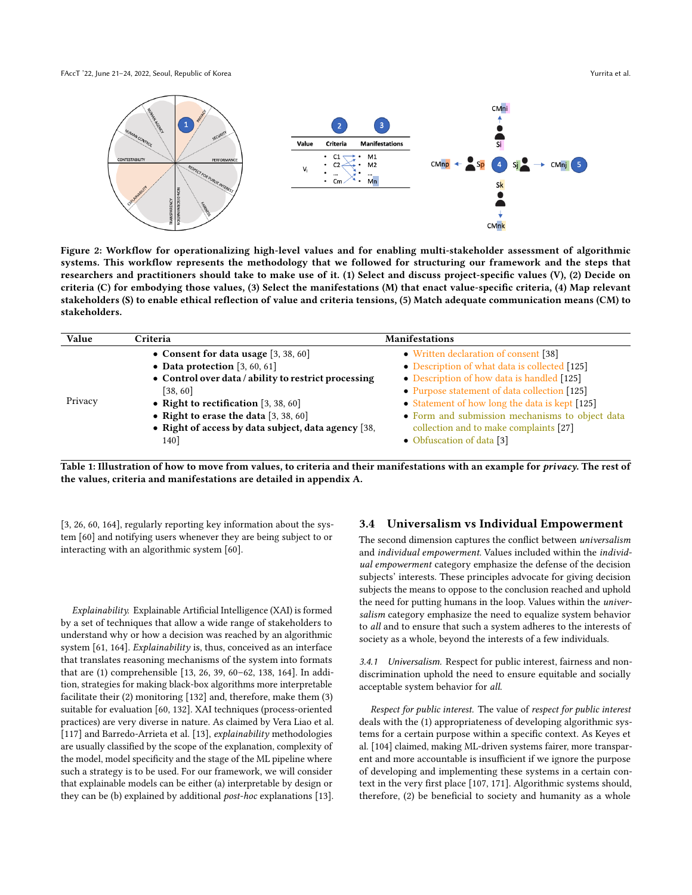<span id="page-5-0"></span>FAccT '22, June 21–24, 2022, Seoul, Republic of Korea Yurrita et al. And the Second Second Second Second Second Second Second Second Second Second Second Second Second Second Second Second Second Second Second Second Secon



Figure 2: Workflow for operationalizing high-level values and for enabling multi-stakeholder assessment of algorithmic systems. This workflow represents the methodology that we followed for structuring our framework and the steps that researchers and practitioners should take to make use of it. (1) Select and discuss project-specific values (V), (2) Decide on criteria (C) for embodying those values, (3) Select the manifestations (M) that enact value-specific criteria, (4) Map relevant stakeholders (S) to enable ethical reflection of value and criteria tensions, (5) Match adequate communication means (CM) to stakeholders.

<span id="page-5-1"></span>

| Value   | Criteria                                             | <b>Manifestations</b>                           |
|---------|------------------------------------------------------|-------------------------------------------------|
|         | • Consent for data usage $[3, 38, 60]$               | • Written declaration of consent [38]           |
|         | • Data protection $[3, 60, 61]$                      | • Description of what data is collected [125]   |
|         | • Control over data / ability to restrict processing | • Description of how data is handled [125]      |
|         | [38, 60]                                             | • Purpose statement of data collection [125]    |
| Privacy | • Right to rectification $[3, 38, 60]$               | • Statement of how long the data is kept [125]  |
|         | • Right to erase the data $[3, 38, 60]$              | • Form and submission mechanisms to object data |
|         | • Right of access by data subject, data agency [38,  | collection and to make complaints [27]          |
|         | 140]                                                 | • Obfuscation of data [3]                       |

Table 1: Illustration of how to move from values, to criteria and their manifestations with an example for privacy. The rest of the values, criteria and manifestations are detailed in appendix [A.](#page-15-0)

[\[3,](#page-10-3) [26,](#page-10-11) [60,](#page-11-9) [164\]](#page-13-15), regularly reporting key information about the system [\[60\]](#page-11-9) and notifying users whenever they are being subject to or interacting with an algorithmic system [\[60\]](#page-11-9).

Explainability. Explainable Artificial Intelligence (XAI) is formed by a set of techniques that allow a wide range of stakeholders to understand why or how a decision was reached by an algorithmic system [\[61,](#page-11-19) [164\]](#page-13-15). Explainability is, thus, conceived as an interface that translates reasoning mechanisms of the system into formats that are (1) comprehensible [\[13,](#page-10-14) [26,](#page-10-11) [39,](#page-11-7) [60](#page-11-9)[–62,](#page-11-28) [138,](#page-13-13) [164\]](#page-13-15). In addition, strategies for making black-box algorithms more interpretable facilitate their (2) monitoring [\[132\]](#page-13-0) and, therefore, make them (3) suitable for evaluation [\[60,](#page-11-9) [132\]](#page-13-0). XAI techniques (process-oriented practices) are very diverse in nature. As claimed by Vera Liao et al. [\[117\]](#page-12-20) and Barredo-Arrieta et al. [\[13\]](#page-10-14), explainability methodologies are usually classified by the scope of the explanation, complexity of the model, model specificity and the stage of the ML pipeline where such a strategy is to be used. For our framework, we will consider that explainable models can be either (a) interpretable by design or they can be (b) explained by additional post-hoc explanations [\[13\]](#page-10-14).

#### 3.4 Universalism vs Individual Empowerment

The second dimension captures the conflict between universalism and individual empowerment. Values included within the individual empowerment category emphasize the defense of the decision subjects' interests. These principles advocate for giving decision subjects the means to oppose to the conclusion reached and uphold the need for putting humans in the loop. Values within the universalism category emphasize the need to equalize system behavior to all and to ensure that such a system adheres to the interests of society as a whole, beyond the interests of a few individuals.

3.4.1 Universalism. Respect for public interest, fairness and nondiscrimination uphold the need to ensure equitable and socially acceptable system behavior for all.

Respect for public interest. The value of respect for public interest deals with the (1) appropriateness of developing algorithmic systems for a certain purpose within a specific context. As Keyes et al. [\[104\]](#page-12-21) claimed, making ML-driven systems fairer, more transparent and more accountable is insufficient if we ignore the purpose of developing and implementing these systems in a certain context in the very first place [\[107,](#page-12-22) [171\]](#page-13-29). Algorithmic systems should, therefore, (2) be beneficial to society and humanity as a whole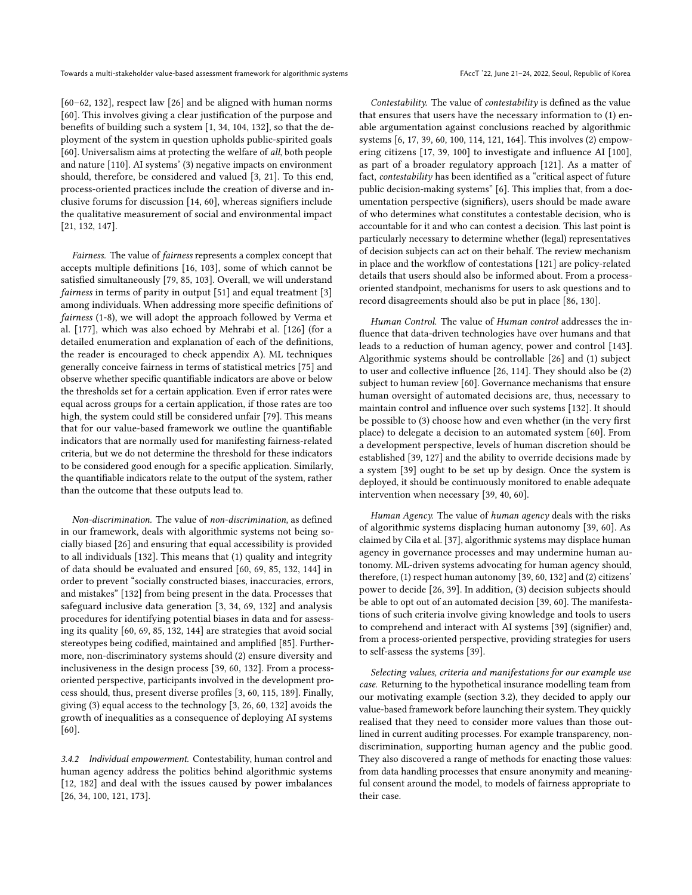[\[60](#page-11-9)[–62,](#page-11-28) [132\]](#page-13-0), respect law [\[26\]](#page-10-11) and be aligned with human norms [\[60\]](#page-11-9). This involves giving a clear justification of the purpose and benefits of building such a system [\[1,](#page-10-18) [34,](#page-11-1) [104,](#page-12-21) [132\]](#page-13-0), so that the deployment of the system in question upholds public-spirited goals [\[60\]](#page-11-9). Universalism aims at protecting the welfare of all, both people and nature [\[110\]](#page-12-17). AI systems' (3) negative impacts on environment should, therefore, be considered and valued [\[3,](#page-10-3) [21\]](#page-10-2). To this end, process-oriented practices include the creation of diverse and inclusive forums for discussion [\[14,](#page-10-19) [60\]](#page-11-9), whereas signifiers include the qualitative measurement of social and environmental impact [\[21,](#page-10-2) [132,](#page-13-0) [147\]](#page-13-11).

Fairness. The value of fairness represents a complex concept that accepts multiple definitions [\[16,](#page-10-10) [103\]](#page-12-23), some of which cannot be satisfied simultaneously [\[79,](#page-12-24) [85,](#page-12-14) [103\]](#page-12-23). Overall, we will understand fairness in terms of parity in output [\[51\]](#page-11-29) and equal treatment [\[3\]](#page-10-3) among individuals. When addressing more specific definitions of fairness (1-8), we will adopt the approach followed by Verma et al. [\[177\]](#page-14-6), which was also echoed by Mehrabi et al. [\[126\]](#page-13-30) (for a detailed enumeration and explanation of each of the definitions, the reader is encouraged to check appendix [A\)](#page-15-0). ML techniques generally conceive fairness in terms of statistical metrics [\[75\]](#page-11-30) and observe whether specific quantifiable indicators are above or below the thresholds set for a certain application. Even if error rates were equal across groups for a certain application, if those rates are too high, the system could still be considered unfair [\[79\]](#page-12-24). This means that for our value-based framework we outline the quantifiable indicators that are normally used for manifesting fairness-related criteria, but we do not determine the threshold for these indicators to be considered good enough for a specific application. Similarly, the quantifiable indicators relate to the output of the system, rather than the outcome that these outputs lead to.

Non-discrimination. The value of non-discrimination, as defined in our framework, deals with algorithmic systems not being socially biased [\[26\]](#page-10-11) and ensuring that equal accessibility is provided to all individuals [\[132\]](#page-13-0). This means that (1) quality and integrity of data should be evaluated and ensured [\[60,](#page-11-9) [69,](#page-11-14) [85,](#page-12-14) [132,](#page-13-0) [144\]](#page-13-8) in order to prevent "socially constructed biases, inaccuracies, errors, and mistakes" [\[132\]](#page-13-0) from being present in the data. Processes that safeguard inclusive data generation [\[3,](#page-10-3) [34,](#page-11-1) [69,](#page-11-14) [132\]](#page-13-0) and analysis procedures for identifying potential biases in data and for assessing its quality [\[60,](#page-11-9) [69,](#page-11-14) [85,](#page-12-14) [132,](#page-13-0) [144\]](#page-13-8) are strategies that avoid social stereotypes being codified, maintained and amplified [\[85\]](#page-12-14). Furthermore, non-discriminatory systems should (2) ensure diversity and inclusiveness in the design process [\[39,](#page-11-7) [60,](#page-11-9) [132\]](#page-13-0). From a processoriented perspective, participants involved in the development process should, thus, present diverse profiles [\[3,](#page-10-3) [60,](#page-11-9) [115,](#page-12-25) [189\]](#page-14-10). Finally, giving (3) equal access to the technology [\[3,](#page-10-3) [26,](#page-10-11) [60,](#page-11-9) [132\]](#page-13-0) avoids the growth of inequalities as a consequence of deploying AI systems [\[60\]](#page-11-9).

3.4.2 Individual empowerment. Contestability, human control and human agency address the politics behind algorithmic systems [\[12,](#page-10-20) [182\]](#page-14-11) and deal with the issues caused by power imbalances [\[26,](#page-10-11) [34,](#page-11-1) [100,](#page-12-26) [121,](#page-12-10) [173\]](#page-14-12).

Contestability. The value of contestability is defined as the value that ensures that users have the necessary information to (1) enable argumentation against conclusions reached by algorithmic systems [\[6,](#page-10-21) [17,](#page-10-22) [39,](#page-11-7) [60,](#page-11-9) [100,](#page-12-26) [114,](#page-12-27) [121,](#page-12-10) [164\]](#page-13-15). This involves (2) empowering citizens [\[17,](#page-10-22) [39,](#page-11-7) [100\]](#page-12-26) to investigate and influence AI [\[100\]](#page-12-26), as part of a broader regulatory approach [\[121\]](#page-12-10). As a matter of fact, contestability has been identified as a "critical aspect of future public decision-making systems" [\[6\]](#page-10-21). This implies that, from a documentation perspective (signifiers), users should be made aware of who determines what constitutes a contestable decision, who is accountable for it and who can contest a decision. This last point is particularly necessary to determine whether (legal) representatives of decision subjects can act on their behalf. The review mechanism in place and the workflow of contestations [\[121\]](#page-12-10) are policy-related details that users should also be informed about. From a processoriented standpoint, mechanisms for users to ask questions and to record disagreements should also be put in place [\[86,](#page-12-28) [130\]](#page-13-31).

Human Control. The value of Human control addresses the influence that data-driven technologies have over humans and that leads to a reduction of human agency, power and control [\[143\]](#page-13-32). Algorithmic systems should be controllable [\[26\]](#page-10-11) and (1) subject to user and collective influence [\[26,](#page-10-11) [114\]](#page-12-27). They should also be (2) subject to human review [\[60\]](#page-11-9). Governance mechanisms that ensure human oversight of automated decisions are, thus, necessary to maintain control and influence over such systems [\[132\]](#page-13-0). It should be possible to (3) choose how and even whether (in the very first place) to delegate a decision to an automated system [\[60\]](#page-11-9). From a development perspective, levels of human discretion should be established [\[39,](#page-11-7) [127\]](#page-13-12) and the ability to override decisions made by a system [\[39\]](#page-11-7) ought to be set up by design. Once the system is deployed, it should be continuously monitored to enable adequate intervention when necessary [\[39,](#page-11-7) [40,](#page-11-31) [60\]](#page-11-9).

Human Agency. The value of human agency deals with the risks of algorithmic systems displacing human autonomy [\[39,](#page-11-7) [60\]](#page-11-9). As claimed by Cila et al. [\[37\]](#page-11-32), algorithmic systems may displace human agency in governance processes and may undermine human autonomy. ML-driven systems advocating for human agency should, therefore, (1) respect human autonomy [\[39,](#page-11-7) [60,](#page-11-9) [132\]](#page-13-0) and (2) citizens' power to decide [\[26,](#page-10-11) [39\]](#page-11-7). In addition, (3) decision subjects should be able to opt out of an automated decision [\[39,](#page-11-7) [60\]](#page-11-9). The manifestations of such criteria involve giving knowledge and tools to users to comprehend and interact with AI systems [\[39\]](#page-11-7) (signifier) and, from a process-oriented perspective, providing strategies for users to self-assess the systems [\[39\]](#page-11-7).

Selecting values, criteria and manifestations for our example use case. Returning to the hypothetical insurance modelling team from our motivating example (section [3.2\)](#page-3-2), they decided to apply our value-based framework before launching their system. They quickly realised that they need to consider more values than those outlined in current auditing processes. For example transparency, nondiscrimination, supporting human agency and the public good. They also discovered a range of methods for enacting those values: from data handling processes that ensure anonymity and meaningful consent around the model, to models of fairness appropriate to their case.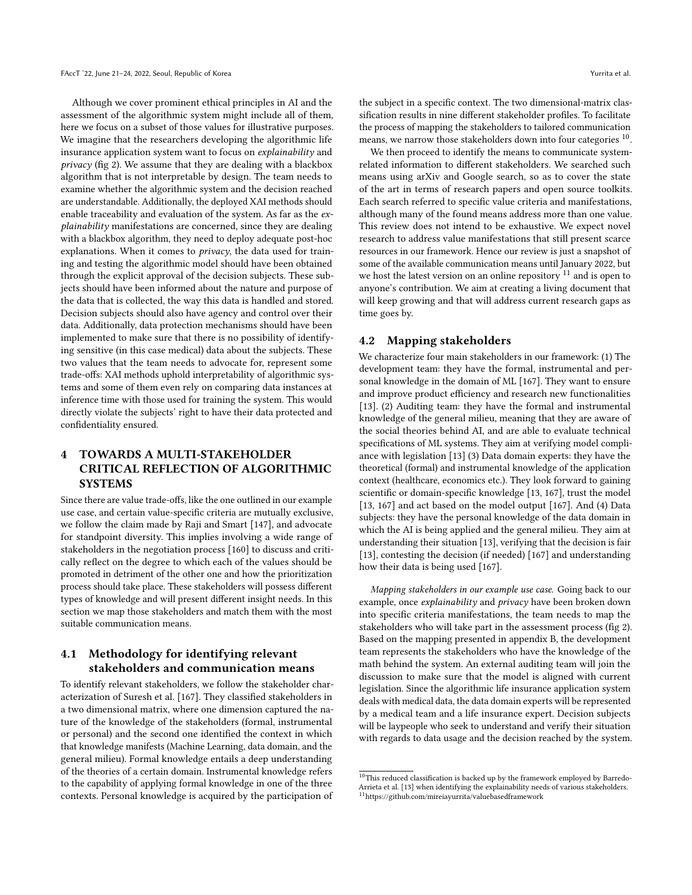Although we cover prominent ethical principles in AI and the assessment of the algorithmic system might include all of them, here we focus on a subset of those values for illustrative purposes. We imagine that the researchers developing the algorithmic life insurance application system want to focus on explainability and privacy (fig [2\)](#page-5-0). We assume that they are dealing with a blackbox algorithm that is not interpretable by design. The team needs to examine whether the algorithmic system and the decision reached are understandable. Additionally, the deployed XAI methods should enable traceability and evaluation of the system. As far as the ex $plainability$  manifestations are concerned, since they are dealing with a blackbox algorithm, they need to deploy adequate post-hoc explanations. When it comes to privacy, the data used for training and testing the algorithmic model should have been obtained through the explicit approval of the decision subjects. These subjects should have been informed about the nature and purpose of the data that is collected, the way this data is handled and stored. Decision subjects should also have agency and control over their data. Additionally, data protection mechanisms should have been implemented to make sure that there is no possibility of identifying sensitive (in this case medical) data about the subjects. These two values that the team needs to advocate for, represent some trade-offs: XAI methods uphold interpretability of algorithmic systems and some of them even rely on comparing data instances at inference time with those used for training the system. This would directly violate the subjects' right to have their data protected and confidentiality ensured.

# <span id="page-7-0"></span>4 TOWARDS A MULTI-STAKEHOLDER CRITICAL REFLECTION OF ALGORITHMIC **SYSTEMS**

Since there are value trade-offs, like the one outlined in our example use case, and certain value-specific criteria are mutually exclusive, we follow the claim made by Raji and Smart [\[147\]](#page-13-11), and advocate for standpoint diversity. This implies involving a wide range of stakeholders in the negotiation process [\[160\]](#page-13-16) to discuss and critically reflect on the degree to which each of the values should be promoted in detriment of the other one and how the prioritization process should take place. These stakeholders will possess different types of knowledge and will present different insight needs. In this section we map those stakeholders and match them with the most suitable communication means.

# <span id="page-7-1"></span>4.1 Methodology for identifying relevant stakeholders and communication means

To identify relevant stakeholders, we follow the stakeholder characterization of Suresh et al. [\[167\]](#page-13-33). They classified stakeholders in a two dimensional matrix, where one dimension captured the nature of the knowledge of the stakeholders (formal, instrumental or personal) and the second one identified the context in which that knowledge manifests (Machine Learning, data domain, and the general milieu). Formal knowledge entails a deep understanding of the theories of a certain domain. Instrumental knowledge refers to the capability of applying formal knowledge in one of the three contexts. Personal knowledge is acquired by the participation of

the subject in a specific context. The two dimensional-matrix classification results in nine different stakeholder profiles. To facilitate the process of mapping the stakeholders to tailored communication means, we narrow those stakeholders down into four categories  $^{10}$  $^{10}$  $^{10}$ .

We then proceed to identify the means to communicate systemrelated information to different stakeholders. We searched such means using arXiv and Google search, so as to cover the state of the art in terms of research papers and open source toolkits. Each search referred to specific value criteria and manifestations, although many of the found means address more than one value. This review does not intend to be exhaustive. We expect novel research to address value manifestations that still present scarce resources in our framework. Hence our review is just a snapshot of some of the available communication means until January 2022, but we host the latest version on an online repository  $11$  and is open to anyone's contribution. We aim at creating a living document that will keep growing and that will address current research gaps as time goes by.

### 4.2 Mapping stakeholders

We characterize four main stakeholders in our framework: (1) The development team: they have the formal, instrumental and personal knowledge in the domain of ML [\[167\]](#page-13-33). They want to ensure and improve product efficiency and research new functionalities [\[13\]](#page-10-14). (2) Auditing team: they have the formal and instrumental knowledge of the general milieu, meaning that they are aware of the social theories behind AI, and are able to evaluate technical specifications of ML systems. They aim at verifying model compliance with legislation [\[13\]](#page-10-14) (3) Data domain experts: they have the theoretical (formal) and instrumental knowledge of the application context (healthcare, economics etc.). They look forward to gaining scientific or domain-specific knowledge [\[13,](#page-10-14) [167\]](#page-13-33), trust the model [\[13,](#page-10-14) [167\]](#page-13-33) and act based on the model output [\[167\]](#page-13-33). And (4) Data subjects: they have the personal knowledge of the data domain in which the AI is being applied and the general milieu. They aim at understanding their situation [\[13\]](#page-10-14), verifying that the decision is fair [\[13\]](#page-10-14), contesting the decision (if needed) [\[167\]](#page-13-33) and understanding how their data is being used [\[167\]](#page-13-33).

Mapping stakeholders in our example use case. Going back to our example, once explainability and privacy have been broken down into specific criteria manifestations, the team needs to map the stakeholders who will take part in the assessment process (fig [2\)](#page-5-0). Based on the mapping presented in appendix [B,](#page-18-0) the development team represents the stakeholders who have the knowledge of the math behind the system. An external auditing team will join the discussion to make sure that the model is aligned with current legislation. Since the algorithmic life insurance application system deals with medical data, the data domain experts will be represented by a medical team and a life insurance expert. Decision subjects will be laypeople who seek to understand and verify their situation with regards to data usage and the decision reached by the system.

 $10$ This reduced classification is backed up by the framework employed by Barredo-Arrieta et al. [\[13\]](#page-10-14) when identifying the explainability needs of various stakeholders. <sup>11</sup><https://github.com/mireiayurrita/valuebasedframework>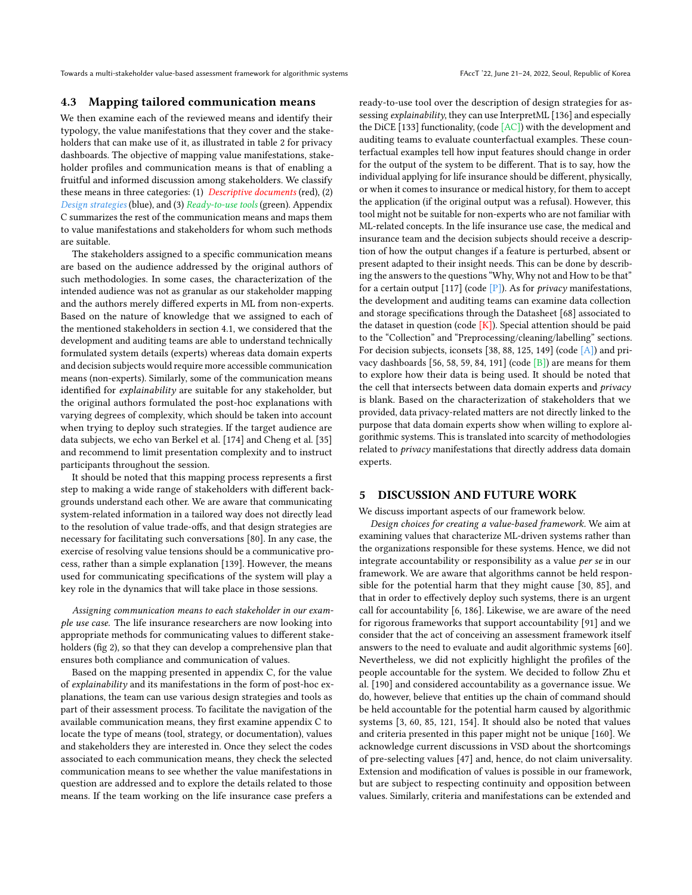### 4.3 Mapping tailored communication means

We then examine each of the reviewed means and identify their typology, the value manifestations that they cover and the stakeholders that can make use of it, as illustrated in table [2](#page-9-1) for privacy dashboards. The objective of mapping value manifestations, stakeholder profiles and communication means is that of enabling a fruitful and informed discussion among stakeholders. We classify these means in three categories: (1) Descriptive documents (red), (2) Design strategies (blue), and (3) Ready-to-use tools (green). Appendix [C](#page-19-0) summarizes the rest of the communication means and maps them to value manifestations and stakeholders for whom such methods are suitable.

The stakeholders assigned to a specific communication means are based on the audience addressed by the original authors of such methodologies. In some cases, the characterization of the intended audience was not as granular as our stakeholder mapping and the authors merely differed experts in ML from non-experts. Based on the nature of knowledge that we assigned to each of the mentioned stakeholders in section [4.1,](#page-7-1) we considered that the development and auditing teams are able to understand technically formulated system details (experts) whereas data domain experts and decision subjects would require more accessible communication means (non-experts). Similarly, some of the communication means identified for explainability are suitable for any stakeholder, but the original authors formulated the post-hoc explanations with varying degrees of complexity, which should be taken into account when trying to deploy such strategies. If the target audience are data subjects, we echo van Berkel et al. [\[174\]](#page-14-13) and Cheng et al. [\[35\]](#page-11-33) and recommend to limit presentation complexity and to instruct participants throughout the session.

It should be noted that this mapping process represents a first step to making a wide range of stakeholders with different backgrounds understand each other. We are aware that communicating system-related information in a tailored way does not directly lead to the resolution of value trade-offs, and that design strategies are necessary for facilitating such conversations [\[80\]](#page-12-29). In any case, the exercise of resolving value tensions should be a communicative process, rather than a simple explanation [\[139\]](#page-13-34). However, the means used for communicating specifications of the system will play a key role in the dynamics that will take place in those sessions.

Assigning communication means to each stakeholder in our example use case. The life insurance researchers are now looking into appropriate methods for communicating values to different stakeholders (fig [2\)](#page-5-0), so that they can develop a comprehensive plan that ensures both compliance and communication of values.

Based on the mapping presented in appendix [C,](#page-19-0) for the value of explainability and its manifestations in the form of post-hoc explanations, the team can use various design strategies and tools as part of their assessment process. To facilitate the navigation of the available communication means, they first examine appendix [C](#page-19-0) to locate the type of means (tool, strategy, or documentation), values and stakeholders they are interested in. Once they select the codes associated to each communication means, they check the selected communication means to see whether the value manifestations in question are addressed and to explore the details related to those means. If the team working on the life insurance case prefers a

ready-to-use tool over the description of design strategies for assessing explainability, they can use InterpretML [\[136\]](#page-13-35) and especially the DiCE [\[133\]](#page-13-36) functionality, (code [AC]) with the development and auditing teams to evaluate counterfactual examples. These counterfactual examples tell how input features should change in order for the output of the system to be different. That is to say, how the individual applying for life insurance should be different, physically, or when it comes to insurance or medical history, for them to accept the application (if the original output was a refusal). However, this tool might not be suitable for non-experts who are not familiar with ML-related concepts. In the life insurance use case, the medical and insurance team and the decision subjects should receive a description of how the output changes if a feature is perturbed, absent or present adapted to their insight needs. This can be done by describing the answers to the questions "Why, Why not and How to be that" for a certain output  $[117]$  (code  $[P]$ ). As for *privacy* manifestations, the development and auditing teams can examine data collection and storage specifications through the Datasheet [\[68\]](#page-11-16) associated to the dataset in question (code  $[K]$ ). Special attention should be paid to the "Collection" and "Preprocessing/cleaning/labelling" sections. For decision subjects, iconsets [\[38,](#page-11-18) [88,](#page-12-30) [125,](#page-13-25) [149\]](#page-13-37) (code [A]) and privacy dashboards [\[56,](#page-11-34) [58,](#page-11-35) [59,](#page-11-36) [84,](#page-12-31) [191\]](#page-14-14) (code [B]) are means for them to explore how their data is being used. It should be noted that the cell that intersects between data domain experts and privacy is blank. Based on the characterization of stakeholders that we provided, data privacy-related matters are not directly linked to the purpose that data domain experts show when willing to explore algorithmic systems. This is translated into scarcity of methodologies related to privacy manifestations that directly address data domain experts.

### <span id="page-8-0"></span>5 DISCUSSION AND FUTURE WORK

We discuss important aspects of our framework below.

Design choices for creating a value-based framework. We aim at examining values that characterize ML-driven systems rather than the organizations responsible for these systems. Hence, we did not integrate accountability or responsibility as a value per se in our framework. We are aware that algorithms cannot be held responsible for the potential harm that they might cause [\[30,](#page-10-23) [85\]](#page-12-14), and that in order to effectively deploy such systems, there is an urgent call for accountability [\[6,](#page-10-21) [186\]](#page-14-15). Likewise, we are aware of the need for rigorous frameworks that support accountability [\[91\]](#page-12-12) and we consider that the act of conceiving an assessment framework itself answers to the need to evaluate and audit algorithmic systems [\[60\]](#page-11-9). Nevertheless, we did not explicitly highlight the profiles of the people accountable for the system. We decided to follow Zhu et al. [\[190\]](#page-14-16) and considered accountability as a governance issue. We do, however, believe that entities up the chain of command should be held accountable for the potential harm caused by algorithmic systems [\[3,](#page-10-3) [60,](#page-11-9) [85,](#page-12-14) [121,](#page-12-10) [154\]](#page-13-38). It should also be noted that values and criteria presented in this paper might not be unique [\[160\]](#page-13-16). We acknowledge current discussions in VSD about the shortcomings of pre-selecting values [\[47\]](#page-11-17) and, hence, do not claim universality. Extension and modification of values is possible in our framework, but are subject to respecting continuity and opposition between values. Similarly, criteria and manifestations can be extended and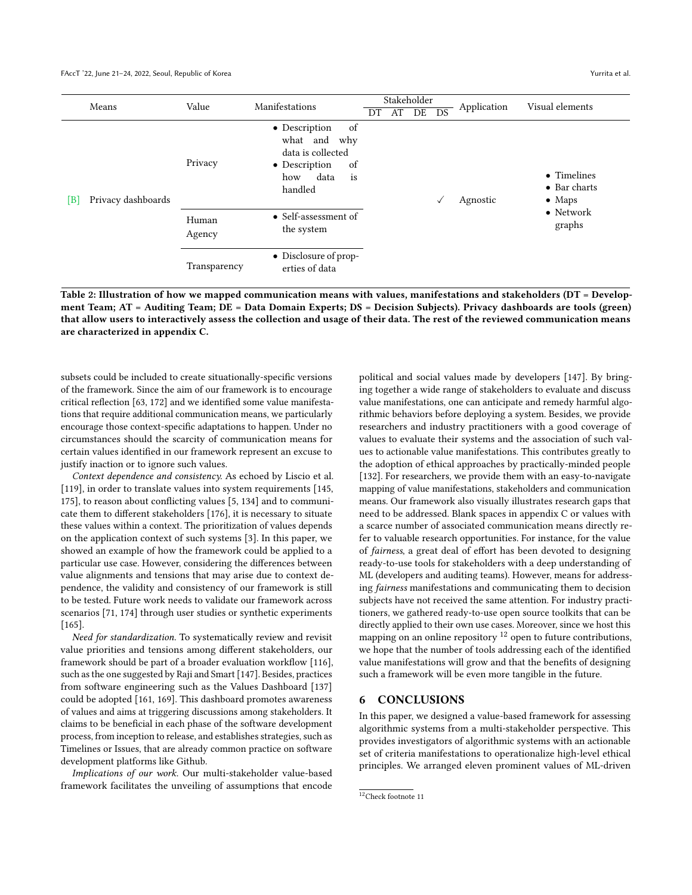<span id="page-9-1"></span>

|     | Means              | Value           | Manifestations                                                                                                  |     | Stakeholder |    |              | Application | Visual elements                               |
|-----|--------------------|-----------------|-----------------------------------------------------------------------------------------------------------------|-----|-------------|----|--------------|-------------|-----------------------------------------------|
|     |                    |                 |                                                                                                                 | DT. | AT          | DE | DS           |             |                                               |
| [B] | Privacy dashboards | Privacy         | of<br>• Description<br>what and why<br>data is collected<br>of<br>• Description<br>data<br>is<br>how<br>handled |     |             |    | $\checkmark$ | Agnostic    | • Timelines<br>• Bar charts<br>$\bullet$ Maps |
|     |                    | Human<br>Agency | • Self-assessment of<br>the system                                                                              |     |             |    |              |             | $\bullet$ Network<br>graphs                   |
|     |                    | Transparency    | • Disclosure of prop-<br>erties of data                                                                         |     |             |    |              |             |                                               |

Table 2: Illustration of how we mapped communication means with values, manifestations and stakeholders (DT = Development Team; AT = Auditing Team; DE = Data Domain Experts; DS = Decision Subjects). Privacy dashboards are tools (green) that allow users to interactively assess the collection and usage of their data. The rest of the reviewed communication means are characterized in appendix [C.](#page-19-0)

subsets could be included to create situationally-specific versions of the framework. Since the aim of our framework is to encourage critical reflection [\[63,](#page-11-37) [172\]](#page-14-17) and we identified some value manifestations that require additional communication means, we particularly encourage those context-specific adaptations to happen. Under no circumstances should the scarcity of communication means for certain values identified in our framework represent an excuse to justify inaction or to ignore such values.

Context dependence and consistency. As echoed by Liscio et al. [\[119\]](#page-12-32), in order to translate values into system requirements [\[145,](#page-13-39) [175\]](#page-14-18), to reason about conflicting values [\[5,](#page-10-24) [134\]](#page-13-40) and to communicate them to different stakeholders [\[176\]](#page-14-19), it is necessary to situate these values within a context. The prioritization of values depends on the application context of such systems [\[3\]](#page-10-3). In this paper, we showed an example of how the framework could be applied to a particular use case. However, considering the differences between value alignments and tensions that may arise due to context dependence, the validity and consistency of our framework is still to be tested. Future work needs to validate our framework across scenarios [\[71,](#page-11-38) [174\]](#page-14-13) through user studies or synthetic experiments [\[165\]](#page-13-41).

Need for standardization. To systematically review and revisit value priorities and tensions among different stakeholders, our framework should be part of a broader evaluation workflow [\[116\]](#page-12-11), such as the one suggested by Raji and Smart [\[147\]](#page-13-11). Besides, practices from software engineering such as the Values Dashboard [\[137\]](#page-13-42) could be adopted [\[161,](#page-13-43) [169\]](#page-13-44). This dashboard promotes awareness of values and aims at triggering discussions among stakeholders. It claims to be beneficial in each phase of the software development process, from inception to release, and establishes strategies, such as Timelines or Issues, that are already common practice on software development platforms like Github.

Implications of our work. Our multi-stakeholder value-based framework facilitates the unveiling of assumptions that encode

political and social values made by developers [\[147\]](#page-13-11). By bringing together a wide range of stakeholders to evaluate and discuss value manifestations, one can anticipate and remedy harmful algorithmic behaviors before deploying a system. Besides, we provide researchers and industry practitioners with a good coverage of values to evaluate their systems and the association of such values to actionable value manifestations. This contributes greatly to the adoption of ethical approaches by practically-minded people [\[132\]](#page-13-0). For researchers, we provide them with an easy-to-navigate mapping of value manifestations, stakeholders and communication means. Our framework also visually illustrates research gaps that need to be addressed. Blank spaces in appendix [C](#page-19-0) or values with a scarce number of associated communication means directly refer to valuable research opportunities. For instance, for the value of fairness, a great deal of effort has been devoted to designing ready-to-use tools for stakeholders with a deep understanding of ML (developers and auditing teams). However, means for addressing fairness manifestations and communicating them to decision subjects have not received the same attention. For industry practitioners, we gathered ready-to-use open source toolkits that can be directly applied to their own use cases. Moreover, since we host this mapping on an online repository <sup>[12](#page-0-0)</sup> open to future contributions, we hope that the number of tools addressing each of the identified value manifestations will grow and that the benefits of designing such a framework will be even more tangible in the future.

### <span id="page-9-0"></span>6 CONCLUSIONS

In this paper, we designed a value-based framework for assessing algorithmic systems from a multi-stakeholder perspective. This provides investigators of algorithmic systems with an actionable set of criteria manifestations to operationalize high-level ethical principles. We arranged eleven prominent values of ML-driven

<sup>12</sup>Check footnote 11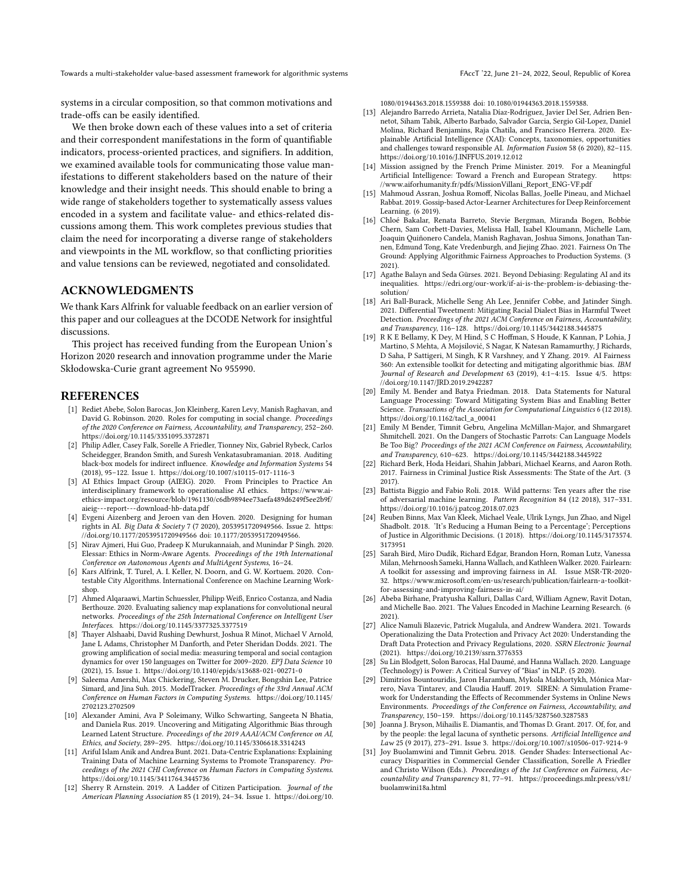systems in a circular composition, so that common motivations and trade-offs can be easily identified.

We then broke down each of these values into a set of criteria and their correspondent manifestations in the form of quantifiable indicators, process-oriented practices, and signifiers. In addition, we examined available tools for communicating those value manifestations to different stakeholders based on the nature of their knowledge and their insight needs. This should enable to bring a wide range of stakeholders together to systematically assess values encoded in a system and facilitate value- and ethics-related discussions among them. This work completes previous studies that claim the need for incorporating a diverse range of stakeholders and viewpoints in the ML workflow, so that conflicting priorities and value tensions can be reviewed, negotiated and consolidated.

### ACKNOWLEDGMENTS

We thank Kars Alfrink for valuable feedback on an earlier version of this paper and our colleagues at the DCODE Network for insightful discussions.

This project has received funding from the European Union's Horizon 2020 research and innovation programme under the Marie Skłodowska-Curie grant agreement No 955990.

### REFERENCES

- <span id="page-10-18"></span>[1] Rediet Abebe, Solon Barocas, Jon Kleinberg, Karen Levy, Manish Raghavan, and David G. Robinson. 2020. Roles for computing in social change. Proceedings of the 2020 Conference on Fairness, Accountability, and Transparency, 252–260. <https://doi.org/10.1145/3351095.3372871>
- <span id="page-10-4"></span>[2] Philip Adler, Casey Falk, Sorelle A Friedler, Tionney Nix, Gabriel Rybeck, Carlos Scheidegger, Brandon Smith, and Suresh Venkatasubramanian. 2018. Auditing black-box models for indirect influence. Knowledge and Information Systems 54
- <span id="page-10-3"></span>(2018), 95–122. Issue 1.<https://doi.org/10.1007/s10115-017-1116-3> [3] AI Ethics Impact Group (AIEIG). 2020. From Principles to Practice An interdisciplinary framework to operationalise AI ethics. [https://www.ai](https://www.ai-ethics-impact.org/resource/blob/1961130/c6db9894ee73aefa489d6249f5ee2b9f/aieig---report---download-hb-data.pdf)[ethics-impact.org/resource/blob/1961130/c6db9894ee73aefa489d6249f5ee2b9f/](https://www.ai-ethics-impact.org/resource/blob/1961130/c6db9894ee73aefa489d6249f5ee2b9f/aieig---report---download-hb-data.pdf) [aieig---report---download-hb-data.pdf](https://www.ai-ethics-impact.org/resource/blob/1961130/c6db9894ee73aefa489d6249f5ee2b9f/aieig---report---download-hb-data.pdf)
- <span id="page-10-13"></span>[4] Evgeni Aizenberg and Jeroen van den Hoven. 2020. Designing for human rights in AI. Big Data & Society 7 (7 2020), 2053951720949566. Issue 2. [https:](https://doi.org/10.1177/2053951720949566) [//doi.org/10.1177/2053951720949566](https://doi.org/10.1177/2053951720949566) doi: 10.1177/2053951720949566.
- <span id="page-10-24"></span>[5] Nirav Ajmeri, Hui Guo, Pradeep K Murukannaiah, and Munindar P Singh. 2020. Elessar: Ethics in Norm-Aware Agents. Proceedings of the 19th International Conference on Autonomous Agents and MultiAgent Systems, 16–24.
- <span id="page-10-21"></span>[6] Kars Alfrink, T. Turel, A. I. Keller, N. Doorn, and G. W. Kortuem. 2020. Contestable City Algorithms. International Conference on Machine Learning Workshop.
- <span id="page-10-30"></span>[7] Ahmed Alqaraawi, Martin Schuessler, Philipp Weiß, Enrico Costanza, and Nadia Berthouze. 2020. Evaluating saliency map explanations for convolutional neural networks. Proceedings of the 25th International Conference on Intelligent User Interfaces.<https://doi.org/10.1145/3377325.3377519>
- <span id="page-10-1"></span>[8] Thayer Alshaabi, David Rushing Dewhurst, Joshua R Minot, Michael V Arnold, Jane L Adams, Christopher M Danforth, and Peter Sheridan Dodds. 2021. The growing amplification of social media: measuring temporal and social contagion dynamics for over 150 languages on Twitter for 2009–2020. EPJ Data Science 10 (2021), 15. Issue 1.<https://doi.org/10.1140/epjds/s13688-021-00271-0>
- <span id="page-10-27"></span>Saleema Amershi, Max Chickering, Steven M. Drucker, Bongshin Lee, Patrice Simard, and Jina Suh. 2015. ModelTracker. Proceedings of the 33rd Annual ACM Conference on Human Factors in Computing Systems. [https://doi.org/10.1145/](https://doi.org/10.1145/2702123.2702509) [2702123.2702509](https://doi.org/10.1145/2702123.2702509)
- <span id="page-10-5"></span>[10] Alexander Amini, Ava P Soleimany, Wilko Schwarting, Sangeeta N Bhatia, and Daniela Rus. 2019. Uncovering and Mitigating Algorithmic Bias through Learned Latent Structure. Proceedings of the 2019 AAAI/ACM Conference on AI, Ethics, and Society, 289–295.<https://doi.org/10.1145/3306618.3314243>
- <span id="page-10-28"></span>[11] Ariful Islam Anik and Andrea Bunt. 2021. Data-Centric Explanations: Explaining Training Data of Machine Learning Systems to Promote Transparency. Proceedings of the 2021 CHI Conference on Human Factors in Computing Systems. <https://doi.org/10.1145/3411764.3445736>
- <span id="page-10-20"></span>[12] Sherry R Arnstein. 2019. A Ladder of Citizen Participation. Journal of the American Planning Association 85 (1 2019), 24–34. Issue 1. [https://doi.org/10.](https://doi.org/10.1080/01944363.2018.1559388)

[1080/01944363.2018.1559388](https://doi.org/10.1080/01944363.2018.1559388) doi: 10.1080/01944363.2018.1559388.

- <span id="page-10-14"></span>[13] Alejandro Barredo Arrieta, Natalia Díaz-Rodríguez, Javier Del Ser, Adrien Bennetot, Siham Tabik, Alberto Barbado, Salvador Garcia, Sergio Gil-Lopez, Daniel Molina, Richard Benjamins, Raja Chatila, and Francisco Herrera. 2020. Explainable Artificial Intelligence (XAI): Concepts, taxonomies, opportunities and challenges toward responsible AI. Information Fusion 58 (6 2020), 82-115. <https://doi.org/10.1016/J.INFFUS.2019.12.012>
- <span id="page-10-19"></span>[14] Mission assigned by the French Prime Minister. 2019. For a Meaningful Artificial Intelligence: Toward a French and European Strategy. [https:](https://www.aiforhumanity.fr/pdfs/MissionVillani_Report_ENG-VF.pdf) [//www.aiforhumanity.fr/pdfs/MissionVillani\\_Report\\_ENG-VF.pdf](https://www.aiforhumanity.fr/pdfs/MissionVillani_Report_ENG-VF.pdf)
- <span id="page-10-17"></span>[15] Mahmoud Assran, Joshua Romoff, Nicolas Ballas, Joelle Pineau, and Michael Rabbat. 2019. Gossip-based Actor-Learner Architectures for Deep Reinforcement Learning. (6 2019).
- <span id="page-10-10"></span>[16] Chloé Bakalar, Renata Barreto, Stevie Bergman, Miranda Bogen, Bobbie Chern, Sam Corbett-Davies, Melissa Hall, Isabel Kloumann, Michelle Lam, Joaquin Quiñonero Candela, Manish Raghavan, Joshua Simons, Jonathan Tannen, Edmund Tong, Kate Vredenburgh, and Jiejing Zhao. 2021. Fairness On The Ground: Applying Algorithmic Fairness Approaches to Production Systems. (3 2021).
- <span id="page-10-22"></span>[17] Agathe Balayn and Seda Gürses. 2021. Beyond Debiasing: Regulating AI and its inequalities. [https://edri.org/our-work/if-ai-is-the-problem-is-debiasing-the](https://edri.org/our-work/if-ai-is-the-problem-is-debiasing-the-solution/)[solution/](https://edri.org/our-work/if-ai-is-the-problem-is-debiasing-the-solution/)
- <span id="page-10-6"></span>[18] Ari Ball-Burack, Michelle Seng Ah Lee, Jennifer Cobbe, and Jatinder Singh. 2021. Differential Tweetment: Mitigating Racial Dialect Bias in Harmful Tweet Detection. Proceedings of the 2021 ACM Conference on Fairness, Accountability, and Transparency, 116–128.<https://doi.org/10.1145/3442188.3445875>
- <span id="page-10-7"></span>[19] R K E Bellamy, K Dey, M Hind, S C Hoffman, S Houde, K Kannan, P Lohia, J Martino, S Mehta, A Mojsilović, S Nagar, K Natesan Ramamurthy, J Richards, D Saha, P Sattigeri, M Singh, K R Varshney, and Y Zhang. 2019. AI Fairness 360: An extensible toolkit for detecting and mitigating algorithmic bias. IBM Journal of Research and Development 63 (2019), 4:1–4:15. Issue 4/5. [https:](https://doi.org/10.1147/JRD.2019.2942287) [//doi.org/10.1147/JRD.2019.2942287](https://doi.org/10.1147/JRD.2019.2942287)
- <span id="page-10-12"></span>[20] Emily M. Bender and Batya Friedman. 2018. Data Statements for Natural Language Processing: Toward Mitigating System Bias and Enabling Better Science. Transactions of the Association for Computational Linguistics 6 (12 2018). [https://doi.org/10.1162/tacl\\_a\\_00041](https://doi.org/10.1162/tacl_a_00041)
- <span id="page-10-2"></span>[21] Emily M Bender, Timnit Gebru, Angelina McMillan-Major, and Shmargaret Shmitchell. 2021. On the Dangers of Stochastic Parrots: Can Language Models Be Too Big? Proceedings of the 2021 ACM Conference on Fairness, Accountability, and Transparency, 610–623.<https://doi.org/10.1145/3442188.3445922>
- <span id="page-10-26"></span>[22] Richard Berk, Hoda Heidari, Shahin Jabbari, Michael Kearns, and Aaron Roth. 2017. Fairness in Criminal Justice Risk Assessments: The State of the Art. (3 2017).
- <span id="page-10-16"></span>[23] Battista Biggio and Fabio Roli. 2018. Wild patterns: Ten years after the rise of adversarial machine learning. Pattern Recognition 84 (12 2018), 317–331. <https://doi.org/10.1016/j.patcog.2018.07.023>
- <span id="page-10-29"></span>[24] Reuben Binns, Max Van Kleek, Michael Veale, Ulrik Lyngs, Jun Zhao, and Nigel Shadbolt. 2018. 'It's Reducing a Human Being to a Percentage'; Perceptions of Justice in Algorithmic Decisions. (1 2018). [https://doi.org/10.1145/3173574.](https://doi.org/10.1145/3173574.3173951) [3173951](https://doi.org/10.1145/3173574.3173951)
- <span id="page-10-25"></span>[25] Sarah Bird, Miro Dudík, Richard Edgar, Brandon Horn, Roman Lutz, Vanessa Milan, Mehrnoosh Sameki, Hanna Wallach, and Kathleen Walker. 2020. Fairlearn: A toolkit for assessing and improving fairness in AI. Issue MSR-TR-2020- 32. [https://www.microsoft.com/en-us/research/publication/fairlearn-a-toolkit](https://www.microsoft.com/en-us/research/publication/fairlearn-a-toolkit-for-assessing-and-improving-fairness-in-ai/)[for-assessing-and-improving-fairness-in-ai/](https://www.microsoft.com/en-us/research/publication/fairlearn-a-toolkit-for-assessing-and-improving-fairness-in-ai/)
- <span id="page-10-11"></span>[26] Abeba Birhane, Pratyusha Kalluri, Dallas Card, William Agnew, Ravit Dotan, and Michelle Bao. 2021. The Values Encoded in Machine Learning Research. (6 2021).
- <span id="page-10-15"></span>[27] Alice Namuli Blazevic, Patrick Mugalula, and Andrew Wandera. 2021. Towards Operationalizing the Data Protection and Privacy Act 2020: Understanding the Draft Data Protection and Privacy Regulations, 2020. SSRN Electronic Journal (2021).<https://doi.org/10.2139/ssrn.3776353>
- <span id="page-10-9"></span>[28] Su Lin Blodgett, Solon Barocas, Hal Daumé, and Hanna Wallach. 2020. Language (Technology) is Power: A Critical Survey of "Bias" in NLP. (5 2020).
- <span id="page-10-8"></span>[29] Dimitrios Bountouridis, Jaron Harambam, Mykola Makhortykh, Mónica Marrero, Nava Tintarev, and Claudia Hauff. 2019. SIREN: A Simulation Framework for Understanding the Effects of Recommender Systems in Online News Environments. Proceedings of the Conference on Fairness, Accountability, and Transparency, 150–159.<https://doi.org/10.1145/3287560.3287583>
- <span id="page-10-23"></span>[30] Joanna J. Bryson, Mihailis E. Diamantis, and Thomas D. Grant. 2017. Of, for, and by the people: the legal lacuna of synthetic persons. Artificial Intelligence and Law 25 (9 2017), 273–291. Issue 3.<https://doi.org/10.1007/s10506-017-9214-9>
- <span id="page-10-0"></span>[31] Joy Buolamwini and Timnit Gebru. 2018. Gender Shades: Intersectional Accuracy Disparities in Commercial Gender Classification, Sorelle A Friedler and Christo Wilson (Eds.). Proceedings of the 1st Conference on Fairness, Accountability and Transparency 81, 77–91. [https://proceedings.mlr.press/v81/](https://proceedings.mlr.press/v81/buolamwini18a.html) [buolamwini18a.html](https://proceedings.mlr.press/v81/buolamwini18a.html)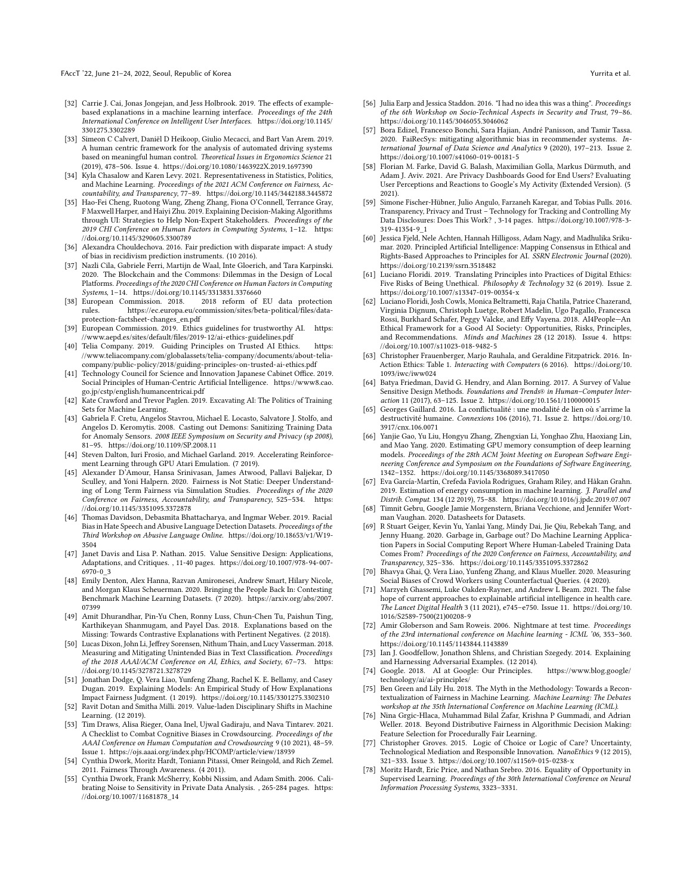FAccT '22, June 21–24, 2022, Seoul, Republic of Korea Yurrita et al. And the Second Second Second Second Second Second Second Second Second Second Second Second Second Second Second Second Second Second Second Second Secon

- <span id="page-11-44"></span>[32] Carrie J. Cai, Jonas Jongejan, and Jess Holbrook. 2019. The effects of examplebased explanations in a machine learning interface. Proceedings of the 24th International Conference on Intelligent User Interfaces. [https://doi.org/10.1145/](https://doi.org/10.1145/3301275.3302289) [3301275.3302289](https://doi.org/10.1145/3301275.3302289)
- <span id="page-11-46"></span>[33] Simeon C Calvert, Daniël D Heikoop, Giulio Mecacci, and Bart Van Arem. 2019. A human centric framework for the analysis of automated driving systems based on meaningful human control. Theoretical Issues in Ergonomics Science 21 (2019), 478–506. Issue 4.<https://doi.org/10.1080/1463922X.2019.1697390>
- <span id="page-11-1"></span>[34] Kyla Chasalow and Karen Levy. 2021. Representativeness in Statistics, Politics, and Machine Learning. Proceedings of the 2021 ACM Conference on Fairness, Accountability, and Transparency, 77–89.<https://doi.org/10.1145/3442188.3445872>
- <span id="page-11-33"></span>[35] Hao-Fei Cheng, Ruotong Wang, Zheng Zhang, Fiona O'Connell, Terrance Gray, F Maxwell Harper, and Haiyi Zhu. 2019. Explaining Decision-Making Algorithms through UI: Strategies to Help Non-Expert Stakeholders. Proceedings of the 2019 CHI Conference on Human Factors in Computing Systems, 1–12. [https:](https://doi.org/10.1145/3290605.3300789) [//doi.org/10.1145/3290605.3300789](https://doi.org/10.1145/3290605.3300789)
- <span id="page-11-41"></span>[36] Alexandra Chouldechova. 2016. Fair prediction with disparate impact: A study of bias in recidivism prediction instruments. (10 2016).
- <span id="page-11-32"></span>[37] Nazli Cila, Gabriele Ferri, Martijn de Waal, Inte Gloerich, and Tara Karpinski. 2020. The Blockchain and the Commons: Dilemmas in the Design of Local Platforms. Proceedings of the 2020 CHI Conference on Human Factors in Computing Systems, 1–14.<https://doi.org/10.1145/3313831.3376660>
- <span id="page-11-18"></span>European Commission. 2018. 2018 reform of EU data protection<br>rules. https://ec.europa.eu/commission/sites/beta-political/files/datahttps://ec.europa.eu/commission/sites/beta-political/files/data[protection-factsheet-changes\\_en.pdf](https://ec.europa.eu/commission/sites/beta-political/files/data-protection-factsheet-changes_en.pdf)
- <span id="page-11-7"></span>[39] European Commission. 2019. Ethics guidelines for trustworthy AI. [https:](https://www.aepd.es/sites/default/files/2019-12/ai-ethics-guidelines.pdf) [//www.aepd.es/sites/default/files/2019-12/ai-ethics-guidelines.pdf](https://www.aepd.es/sites/default/files/2019-12/ai-ethics-guidelines.pdf)
- <span id="page-11-31"></span>[40] Telia Company. 2019. Guiding Principles on Trusted AI Ethics. [https:](https://www.teliacompany.com/globalassets/telia-company/documents/about-telia-company/public-policy/2018/guiding-principles-on-trusted-ai-ethics.pdf) [//www.teliacompany.com/globalassets/telia-company/documents/about-telia](https://www.teliacompany.com/globalassets/telia-company/documents/about-telia-company/public-policy/2018/guiding-principles-on-trusted-ai-ethics.pdf)[company/public-policy/2018/guiding-principles-on-trusted-ai-ethics.pdf](https://www.teliacompany.com/globalassets/telia-company/documents/about-telia-company/public-policy/2018/guiding-principles-on-trusted-ai-ethics.pdf)
- <span id="page-11-8"></span>[41] Technology Council for Science and Innovation Japanese Cabinet Office. 2019. Social Principles of Human-Centric Artificial Intelligence. [https://www8.cao.](https://www8.cao.go.jp/cstp/english/humancentricai.pdf) [go.jp/cstp/english/humancentricai.pdf](https://www8.cao.go.jp/cstp/english/humancentricai.pdf)
- <span id="page-11-2"></span>[42] Kate Crawford and Trevor Paglen. 2019. Excavating AI: The Politics of Training Sets for Machine Learning.
- <span id="page-11-20"></span>[43] Gabriela F. Cretu, Angelos Stavrou, Michael E. Locasto, Salvatore J. Stolfo, and Angelos D. Keromytis. 2008. Casting out Demons: Sanitizing Training Data for Anomaly Sensors. 2008 IEEE Symposium on Security and Privacy (sp 2008), 81–95.<https://doi.org/10.1109/SP.2008.11>
- <span id="page-11-25"></span>[44] Steven Dalton, Iuri Frosio, and Michael Garland. 2019. Accelerating Reinforcement Learning through GPU Atari Emulation. (7 2019).
- <span id="page-11-6"></span>[45] Alexander D'Amour, Hansa Srinivasan, James Atwood, Pallavi Baljekar, D Sculley, and Yoni Halpern. 2020. Fairness is Not Static: Deeper Understanding of Long Term Fairness via Simulation Studies. Proceedings of the 2020 Conference on Fairness, Accountability, and Transparency, 525–534. [https:](https://doi.org/10.1145/3351095.3372878) [//doi.org/10.1145/3351095.3372878](https://doi.org/10.1145/3351095.3372878)
- <span id="page-11-0"></span>[46] Thomas Davidson, Debasmita Bhattacharya, and Ingmar Weber. 2019. Racial Bias in Hate Speech and Abusive Language Detection Datasets. Proceedings of the Third Workshop on Abusive Language Online. [https://doi.org/10.18653/v1/W19-](https://doi.org/10.18653/v1/W19-3504) [3504](https://doi.org/10.18653/v1/W19-3504)
- <span id="page-11-17"></span>[47] Janet Davis and Lisa P. Nathan. 2015. Value Sensitive Design: Applications, Adaptations, and Critiques. , 11-40 pages. [https://doi.org/10.1007/978-94-007-](https://doi.org/10.1007/978-94-007-6970-0_3) [6970-0\\_3](https://doi.org/10.1007/978-94-007-6970-0_3)
- <span id="page-11-15"></span>[48] Emily Denton, Alex Hanna, Razvan Amironesei, Andrew Smart, Hilary Nicole, and Morgan Klaus Scheuerman. 2020. Bringing the People Back In: Contesting Benchmark Machine Learning Datasets. (7 2020). [https://arxiv.org/abs/2007.](https://arxiv.org/abs/2007.07399) [07399](https://arxiv.org/abs/2007.07399)
- <span id="page-11-45"></span>[49] Amit Dhurandhar, Pin-Yu Chen, Ronny Luss, Chun-Chen Tu, Paishun Ting, Karthikeyan Shanmugam, and Payel Das. 2018. Explanations based on the Missing: Towards Contrastive Explanations with Pertinent Negatives. (2 2018).
- <span id="page-11-43"></span>[50] Lucas Dixon, John Li, Jeffrey Sorensen, Nithum Thain, and Lucy Vasserman. 2018. Measuring and Mitigating Unintended Bias in Text Classification. Proceedings of the 2018 AAAI/ACM Conference on AI, Ethics, and Society, 67–73. [https:](https://doi.org/10.1145/3278721.3278729) [//doi.org/10.1145/3278721.3278729](https://doi.org/10.1145/3278721.3278729)
- <span id="page-11-29"></span>[51] Jonathan Dodge, Q. Vera Liao, Yunfeng Zhang, Rachel K. E. Bellamy, and Casey Dugan. 2019. Explaining Models: An Empirical Study of How Explanations Impact Fairness Judgment. (1 2019).<https://doi.org/10.1145/3301275.3302310>
- <span id="page-11-24"></span>[52] Ravit Dotan and Smitha Milli. 2019. Value-laden Disciplinary Shifts in Machine Learning. (12 2019).
- <span id="page-11-3"></span>[53] Tim Draws, Alisa Rieger, Oana Inel, Ujwal Gadiraju, and Nava Tintarev. 2021. A Checklist to Combat Cognitive Biases in Crowdsourcing. Proceedings of the AAAI Conference on Human Computation and Crowdsourcing 9 (10 2021), 48–59. Issue 1.<https://ojs.aaai.org/index.php/HCOMP/article/view/18939>
- <span id="page-11-39"></span>[54] Cynthia Dwork, Moritz Hardt, Toniann Pitassi, Omer Reingold, and Rich Zemel. 2011. Fairness Through Awareness. (4 2011).
- <span id="page-11-23"></span>[55] Cynthia Dwork, Frank McSherry, Kobbi Nissim, and Adam Smith. 2006. Calibrating Noise to Sensitivity in Private Data Analysis. , 265-284 pages. [https:](https://doi.org/10.1007/11681878_14) [//doi.org/10.1007/11681878\\_14](https://doi.org/10.1007/11681878_14)
- <span id="page-11-34"></span>[56] Julia Earp and Jessica Staddon. 2016. "I had no idea this was a thing". Proceedings of the 6th Workshop on Socio-Technical Aspects in Security and Trust, 79–86. <https://doi.org/10.1145/3046055.3046062>
- <span id="page-11-4"></span>[57] Bora Edizel, Francesco Bonchi, Sara Hajian, André Panisson, and Tamir Tassa. 2020. FaiRecSys: mitigating algorithmic bias in recommender systems. International Journal of Data Science and Analytics 9 (2020), 197–213. Issue 2. <https://doi.org/10.1007/s41060-019-00181-5>
- <span id="page-11-35"></span>[58] Florian M. Farke, David G. Balash, Maximilian Golla, Markus Dürmuth, and Adam J. Aviv. 2021. Are Privacy Dashboards Good for End Users? Evaluating User Perceptions and Reactions to Google's My Activity (Extended Version). (5 2021).
- <span id="page-11-36"></span>[59] Simone Fischer-Hübner, Julio Angulo, Farzaneh Karegar, and Tobias Pulls. 2016. Transparency, Privacy and Trust – Technology for Tracking and Controlling My Data Disclosures: Does This Work? , 3-14 pages. [https://doi.org/10.1007/978-3-](https://doi.org/10.1007/978-3-319-41354-9_1) [319-41354-9\\_1](https://doi.org/10.1007/978-3-319-41354-9_1)
- <span id="page-11-9"></span>[60] Jessica Fjeld, Nele Achten, Hannah Hilligoss, Adam Nagy, and Madhulika Srikumar. 2020. Principled Artificial Intelligence: Mapping Consensus in Ethical and Rights-Based Approaches to Principles for AI. SSRN Electronic Journal (2020). <https://doi.org/10.2139/ssrn.3518482>
- <span id="page-11-19"></span>[61] Luciano Floridi. 2019. Translating Principles into Practices of Digital Ethics: Five Risks of Being Unethical. Philosophy & Technology 32 (6 2019). Issue 2. <https://doi.org/10.1007/s13347-019-00354-x>
- <span id="page-11-28"></span>[62] Luciano Floridi, Josh Cowls, Monica Beltrametti, Raja Chatila, Patrice Chazerand, Virginia Dignum, Christoph Luetge, Robert Madelin, Ugo Pagallo, Francesca Rossi, Burkhard Schafer, Peggy Valcke, and Effy Vayena. 2018. AI4People—An Ethical Framework for a Good AI Society: Opportunities, Risks, Principles, and Recommendations. Minds and Machines 28 (12 2018). Issue 4. [https:](https://doi.org/10.1007/s11023-018-9482-5) [//doi.org/10.1007/s11023-018-9482-5](https://doi.org/10.1007/s11023-018-9482-5)
- <span id="page-11-37"></span>[63] Christopher Frauenberger, Marjo Rauhala, and Geraldine Fitzpatrick. 2016. In-Action Ethics: Table 1. Interacting with Computers (6 2016). [https://doi.org/10.](https://doi.org/10.1093/iwc/iww024) [1093/iwc/iww024](https://doi.org/10.1093/iwc/iww024)
- <span id="page-11-11"></span>[64] Batya Friedman, David G. Hendry, and Alan Borning. 2017. A Survey of Value Sensitive Design Methods. Foundations and Trends® in Human–Computer Interaction 11 (2017), 63–125. Issue 2.<https://doi.org/10.1561/1100000015>
- <span id="page-11-13"></span>[65] Georges Gaillard. 2016. La conflictualité : une modalité de lien où s'arrime la destructivité humaine. Connexions 106 (2016), 71. Issue 2. [https://doi.org/10.](https://doi.org/10.3917/cnx.106.0071) [3917/cnx.106.0071](https://doi.org/10.3917/cnx.106.0071)
- <span id="page-11-26"></span>[66] Yanjie Gao, Yu Liu, Hongyu Zhang, Zhengxian Li, Yonghao Zhu, Haoxiang Lin, and Mao Yang. 2020. Estimating GPU memory consumption of deep learning models. Proceedings of the 28th ACM Joint Meeting on European Software Engineering Conference and Symposium on the Foundations of Software Engineering, 1342–1352.<https://doi.org/10.1145/3368089.3417050>
- <span id="page-11-27"></span>[67] Eva García-Martín, Crefeda Faviola Rodrigues, Graham Riley, and Håkan Grahn. 2019. Estimation of energy consumption in machine learning. J. Parallel and Distrib. Comput. 134 (12 2019), 75–88.<https://doi.org/10.1016/j.jpdc.2019.07.007>
- <span id="page-11-16"></span>[68] Timnit Gebru, Google Jamie Morgenstern, Briana Vecchione, and Jennifer Wortman Vaughan. 2020. Datasheets for Datasets.
- <span id="page-11-14"></span>[69] R Stuart Geiger, Kevin Yu, Yanlai Yang, Mindy Dai, Jie Qiu, Rebekah Tang, and Jenny Huang. 2020. Garbage in, Garbage out? Do Machine Learning Application Papers in Social Computing Report Where Human-Labeled Training Data Comes From? Proceedings of the 2020 Conference on Fairness, Accountability, and Transparency, 325–336.<https://doi.org/10.1145/3351095.3372862>
- <span id="page-11-5"></span>[70] Bhavya Ghai, Q. Vera Liao, Yunfeng Zhang, and Klaus Mueller. 2020. Measuring Social Biases of Crowd Workers using Counterfactual Queries. (4 2020).
- <span id="page-11-38"></span>[71] Marzyeh Ghassemi, Luke Oakden-Rayner, and Andrew L Beam. 2021. The false hope of current approaches to explainable artificial intelligence in health care. The Lancet Digital Health 3 (11 2021), e745–e750. Issue 11. [https://doi.org/10.](https://doi.org/10.1016/S2589-7500(21)00208-9) [1016/S2589-7500\(21\)00208-9](https://doi.org/10.1016/S2589-7500(21)00208-9)
- <span id="page-11-21"></span>[72] Amir Globerson and Sam Roweis. 2006. Nightmare at test time. Proceedings of the 23rd international conference on Machine learning - ICML '06, 353–360. <https://doi.org/10.1145/1143844.1143889>
- <span id="page-11-22"></span>[73] Ian J. Goodfellow, Jonathon Shlens, and Christian Szegedy. 2014. Explaining and Harnessing Adversarial Examples. (12 2014).
- <span id="page-11-10"></span>[74] Google. 2018. AI at Google: Our Principles. [https://www.blog.google/](https://www.blog.google/technology/ai/ai-principles/) [technology/ai/ai-principles/](https://www.blog.google/technology/ai/ai-principles/)
- <span id="page-11-30"></span>[75] Ben Green and Lily Hu. 2018. The Myth in the Methodology: Towards a Recontextualization of Fairness in Machine Learning. Machine Learning: The Debates workshop at the 35th International Conference on Machine Learning (ICML).
- <span id="page-11-42"></span>[76] Nina Grgic-Hlaca, Muhammad Bilal Zafar, Krishna P Gummadi, and Adrian Weller. 2018. Beyond Distributive Fairness in Algorithmic Decision Making: Feature Selection for Procedurally Fair Learning.
- <span id="page-11-12"></span>[77] Christopher Groves. 2015. Logic of Choice or Logic of Care? Uncertainty, Technological Mediation and Responsible Innovation. NanoEthics 9 (12 2015), 321–333. Issue 3.<https://doi.org/10.1007/s11569-015-0238-x>
- <span id="page-11-40"></span>[78] Moritz Hardt, Eric Price, and Nathan Srebro. 2016. Equality of Opportunity in Supervised Learning. Proceedings of the 30th International Conference on Neural Information Processing Systems, 3323–3331.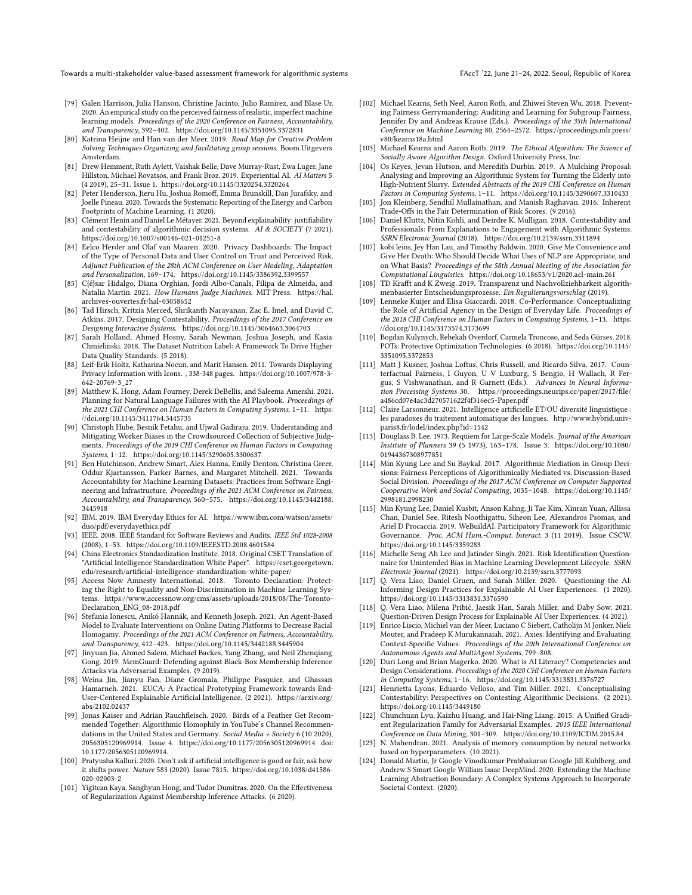- <span id="page-12-24"></span>[79] Galen Harrison, Julia Hanson, Christine Jacinto, Julio Ramirez, and Blase Ur. 2020. An empirical study on the perceived fairness of realistic, imperfect machine learning models. Proceedings of the 2020 Conference on Fairness, Accountability, and Transparency, 392–402.<https://doi.org/10.1145/3351095.3372831>
- <span id="page-12-29"></span>[80] Katrina Heijne and Han van der Meer. 2019. Road Map for Creative Problem Solving Techniques Organizing and facilitating group sessions. Boom Uitgevers Amsterdam.
- <span id="page-12-42"></span>[81] Drew Hemment, Ruth Aylett, Vaishak Belle, Dave Murray-Rust, Ewa Luger, Jane Hillston, Michael Rovatsos, and Frank Broz. 2019. Experiential AI. AI Matters 5 (4 2019), 25–31. Issue 1.<https://doi.org/10.1145/3320254.3320264>
- <span id="page-12-45"></span>[82] Peter Henderson, Jieru Hu, Joshua Romoff, Emma Brunskill, Dan Jurafsky, and Joelle Pineau. 2020. Towards the Systematic Reporting of the Energy and Carbon Footprints of Machine Learning. (1 2020).
- <span id="page-12-37"></span>[83] Clément Henin and Daniel Le Métayer. 2021. Beyond explainability: justifiability and contestability of algorithmic decision systems. AI & SOCIETY (7 2021). <https://doi.org/10.1007/s00146-021-01251-8>
- <span id="page-12-31"></span>[84] Eelco Herder and Olaf van Maaren. 2020. Privacy Dashboards: The Impact of the Type of Personal Data and User Control on Trust and Perceived Risk. Adjunct Publication of the 28th ACM Conference on User Modeling, Adaptation and Personalization, 169–174.<https://doi.org/10.1145/3386392.3399557>
- <span id="page-12-14"></span>[85] C{é}sar Hidalgo, Diana Orghian, Jordi Albo-Canals, Filipa de Almeida, and Natalia Martin. 2021. How Humans Judge Machines. MIT Press. [https://hal.](https://hal.archives-ouvertes.fr/hal-03058652) [archives-ouvertes.fr/hal-03058652](https://hal.archives-ouvertes.fr/hal-03058652)
- <span id="page-12-28"></span>[86] Tad Hirsch, Kritzia Merced, Shrikanth Narayanan, Zac E. Imel, and David C. Atkins. 2017. Designing Contestability. Proceedings of the 2017 Conference on Designing Interactive Systems.<https://doi.org/10.1145/3064663.3064703>
- <span id="page-12-13"></span>[87] Sarah Holland, Ahmed Hosny, Sarah Newman, Joshua Joseph, and Kasia Chmielinski. 2018. The Dataset Nutrition Label: A Framework To Drive Higher Data Quality Standards. (5 2018).
- <span id="page-12-30"></span>[88] Leif-Erik Holtz, Katharina Nocun, and Marit Hansen. 2011. Towards Displaying Privacy Information with Icons. , 338-348 pages. [https://doi.org/10.1007/978-3-](https://doi.org/10.1007/978-3-642-20769-3_27) [642-20769-3\\_27](https://doi.org/10.1007/978-3-642-20769-3_27)
- <span id="page-12-44"></span>[89] Matthew K. Hong, Adam Fourney, Derek DeBellis, and Saleema Amershi. 2021. Planning for Natural Language Failures with the AI Playbook. Proceedings of the 2021 CHI Conference on Human Factors in Computing Systems, 1–11. [https:](https://doi.org/10.1145/3411764.3445735) [//doi.org/10.1145/3411764.3445735](https://doi.org/10.1145/3411764.3445735)
- <span id="page-12-2"></span>[90] Christoph Hube, Besnik Fetahu, and Ujwal Gadiraju. 2019. Understanding and Mitigating Worker Biases in the Crowdsourced Collection of Subjective Judgments. Proceedings of the 2019 CHI Conference on Human Factors in Computing Systems, 1–12.<https://doi.org/10.1145/3290605.3300637>
- <span id="page-12-12"></span>[91] Ben Hutchinson, Andrew Smart, Alex Hanna, Emily Denton, Christina Greer, Oddur Kjartansson, Parker Barnes, and Margaret Mitchell. 2021. Towards Accountability for Machine Learning Datasets: Practices from Software Engineering and Infrastructure. Proceedings of the 2021 ACM Conference on Fairness, Accountability, and Transparency, 560–575. [https://doi.org/10.1145/3442188.](https://doi.org/10.1145/3442188.3445918) [3445918](https://doi.org/10.1145/3442188.3445918)
- <span id="page-12-7"></span>[92] IBM. 2019. IBM Everyday Ethics for AI. [https://www.ibm.com/watson/assets/](https://www.ibm.com/watson/assets/duo/pdf/everydayethics.pdf) [duo/pdf/everydayethics.pdf](https://www.ibm.com/watson/assets/duo/pdf/everydayethics.pdf)
- <span id="page-12-6"></span>[93] IEEE. 2008. IEEE Standard for Software Reviews and Audits. IEEE Std 1028-2008 (2008), 1–53.<https://doi.org/10.1109/IEEESTD.2008.4601584>
- <span id="page-12-8"></span>[94] China Electronics Standardization Institute. 2018. Original CSET Translation of "Artificial Intelligence Standardization White Paper". [https://cset.georgetown.](https://cset.georgetown.edu/research/artificial-intelligence-standardization-white-paper/) [edu/research/artificial-intelligence-standardization-white-paper/](https://cset.georgetown.edu/research/artificial-intelligence-standardization-white-paper/)
- <span id="page-12-9"></span>[95] Access Now Amnesty International. 2018. Toronto Declaration: Protecting the Right to Equality and Non-Discrimination in Machine Learning Systems. [https://www.accessnow.org/cms/assets/uploads/2018/08/The-Toronto-](https://www.accessnow.org/cms/assets/uploads/2018/08/The-Toronto-Declaration_ENG_08-2018.pdf)[Declaration\\_ENG\\_08-2018.pdf](https://www.accessnow.org/cms/assets/uploads/2018/08/The-Toronto-Declaration_ENG_08-2018.pdf)
- <span id="page-12-4"></span>[96] Stefania Ionescu, Anikó Hannák, and Kenneth Joseph. 2021. An Agent-Based Model to Evaluate Interventions on Online Dating Platforms to Decrease Racial Homogamy. Proceedings of the 2021 ACM Conference on Fairness, Accountability, and Transparency, 412–423.<https://doi.org/10.1145/3442188.3445904>
- <span id="page-12-16"></span>[97] Jinyuan Jia, Ahmed Salem, Michael Backes, Yang Zhang, and Neil Zhenqiang Gong. 2019. MemGuard: Defending against Black-Box Membership Inference Attacks via Adversarial Examples. (9 2019).
- <span id="page-12-40"></span>[98] Weina Jin, Jianyu Fan, Diane Gromala, Philippe Pasquier, and Ghassan Hamarneh. 2021. EUCA: A Practical Prototyping Framework towards End-User-Centered Explainable Artificial Intelligence. (2 2021). [https://arxiv.org/](https://arxiv.org/abs/2102.02437) [abs/2102.02437](https://arxiv.org/abs/2102.02437)
- <span id="page-12-1"></span>[99] Jonas Kaiser and Adrian Rauchfleisch. 2020. Birds of a Feather Get Recommended Together: Algorithmic Homophily in YouTube's Channel Recommendations in the United States and Germany. Social Media + Society 6 (10 2020), 2056305120969914. Issue 4.<https://doi.org/10.1177/2056305120969914> doi: 10.1177/2056305120969914.
- <span id="page-12-26"></span>[100] Pratyusha Kalluri. 2020. Don't ask if artificial intelligence is good or fair, ask how it shifts power. Nature 583 (2020). Issue 7815. [https://doi.org/10.1038/d41586-](https://doi.org/10.1038/d41586-020-02003-2) [020-02003-2](https://doi.org/10.1038/d41586-020-02003-2)
- <span id="page-12-33"></span>[101] Yigitcan Kaya, Sanghyun Hong, and Tudor Dumitras. 2020. On the Effectiveness of Regularization Against Membership Inference Attacks. (6 2020).
- <span id="page-12-35"></span>[102] Michael Kearns, Seth Neel, Aaron Roth, and Zhiwei Steven Wu. 2018. Preventing Fairness Gerrymandering: Auditing and Learning for Subgroup Fairness, Jennifer Dy and Andreas Krause (Eds.). Proceedings of the 35th International Conference on Machine Learning 80, 2564–2572. [https://proceedings.mlr.press/](https://proceedings.mlr.press/v80/kearns18a.html) [v80/kearns18a.html](https://proceedings.mlr.press/v80/kearns18a.html)
- <span id="page-12-23"></span>[103] Michael Kearns and Aaron Roth. 2019. The Ethical Algorithm: The Science of Socially Aware Algorithm Design. Oxford University Press, Inc.
- <span id="page-12-21"></span>[104] Os Keyes, Jevan Hutson, and Meredith Durbin. 2019. A Mulching Proposal: Analysing and Improving an Algorithmic System for Turning the Elderly into High-Nutrient Slurry. Extended Abstracts of the 2019 CHI Conference on Human Factors in Computing Systems, 1–11.<https://doi.org/10.1145/3290607.3310433>
- <span id="page-12-36"></span>[105] Jon Kleinberg, Sendhil Mullainathan, and Manish Raghavan. 2016. Inherent Trade-Offs in the Fair Determination of Risk Scores. (9 2016).
- <span id="page-12-43"></span>[106] Daniel Kluttz, Nitin Kohli, and Deirdre K. Mulligan. 2018. Contestability and Professionals: From Explanations to Engagement with Algorithmic Systems. SSRN Electronic Journal (2018).<https://doi.org/10.2139/ssrn.3311894>
- <span id="page-12-22"></span>[107] kobi leins, Jey Han Lau, and Timothy Baldwin. 2020. Give Me Convenience and Give Her Death: Who Should Decide What Uses of NLP are Appropriate, and on What Basis? Proceedings of the 58th Annual Meeting of the Association for Computational Linguistics.<https://doi.org/10.18653/v1/2020.acl-main.261>
- <span id="page-12-38"></span>[108] TD Krafft and K Zweig. 2019. Transparenz und Nachvollziehbarkeit algorithmenbasierter Entscheidungsprozesse. Ein Regulierungsvorschlag (2019).
- <span id="page-12-5"></span>[109] Lenneke Kuijer and Elisa Giaccardi. 2018. Co-Performance: Conceptualizing the Role of Artificial Agency in the Design of Everyday Life. Proceedings of the 2018 CHI Conference on Human Factors in Computing Systems, 1–13. [https:](https://doi.org/10.1145/3173574.3173699) [//doi.org/10.1145/3173574.3173699](https://doi.org/10.1145/3173574.3173699)
- <span id="page-12-17"></span>[110] Bogdan Kulynych, Rebekah Overdorf, Carmela Troncoso, and Seda Gürses. 2018. POTs: Protective Optimization Technologies. (6 2018). [https://doi.org/10.1145/](https://doi.org/10.1145/3351095.3372853) [3351095.3372853](https://doi.org/10.1145/3351095.3372853)
- <span id="page-12-34"></span>[111] Matt J Kusner, Joshua Loftus, Chris Russell, and Ricardo Silva. 2017. Counterfactual Fairness, I Guyon, U V Luxburg, S Bengio, H Wallach, R Fergus, S Vishwanathan, and R Garnett (Eds.). Advances in Neural Information Processing Systems 30. [https://proceedings.neurips.cc/paper/2017/file/](https://proceedings.neurips.cc/paper/2017/file/a486cd07e4ac3d270571622f4f316ec5-Paper.pdf) [a486cd07e4ac3d270571622f4f316ec5-Paper.pdf](https://proceedings.neurips.cc/paper/2017/file/a486cd07e4ac3d270571622f4f316ec5-Paper.pdf)
- <span id="page-12-0"></span>[112] Claire Larsonneur. 2021. Intelligence artificielle ET/OU diversité linguistique : les paradoxes du traitement automatique des langues. [http://www.hybrid.univ](http://www.hybrid.univ-paris8.fr/lodel/index.php?id=1542)[paris8.fr/lodel/index.php?id=1542](http://www.hybrid.univ-paris8.fr/lodel/index.php?id=1542)
- <span id="page-12-18"></span>[113] Douglass B. Lee. 1973. Requiem for Large-Scale Models. Journal of the American Institute of Planners 39 (5 1973), 163–178. Issue 3. [https://doi.org/10.1080/](https://doi.org/10.1080/01944367308977851) [01944367308977851](https://doi.org/10.1080/01944367308977851)
- <span id="page-12-27"></span>[114] Min Kyung Lee and Su Baykal. 2017. Algorithmic Mediation in Group Decisions: Fairness Perceptions of Algorithmically Mediated vs. Discussion-Based Social Division. Proceedings of the 2017 ACM Conference on Computer Supported Cooperative Work and Social Computing, 1035–1048. [https://doi.org/10.1145/](https://doi.org/10.1145/2998181.2998230) [2998181.2998230](https://doi.org/10.1145/2998181.2998230)
- <span id="page-12-25"></span>[115] Min Kyung Lee, Daniel Kusbit, Anson Kahng, Ji Tae Kim, Xinran Yuan, Allissa Chan, Daniel See, Ritesh Noothigattu, Siheon Lee, Alexandros Psomas, and Ariel D Procaccia. 2019. WeBuildAI: Participatory Framework for Algorithmic Governance. Proc. ACM Hum.-Comput. Interact. 3 (11 2019). Issue CSCW. <https://doi.org/10.1145/3359283>
- <span id="page-12-11"></span>[116] Michelle Seng Ah Lee and Jatinder Singh. 2021. Risk Identification Questionnaire for Unintended Bias in Machine Learning Development Lifecycle. SSRN Electronic Journal (2021).<https://doi.org/10.2139/ssrn.3777093>
- <span id="page-12-20"></span>[117] Q. Vera Liao, Daniel Gruen, and Sarah Miller. 2020. Questioning the AI: Informing Design Practices for Explainable AI User Experiences. (1 2020). <https://doi.org/10.1145/3313831.3376590>
- <span id="page-12-39"></span>[118] Q. Vera Liao, Milena Pribić, Jaesik Han, Sarah Miller, and Daby Sow. 2021. Question-Driven Design Process for Explainable AI User Experiences. (4 2021).
- <span id="page-12-32"></span>[119] Enrico Liscio, Michiel van der Meer, Luciano C Siebert, Catholijn M Jonker, Niek Mouter, and Pradeep K Murukannaiah. 2021. Axies: Identifying and Evaluating Context-Specific Values. Proceedings of the 20th International Conference on Autonomous Agents and MultiAgent Systems, 799–808.
- <span id="page-12-41"></span>[120] Duri Long and Brian Magerko. 2020. What is AI Literacy? Competencies and Design Considerations. Proceedings of the 2020 CHI Conference on Human Factors in Computing Systems, 1–16.<https://doi.org/10.1145/3313831.3376727>
- <span id="page-12-10"></span>[121] Henrietta Lyons, Eduardo Velloso, and Tim Miller. 2021. Conceptualising Contestability: Perspectives on Contesting Algorithmic Decisions. (2 2021). <https://doi.org/10.1145/3449180>
- <span id="page-12-15"></span>[122] Chunchuan Lyu, Kaizhu Huang, and Hai-Ning Liang. 2015. A Unified Gradient Regularization Family for Adversarial Examples. 2015 IEEE International Conference on Data Mining, 301–309.<https://doi.org/10.1109/ICDM.2015.84>
- <span id="page-12-19"></span>[123] N. Mahendran. 2021. Analysis of memory consumption by neural networks based on hyperparameters. (10 2021).
- <span id="page-12-3"></span>[124] Donald Martin, Jr Google Vinodkumar Prabhakaran Google Jill Kuhlberg, and Andrew S Smart Google William Isaac DeepMind. 2020. Extending the Machine Learning Abstraction Boundary: A Complex Systems Approach to Incorporate Societal Context. (2020).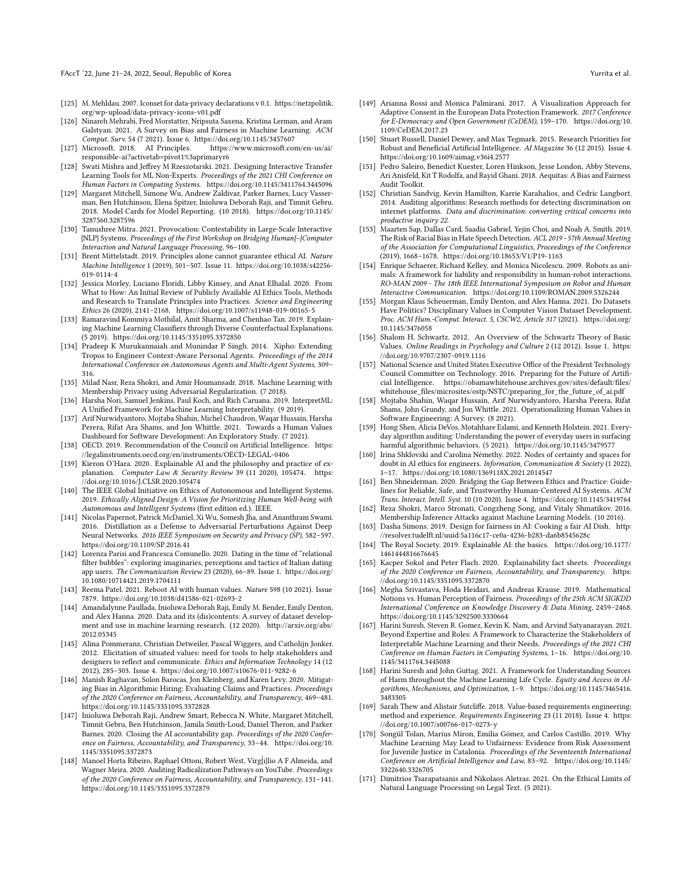- <span id="page-13-25"></span>[125] M. Mehldau. 2007. Iconset for data-privacy declarations v 0.1. [https://netzpolitik.](https://netzpolitik.org/wp-upload/data-privacy-icons-v01.pdf) [org/wp-upload/data-privacy-icons-v01.pdf](https://netzpolitik.org/wp-upload/data-privacy-icons-v01.pdf)
- <span id="page-13-30"></span>[126] Ninareh Mehrabi, Fred Morstatter, Nripsuta Saxena, Kristina Lerman, and Aram Galstyan. 2021. A Survey on Bias and Fairness in Machine Learning. ACM Comput. Surv. 54 (7 2021). Issue 6.<https://doi.org/10.1145/3457607><br>Microsoft. 2018. AI Principles. https://www.microsoft.com/en-us/ai/
- <span id="page-13-12"></span> $[127]$  Microsoft. 2018. AI Principles. [responsible-ai?activetab=pivot1%3aprimaryr6](https://www.microsoft.com/en-us/ai/responsible-ai?activetab=pivot1%3aprimaryr6)
- <span id="page-13-46"></span>[128] Swati Mishra and Jeffrey M Rzeszotarski. 2021. Designing Interactive Transfer Learning Tools for ML Non-Experts. Proceedings of the 2021 CHI Conference on Human Factors in Computing Systems.<https://doi.org/10.1145/3411764.3445096>
- <span id="page-13-19"></span>[129] Margaret Mitchell, Simone Wu, Andrew Zaldivar, Parker Barnes, Lucy Vasserman, Ben Hutchinson, Elena Spitzer, Inioluwa Deborah Raji, and Timnit Gebru. 2018. Model Cards for Model Reporting. (10 2018). [https://doi.org/10.1145/](https://doi.org/10.1145/3287560.3287596) [3287560.3287596](https://doi.org/10.1145/3287560.3287596)
- <span id="page-13-31"></span>[130] Tanushree Mitra. 2021. Provocation: Contestability in Large-Scale Interactive {NLP} Systems. Proceedings of the First Workshop on Bridging Human{–}Computer Interaction and Natural Language Processing, 96–100.
- <span id="page-13-21"></span>[131] Brent Mittelstadt. 2019. Principles alone cannot guarantee ethical AI. Nature Machine Intelligence 1 (2019), 501–507. Issue 11. [https://doi.org/10.1038/s42256-](https://doi.org/10.1038/s42256-019-0114-4) [019-0114-4](https://doi.org/10.1038/s42256-019-0114-4)
- <span id="page-13-0"></span>[132] Jessica Morley, Luciano Floridi, Libby Kinsey, and Anat Elhalal. 2020. From What to How: An Initial Review of Publicly Available AI Ethics Tools, Methods and Research to Translate Principles into Practices. Science and Engineering Ethics 26 (2020), 2141–2168.<https://doi.org/10.1007/s11948-019-00165-5>
- <span id="page-13-36"></span>[133] Ramaravind Kommiya Mothilal, Amit Sharma, and Chenhao Tan. 2019. Explaining Machine Learning Classifiers through Diverse Counterfactual Explanations. (5 2019).<https://doi.org/10.1145/3351095.3372850>
- <span id="page-13-40"></span>[134] Pradeep K Murukannaiah and Munindar P Singh. 2014. Xipho: Extending Tropos to Engineer Context-Aware Personal Agents. Proceedings of the 2014 International Conference on Autonomous Agents and Multi-Agent Systems, 309– 316.
- <span id="page-13-27"></span>[135] Milad Nasr, Reza Shokri, and Amir Houmansadr. 2018. Machine Learning with Membership Privacy using Adversarial Regularization. (7 2018).
- <span id="page-13-35"></span>[136] Harsha Nori, Samuel Jenkins, Paul Koch, and Rich Caruana. 2019. InterpretML: A Unified Framework for Machine Learning Interpretability. (9 2019).
- <span id="page-13-42"></span>[137] Arif Nurwidyantoro, Mojtaba Shahin, Michel Chaudron, Waqar Hussain, Harsha Perera, Rifat Ara Shams, and Jon Whittle. 2021. Towards a Human Values Dashboard for Software Development: An Exploratory Study. (7 2021).
- <span id="page-13-13"></span>[138] OECD. 2019. Recommendation of the Council on Artificial Intelligence. [https:](https://legalinstruments.oecd.org/en/instruments/OECD-LEGAL-0406) [//legalinstruments.oecd.org/en/instruments/OECD-LEGAL-0406](https://legalinstruments.oecd.org/en/instruments/OECD-LEGAL-0406)
- <span id="page-13-34"></span>[139] Kieron O'Hara. 2020. Explainable AI and the philosophy and practice of explanation. Computer Law & Security Review 39 (11 2020), 105474. [https:](https://doi.org/10.1016/J.CLSR.2020.105474) [//doi.org/10.1016/J.CLSR.2020.105474](https://doi.org/10.1016/J.CLSR.2020.105474)
- <span id="page-13-24"></span>[140] The IEEE Global Initiative on Ethics of Autonomous and Intelligent Systems. 2019. Ethically Aligned Design: A Vision for Prioritizing Human Well-being with Autonomous and Intelligent Systems (first edition ed.). IEEE.
- <span id="page-13-26"></span>[141] Nicolas Papernot, Patrick McDaniel, Xi Wu, Somesh Jha, and Ananthram Swami. 2016. Distillation as a Defense to Adversarial Perturbations Against Deep Neural Networks. 2016 IEEE Symposium on Security and Privacy (SP), 582–597. <https://doi.org/10.1109/SP.2016.41>
- <span id="page-13-5"></span>[142] Lorenza Parisi and Francesca Comunello. 2020. Dating in the time of "relational filter bubbles": exploring imaginaries, perceptions and tactics of Italian dating app users. The Communication Review 23 (2020), 66–89. Issue 1. [https://doi.org/](https://doi.org/10.1080/10714421.2019.1704111) [10.1080/10714421.2019.1704111](https://doi.org/10.1080/10714421.2019.1704111)
- <span id="page-13-32"></span>[143] Reema Patel. 2021. Reboot AI with human values. Nature 598 (10 2021). Issue 7879.<https://doi.org/10.1038/d41586-021-02693-2>
- <span id="page-13-8"></span>[144] Amandalynne Paullada, Inioluwa Deborah Raji, Emily M. Bender, Emily Denton, and Alex Hanna. 2020. Data and its (dis)contents: A survey of dataset development and use in machine learning research. (12 2020). [http://arxiv.org/abs/](http://arxiv.org/abs/2012.05345) [2012.05345](http://arxiv.org/abs/2012.05345)
- <span id="page-13-39"></span>[145] Alina Pommeranz, Christian Detweiler, Pascal Wiggers, and Catholijn Jonker. 2012. Elicitation of situated values: need for tools to help stakeholders and designers to reflect and communicate. Ethics and Information Technology 14 (12 2012), 285–303. Issue 4.<https://doi.org/10.1007/s10676-011-9282-6>
- <span id="page-13-4"></span>[146] Manish Raghavan, Solon Barocas, Jon Kleinberg, and Karen Levy. 2020. Mitigating Bias in Algorithmic Hiring: Evaluating Claims and Practices. Proceedings of the 2020 Conference on Fairness, Accountability, and Transparency, 469–481. <https://doi.org/10.1145/3351095.3372828>
- <span id="page-13-11"></span>[147] Inioluwa Deborah Raji, Andrew Smart, Rebecca N. White, Margaret Mitchell, Timnit Gebru, Ben Hutchinson, Jamila Smith-Loud, Daniel Theron, and Parker Barnes. 2020. Closing the AI accountability gap. Proceedings of the 2020 Conference on Fairness, Accountability, and Transparency, 33–44. [https://doi.org/10.](https://doi.org/10.1145/3351095.3372873) [1145/3351095.3372873](https://doi.org/10.1145/3351095.3372873)
- <span id="page-13-6"></span>[148] Manoel Horta Ribeiro, Raphael Ottoni, Robert West, Virg{1}lio A F Almeida, and Wagner Meira. 2020. Auditing Radicalization Pathways on YouTube. Proceedings of the 2020 Conference on Fairness, Accountability, and Transparency, 131–141. <https://doi.org/10.1145/3351095.3372879>
- <span id="page-13-37"></span>[149] Arianna Rossi and Monica Palmirani. 2017. A Visualization Approach for Adaptive Consent in the European Data Protection Framework. 2017 Conference for E-Democracy and Open Government (CeDEM), 159–170. [https://doi.org/10.](https://doi.org/10.1109/CeDEM.2017.23) [1109/CeDEM.2017.23](https://doi.org/10.1109/CeDEM.2017.23)
- <span id="page-13-23"></span>[150] Stuart Russell, Daniel Dewey, and Max Tegmark. 2015. Research Priorities for Robust and Beneficial Artificial Intelligence. AI Magazine 36 (12 2015). Issue 4. <https://doi.org/10.1609/aimag.v36i4.2577>
- <span id="page-13-9"></span>[151] Pedro Saleiro, Benedict Kuester, Loren Hinkson, Jesse London, Abby Stevens, Ari Anisfeld, Kit T Rodolfa, and Rayid Ghani. 2018. Aequitas: A Bias and Fairness Audit Toolkit.
- <span id="page-13-10"></span>[152] Christian Sandvig, Kevin Hamilton, Karrie Karahalios, and Cedric Langbort. 2014. Auditing algorithms: Research methods for detecting discrimination on internet platforms. Data and discrimination: converting critical concerns into productive inquiry 22.
- <span id="page-13-2"></span>[153] Maarten Sap, Dallas Card, Saadia Gabriel, Yejin Choi, and Noah A. Smith. 2019. The Risk of Racial Bias in Hate Speech Detection. ACL 2019 - 57th Annual Meeting of the Association for Computational Linguistics, Proceedings of the Conference (2019), 1668–1678.<https://doi.org/10.18653/V1/P19-1163>
- <span id="page-13-38"></span>[154] Enrique Schaerer, Richard Kelley, and Monica Nicolescu. 2009. Robots as animals: A framework for liability and responsibility in human-robot interactions. RO-MAN 2009 - The 18th IEEE International Symposium on Robot and Human Interactive Communication.<https://doi.org/10.1109/ROMAN.2009.5326244>
- <span id="page-13-18"></span>[155] Morgan Klaus Scheuerman, Emily Denton, and Alex Hanna. 2021. Do Datasets Have Politics? Disciplinary Values in Computer Vision Dataset Development. Proc. ACM Hum.-Comput. Interact. 5, CSCW2, Article 317 (2021). [https://doi.org/](https://doi.org/10.1145/3476058) [10.1145/3476058](https://doi.org/10.1145/3476058)
- <span id="page-13-20"></span>[156] Shalom H. Schwartz. 2012. An Overview of the Schwartz Theory of Basic Values. Online Readings in Psychology and Culture 2 (12 2012). Issue 1. [https:](https://doi.org/10.9707/2307-0919.1116) [//doi.org/10.9707/2307-0919.1116](https://doi.org/10.9707/2307-0919.1116)
- <span id="page-13-14"></span>[157] National Science and United States Executive Office of the President Technology Council Committee on Technology. 2016. Preparing for the Future of Artificial Intelligence. [https://obamawhitehouse.archives.gov/sites/default/files/](https://obamawhitehouse.archives.gov/sites/default/files/whitehouse_files/microsites/ostp/NSTC/preparing_for_the_future_of_ai.pdf) [whitehouse\\_files/microsites/ostp/NSTC/preparing\\_for\\_the\\_future\\_of\\_ai.pdf](https://obamawhitehouse.archives.gov/sites/default/files/whitehouse_files/microsites/ostp/NSTC/preparing_for_the_future_of_ai.pdf)
- <span id="page-13-17"></span>[158] Mojtaba Shahin, Waqar Hussain, Arif Nurwidyantoro, Harsha Perera, Rifat Shams, John Grundy, and Jon Whittle. 2021. Operationalizing Human Values in Software Engineering: A Survey. (8 2021).
- <span id="page-13-1"></span>[159] Hong Shen, Alicia DeVos, Motahhare Eslami, and Kenneth Holstein. 2021. Everyday algorithm auditing: Understanding the power of everyday users in surfacing harmful algorithmic behaviors. (5 2021).<https://doi.org/10.1145/3479577>
- <span id="page-13-16"></span>[160] Irina Shklovski and Carolina Némethy. 2022. Nodes of certainty and spaces for doubt in AI ethics for engineers. Information, Communication & Society (1 2022), 1–17.<https://doi.org/10.1080/1369118X.2021.2014547>
- <span id="page-13-43"></span>[161] Ben Shneiderman. 2020. Bridging the Gap Between Ethics and Practice: Guidelines for Reliable, Safe, and Trustworthy Human-Centered AI Systems. ACM Trans. Interact. Intell. Syst. 10 (10 2020). Issue 4.<https://doi.org/10.1145/3419764>
- <span id="page-13-28"></span>[162] Reza Shokri, Marco Stronati, Congzheng Song, and Vitaly Shmatikov. 2016. Membership Inference Attacks against Machine Learning Models. (10 2016).
- <span id="page-13-22"></span>[163] Dasha Simons. 2019. Design for fairness in AI: Cooking a fair AI Dish. [http:](http://resolver.tudelft.nl/uuid:5a116c17-ce0a-4236-b283-da6b8545628c) [//resolver.tudelft.nl/uuid:5a116c17-ce0a-4236-b283-da6b8545628c](http://resolver.tudelft.nl/uuid:5a116c17-ce0a-4236-b283-da6b8545628c)
- <span id="page-13-15"></span>[164] The Royal Society. 2019. Explainable AI: the basics. [https://doi.org/10.1177/](https://doi.org/10.1177/1461444816676645) [1461444816676645](https://doi.org/10.1177/1461444816676645)
- <span id="page-13-41"></span>[165] Kacper Sokol and Peter Flach. 2020. Explainability fact sheets. Proceedings of the 2020 Conference on Fairness, Accountability, and Transparency. [https:](https://doi.org/10.1145/3351095.3372870) [//doi.org/10.1145/3351095.3372870](https://doi.org/10.1145/3351095.3372870)
- <span id="page-13-45"></span>[166] Megha Srivastava, Hoda Heidari, and Andreas Krause. 2019. Mathematical Notions vs. Human Perception of Fairness. Proceedings of the 25th ACM SIGKDD International Conference on Knowledge Discovery & Data Mining, 2459–2468. <https://doi.org/10.1145/3292500.3330664>
- <span id="page-13-33"></span>[167] Harini Suresh, Steven R. Gomez, Kevin K. Nam, and Arvind Satyanarayan. 2021. Beyond Expertise and Roles: A Framework to Characterize the Stakeholders of Interpretable Machine Learning and their Needs. Proceedings of the 2021 CHI Conference on Human Factors in Computing Systems, 1–16. [https://doi.org/10.](https://doi.org/10.1145/3411764.3445088) [1145/3411764.3445088](https://doi.org/10.1145/3411764.3445088)
- <span id="page-13-7"></span>[168] Harini Suresh and John Guttag. 2021. A Framework for Understanding Sources of Harm throughout the Machine Learning Life Cycle. Equity and Access in Algorithms, Mechanisms, and Optimization, 1–9. [https://doi.org/10.1145/3465416.](https://doi.org/10.1145/3465416.3483305) [3483305](https://doi.org/10.1145/3465416.3483305)
- <span id="page-13-44"></span>[169] Sarah Thew and Alistair Sutcliffe. 2018. Value-based requirements engineering: method and experience. Requirements Engineering 23 (11 2018). Issue 4. [https:](https://doi.org/10.1007/s00766-017-0273-y) [//doi.org/10.1007/s00766-017-0273-y](https://doi.org/10.1007/s00766-017-0273-y)
- <span id="page-13-3"></span>[170] Songül Tolan, Marius Miron, Emilia Gómez, and Carlos Castillo. 2019. Why Machine Learning May Lead to Unfairness: Evidence from Risk Assessment for Juvenile Justice in Catalonia. Proceedings of the Seventeenth International Conference on Artificial Intelligence and Law, 83–92. [https://doi.org/10.1145/](https://doi.org/10.1145/3322640.3326705) [3322640.3326705](https://doi.org/10.1145/3322640.3326705)
- <span id="page-13-29"></span>[171] Dimitrios Tsarapatsanis and Nikolaos Aletras. 2021. On the Ethical Limits of Natural Language Processing on Legal Text. (5 2021).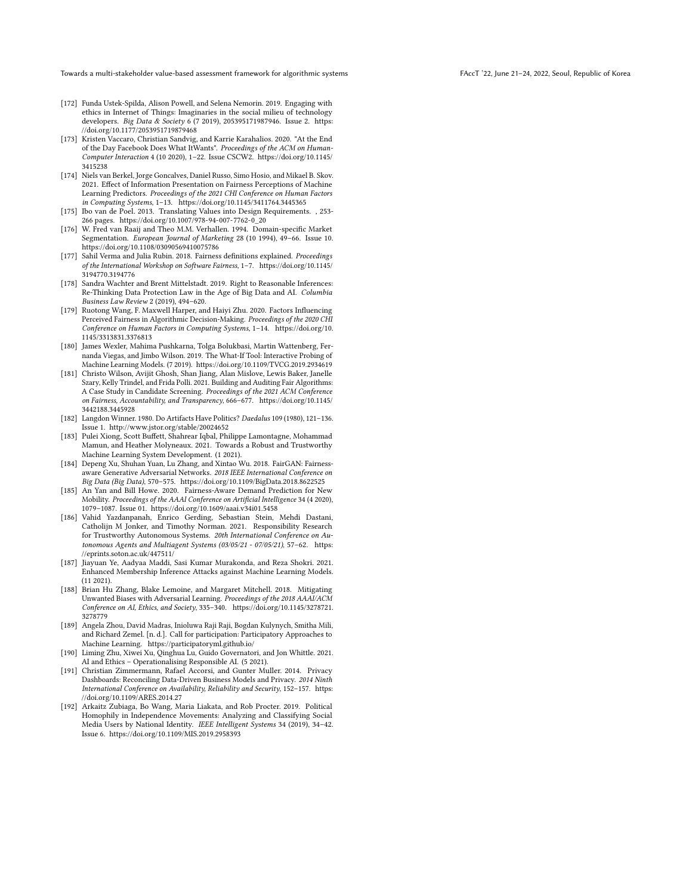- <span id="page-14-17"></span>[172] Funda Ustek-Spilda, Alison Powell, and Selena Nemorin. 2019. Engaging with ethics in Internet of Things: Imaginaries in the social milieu of technology developers. Big Data & Society 6 (7 2019), 205395171987946. Issue 2. [https:](https://doi.org/10.1177/2053951719879468) [//doi.org/10.1177/2053951719879468](https://doi.org/10.1177/2053951719879468)
- <span id="page-14-12"></span>[173] Kristen Vaccaro, Christian Sandvig, and Karrie Karahalios. 2020. "At the End of the Day Facebook Does What ItWants". Proceedings of the ACM on Human-Computer Interaction 4 (10 2020), 1–22. Issue CSCW2. [https://doi.org/10.1145/](https://doi.org/10.1145/3415238) [3415238](https://doi.org/10.1145/3415238)
- <span id="page-14-13"></span>[174] Niels van Berkel, Jorge Goncalves, Daniel Russo, Simo Hosio, and Mikael B. Skov. 2021. Effect of Information Presentation on Fairness Perceptions of Machine Learning Predictors. Proceedings of the 2021 CHI Conference on Human Factors in Computing Systems, 1–13.<https://doi.org/10.1145/3411764.3445365>
- <span id="page-14-18"></span>[175] Ibo van de Poel. 2013. Translating Values into Design Requirements. , 253- 266 pages. [https://doi.org/10.1007/978-94-007-7762-0\\_20](https://doi.org/10.1007/978-94-007-7762-0_20)
- <span id="page-14-19"></span>[176] W. Fred van Raaij and Theo M.M. Verhallen. 1994. Domain-specific Market Segmentation. European Journal of Marketing 28 (10 1994), 49-66. Issue 10. <https://doi.org/10.1108/03090569410075786>
- <span id="page-14-6"></span>[177] Sahil Verma and Julia Rubin. 2018. Fairness definitions explained. Proceedings of the International Workshop on Software Fairness, 1–7. [https://doi.org/10.1145/](https://doi.org/10.1145/3194770.3194776) [3194770.3194776](https://doi.org/10.1145/3194770.3194776)
- <span id="page-14-7"></span>[178] Sandra Wachter and Brent Mittelstadt. 2019. Right to Reasonable Inferences: Re-Thinking Data Protection Law in the Age of Big Data and AI. Columbia Business Law Review 2 (2019), 494–620.
- <span id="page-14-20"></span>[179] Ruotong Wang, F. Maxwell Harper, and Haiyi Zhu. 2020. Factors Influencing Perceived Fairness in Algorithmic Decision-Making. Proceedings of the 2020 CHI Conference on Human Factors in Computing Systems, 1–14. [https://doi.org/10.](https://doi.org/10.1145/3313831.3376813) [1145/3313831.3376813](https://doi.org/10.1145/3313831.3376813)
- <span id="page-14-9"></span>[180] James Wexler, Mahima Pushkarna, Tolga Bolukbasi, Martin Wattenberg, Fernanda Viegas, and Jimbo Wilson. 2019. The What-If Tool: Interactive Probing of Machine Learning Models. (7 2019).<https://doi.org/10.1109/TVCG.2019.2934619>
- <span id="page-14-1"></span>[181] Christo Wilson, Avijit Ghosh, Shan Jiang, Alan Mislove, Lewis Baker, Janelle Szary, Kelly Trindel, and Frida Polli. 2021. Building and Auditing Fair Algorithms: A Case Study in Candidate Screening. Proceedings of the 2021 ACM Conference on Fairness, Accountability, and Transparency, 666–677. [https://doi.org/10.1145/](https://doi.org/10.1145/3442188.3445928) [3442188.3445928](https://doi.org/10.1145/3442188.3445928)
- <span id="page-14-11"></span>[182] Langdon Winner. 1980. Do Artifacts Have Politics? Daedalus 109 (1980), 121–136. Issue 1.<http://www.jstor.org/stable/20024652>
- <span id="page-14-5"></span>[183] Pulei Xiong, Scott Buffett, Shahrear Iqbal, Philippe Lamontagne, Mohammad Mamun, and Heather Molyneaux. 2021. Towards a Robust and Trustworthy Machine Learning System Development. (1 2021).
- <span id="page-14-2"></span>[184] Depeng Xu, Shuhan Yuan, Lu Zhang, and Xintao Wu. 2018. FairGAN: Fairnessaware Generative Adversarial Networks. 2018 IEEE International Conference on Big Data (Big Data), 570–575.<https://doi.org/10.1109/BigData.2018.8622525>
- <span id="page-14-3"></span>[185] An Yan and Bill Howe. 2020. Fairness-Aware Demand Prediction for New Mobility. Proceedings of the AAAI Conference on Artificial Intelligence 34 (4 2020), 1079–1087. Issue 01.<https://doi.org/10.1609/aaai.v34i01.5458>
- <span id="page-14-15"></span>[186] Vahid Yazdanpanah, Enrico Gerding, Sebastian Stein, Mehdi Dastani, Catholijn M Jonker, and Timothy Norman. 2021. Responsibility Research for Trustworthy Autonomous Systems. 20th International Conference on Autonomous Agents and Multiagent Systems (03/05/21 - 07/05/21), 57–62. [https:](https://eprints.soton.ac.uk/447511/) [//eprints.soton.ac.uk/447511/](https://eprints.soton.ac.uk/447511/)
- <span id="page-14-8"></span>[187] Jiayuan Ye, Aadyaa Maddi, Sasi Kumar Murakonda, and Reza Shokri. 2021. Enhanced Membership Inference Attacks against Machine Learning Models. (11 2021).
- <span id="page-14-4"></span>[188] Brian Hu Zhang, Blake Lemoine, and Margaret Mitchell. 2018. Mitigating Unwanted Biases with Adversarial Learning. Proceedings of the 2018 AAAI/ACM Conference on AI, Ethics, and Society, 335–340. [https://doi.org/10.1145/3278721.](https://doi.org/10.1145/3278721.3278779) [3278779](https://doi.org/10.1145/3278721.3278779)
- <span id="page-14-10"></span>[189] Angela Zhou, David Madras, Inioluwa Raji Raji, Bogdan Kulynych, Smitha Mili, and Richard Zemel. [n. d.]. Call for participation: Participatory Approaches to Machine Learning.<https://participatoryml.github.io/>
- <span id="page-14-16"></span>[190] Liming Zhu, Xiwei Xu, Qinghua Lu, Guido Governatori, and Jon Whittle. 2021. AI and Ethics – Operationalising Responsible AI. (5 2021).
- <span id="page-14-14"></span>[191] Christian Zimmermann, Rafael Accorsi, and Gunter Muller. 2014. Privacy Dashboards: Reconciling Data-Driven Business Models and Privacy. 2014 Ninth International Conference on Availability, Reliability and Security, 152–157. [https:](https://doi.org/10.1109/ARES.2014.27) [//doi.org/10.1109/ARES.2014.27](https://doi.org/10.1109/ARES.2014.27)
- <span id="page-14-0"></span>[192] Arkaitz Zubiaga, Bo Wang, Maria Liakata, and Rob Procter. 2019. Political Homophily in Independence Movements: Analyzing and Classifying Social Media Users by National Identity. IEEE Intelligent Systems 34 (2019), 34–42. Issue 6.<https://doi.org/10.1109/MIS.2019.2958393>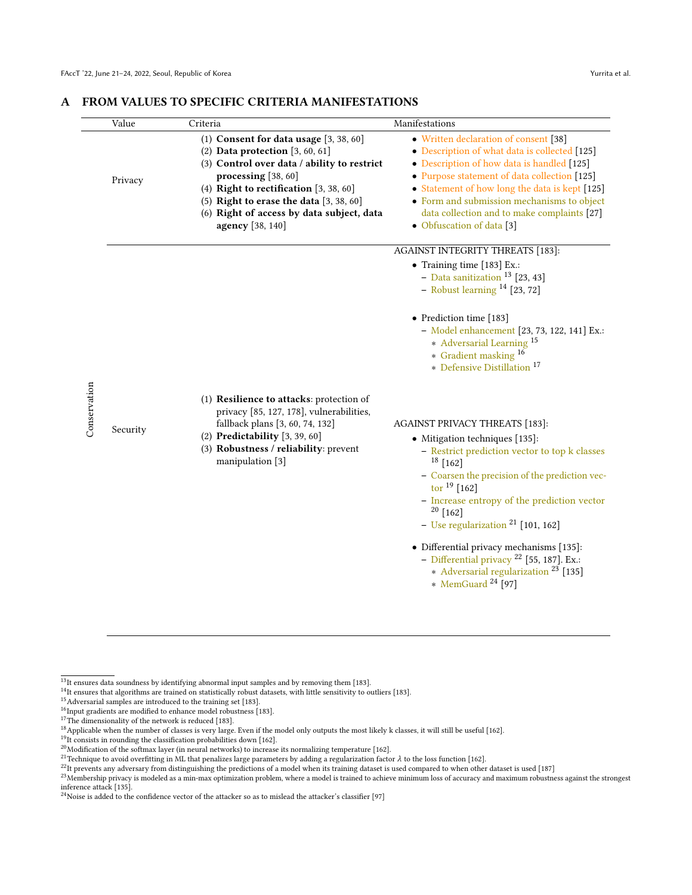| Value    | Criteria                                                                                                                                                                                                                                                                                                        | Manifestations                                                                                                                                                                                                                                                                                                                                                                                                                                                                                        |
|----------|-----------------------------------------------------------------------------------------------------------------------------------------------------------------------------------------------------------------------------------------------------------------------------------------------------------------|-------------------------------------------------------------------------------------------------------------------------------------------------------------------------------------------------------------------------------------------------------------------------------------------------------------------------------------------------------------------------------------------------------------------------------------------------------------------------------------------------------|
| Privacy  | (1) Consent for data usage $[3, 38, 60]$<br>(2) Data protection $[3, 60, 61]$<br>(3) Control over data / ability to restrict<br>processing [38, 60]<br>(4) Right to rectification $[3, 38, 60]$<br>$(5)$ Right to erase the data $[3, 38, 60]$<br>(6) Right of access by data subject, data<br>agency [38, 140] | • Written declaration of consent [38]<br>• Description of what data is collected [125]<br>• Description of how data is handled [125]<br>• Purpose statement of data collection [125]<br>• Statement of how long the data is kept [125]<br>• Form and submission mechanisms to object<br>data collection and to make complaints [27]<br>• Obfuscation of data [3]                                                                                                                                      |
|          |                                                                                                                                                                                                                                                                                                                 | AGAINST INTEGRITY THREATS [183]:<br>• Training time [183] Ex.:<br>- Data sanitization $^{13}$ [23, 43]                                                                                                                                                                                                                                                                                                                                                                                                |
|          |                                                                                                                                                                                                                                                                                                                 | • Prediction time [183]<br>- Model enhancement [23, 73, 122, 141] Ex.:<br>* Adversarial Learning <sup>15</sup><br>* Gradient masking <sup>16</sup><br>* Defensive Distillation 17                                                                                                                                                                                                                                                                                                                     |
| Security | (1) Resilience to attacks: protection of<br>privacy [85, 127, 178], vulnerabilities,<br>fallback plans [3, 60, 74, 132]<br>(2) Predictability $[3, 39, 60]$<br>(3) Robustness / reliability: prevent<br>manipulation [3]                                                                                        | <b>AGAINST PRIVACY THREATS [183]:</b><br>• Mitigation techniques [135]:<br>- Restrict prediction vector to top k classes<br>$18$ [162]<br>- Coarsen the precision of the prediction vec-<br>tor $19$ [162]<br>- Increase entropy of the prediction vector<br>$20$ [162]<br>- Use regularization $^{21}$ [101, 162]<br>• Differential privacy mechanisms [135]:<br>- Differential privacy $^{22}$ [55, 187]. Ex.:<br>* Adversarial regularization <sup>23</sup> [135]<br>* MemGuard <sup>24</sup> [97] |

# <span id="page-15-0"></span>A FROM VALUES TO SPECIFIC CRITERIA MANIFESTATIONS

- 14<sub>It</sub> ensures that algorithms are trained on statistically robust datasets, with little sensitivity to outliers [\[183\]](#page-14-5).
- <sup>15</sup>Adversarial samples are introduced to the training set [\[183\]](#page-14-5).
- $^{16}$ Input gradients are modified to enhance model robustness [\[183\]](#page-14-5).
- <sup>17</sup>The dimensionality of the network is reduced [\[183\]](#page-14-5).

- <sup>21</sup>Technique to avoid overfitting in ML that penalizes large parameters by adding a regularization factor λ to the loss function [\[162\]](#page-13-28).
- 22It prevents any adversary from distinguishing the predictions of a model when its training dataset is used compared to when other dataset is used [\[187\]](#page-14-8)

 $^{13}{\rm It}$  ensures data soundness by identifying abnormal input samples and by removing them [\[183\]](#page-14-5).

<sup>&</sup>lt;sup>18</sup>Applicable when the number of classes is very large. Even if the model only outputs the most likely k classes, it will still be useful [\[162\]](#page-13-28).

<sup>&</sup>lt;sup>19</sup>It consists in rounding the classification probabilities down [\[162\]](#page-13-28).

 $^{20}$ Modification of the softmax layer (in neural networks) to increase its normalizing temperature [\[162\]](#page-13-28).

<sup>23</sup> Membership privacy is modeled as a min-max optimization problem, where a model is trained to achieve minimum loss of accuracy and maximum robustness against the strongest inference attack [\[135\]](#page-13-27).

<sup>&</sup>lt;sup>24</sup>Noise is added to the confidence vector of the attacker so as to mislead the attacker's classifier [\[97\]](#page-12-16)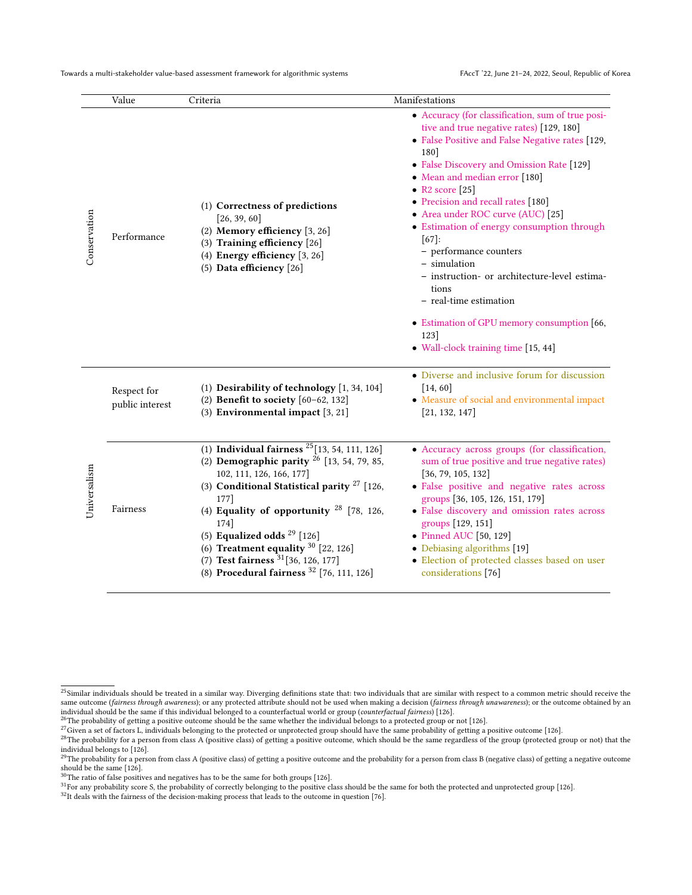|              | Value                          | Criteria                                                                                                                                                                                                                                                                                                                                                                                                                | Manifestations                                                                                                                                                                                                                                                                                                                                                                                                                                                                                                                                                                                                             |
|--------------|--------------------------------|-------------------------------------------------------------------------------------------------------------------------------------------------------------------------------------------------------------------------------------------------------------------------------------------------------------------------------------------------------------------------------------------------------------------------|----------------------------------------------------------------------------------------------------------------------------------------------------------------------------------------------------------------------------------------------------------------------------------------------------------------------------------------------------------------------------------------------------------------------------------------------------------------------------------------------------------------------------------------------------------------------------------------------------------------------------|
| Conservation | Performance                    | (1) Correctness of predictions<br>[26, 39, 60]<br>(2) Memory efficiency [3, 26]<br>(3) Training efficiency [26]<br>(4) Energy efficiency $[3, 26]$<br>(5) Data efficiency [26]                                                                                                                                                                                                                                          | • Accuracy (for classification, sum of true posi-<br>tive and true negative rates) [129, 180]<br>• False Positive and False Negative rates [129,<br>180<br>• False Discovery and Omission Rate [129]<br>• Mean and median error [180]<br>• R2 score $[25]$<br>• Precision and recall rates [180]<br>• Area under ROC curve (AUC) [25]<br>• Estimation of energy consumption through<br>$[67]$ :<br>- performance counters<br>- simulation<br>- instruction- or architecture-level estima-<br>tions<br>- real-time estimation<br>• Estimation of GPU memory consumption [66,<br>123]<br>• Wall-clock training time [15, 44] |
|              | Respect for<br>public interest | (1) Desirability of technology $[1, 34, 104]$<br>(2) Benefit to society $[60-62, 132]$<br>(3) Environmental impact [3, 21]                                                                                                                                                                                                                                                                                              | • Diverse and inclusive forum for discussion<br>[14, 60]<br>• Measure of social and environmental impact<br>[21, 132, 147]                                                                                                                                                                                                                                                                                                                                                                                                                                                                                                 |
| Universalism | Fairness                       | (1) Individual fairness $^{25}[13, 54, 111, 126]$<br>(2) Demographic parity $^{26}$ [13, 54, 79, 85,<br>102, 111, 126, 166, 177]<br>(3) Conditional Statistical parity $27$ [126,<br>177]<br>(4) Equality of opportunity $28$ [78, 126,<br>174]<br>(5) Equalized odds $^{29}$ [126]<br>(6) Treatment equality $30$ [22, 126]<br>(7) Test fairness $31$ [36, 126, 177]<br>(8) Procedural fairness $^{32}$ [76, 111, 126] | • Accuracy across groups (for classification,<br>sum of true positive and true negative rates)<br>[36, 79, 105, 132]<br>· False positive and negative rates across<br>groups [36, 105, 126, 151, 179]<br>· False discovery and omission rates across<br>groups [129, 151]<br>• Pinned AUC [50, 129]<br>• Debiasing algorithms [19]<br>• Election of protected classes based on user<br>considerations [76]                                                                                                                                                                                                                 |

<sup>32</sup>It deals with the fairness of the decision-making process that leads to the outcome in question [\[76\]](#page-11-42).

 $^{25}$ Similar individuals should be treated in a similar way. Diverging definitions state that: two individuals that are similar with respect to a common metric should receive the same outcome (fairness through awareness); or any protected attribute should not be used when making a decision (fairness through unawareness); or the outcome obtained by an individual should be the same if this individual belonged to a counterfactual world or group (*counterfactual fairness*) [\[126\]](#page-13-30).<br><sup>26</sup>The probability of getting a positive outcome should be the same whether the individual be

<sup>&</sup>lt;sup>27</sup>Given a set of factors L, individuals belonging to the protected or unprotected group should have the same probability of getting a positive outcome [\[126\]](#page-13-30).

<sup>&</sup>lt;sup>28</sup>The probability for a person from class A (positive class) of getting a positive outcome, which should be the same regardless of the group (protected group or not) that the individual belongs to [\[126\]](#page-13-30).

 $^{29}$ The probability for a person from class A (positive class) of getting a positive outcome and the probability for a person from class B (negative class) of getting a negative outcome should be the same [\[126\]](#page-13-30).

<sup>30</sup>The ratio of false positives and negatives has to be the same for both groups [\[126\]](#page-13-30).

<sup>&</sup>lt;sup>31</sup>For any probability score S, the probability of correctly belonging to the positive class should be the same for both the protected and unprotected group [\[126\]](#page-13-30).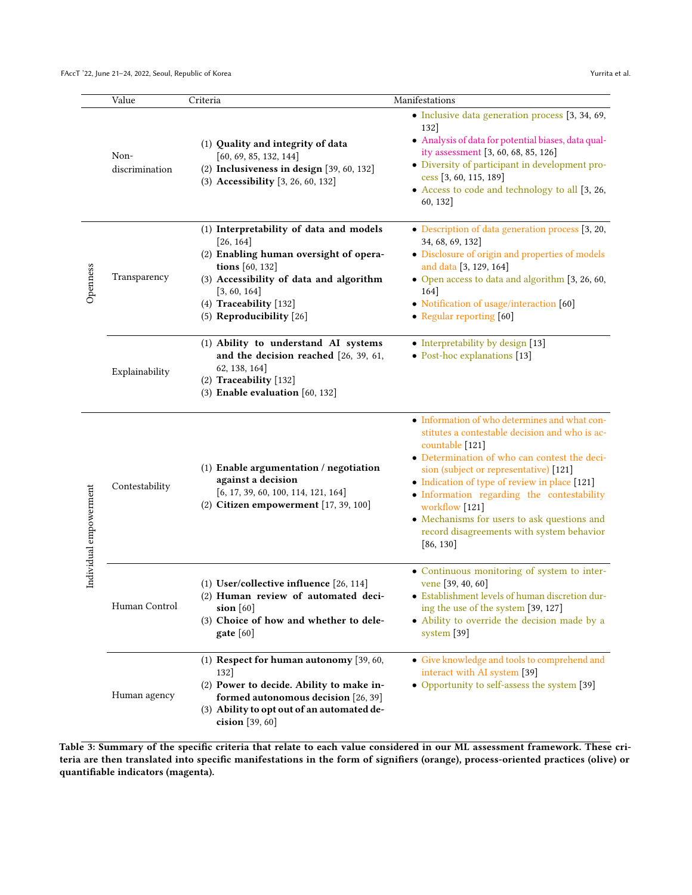|                        | Value                  | Criteria                                                                                                                                                                                                                           | Manifestations                                                                                                                                                                                                                                                                                                                                                                                                                                 |
|------------------------|------------------------|------------------------------------------------------------------------------------------------------------------------------------------------------------------------------------------------------------------------------------|------------------------------------------------------------------------------------------------------------------------------------------------------------------------------------------------------------------------------------------------------------------------------------------------------------------------------------------------------------------------------------------------------------------------------------------------|
|                        | Non-<br>discrimination | (1) Quality and integrity of data<br>[60, 69, 85, 132, 144]<br>$(2)$ Inclusiveness in design $[39, 60, 132]$<br>(3) Accessibility [3, 26, 60, 132]                                                                                 | · Inclusive data generation process [3, 34, 69,<br>132<br>· Analysis of data for potential biases, data qual-<br>ity assessment [3, 60, 68, 85, 126]<br>· Diversity of participant in development pro-<br>cess [3, 60, 115, 189]<br>• Access to code and technology to all [3, 26,<br>60, 132]                                                                                                                                                 |
| Openness               | Transparency           | (1) Interpretability of data and models<br>[26, 164]<br>(2) Enabling human oversight of opera-<br>tions [60, 132]<br>(3) Accessibility of data and algorithm<br>[3, 60, 164]<br>(4) Traceability [132]<br>(5) Reproducibility [26] | • Description of data generation process [3, 20,<br>34, 68, 69, 132]<br>• Disclosure of origin and properties of models<br>and data [3, 129, 164]<br>• Open access to data and algorithm [3, 26, 60,<br>164]<br>• Notification of usage/interaction [60]<br>• Regular reporting $[60]$                                                                                                                                                         |
|                        | Explainability         | (1) Ability to understand AI systems<br>and the decision reached [26, 39, 61,<br>62, 138, 164]<br>(2) Traceability [132]<br>$(3)$ Enable evaluation $[60, 132]$                                                                    | • Interpretability by design [13]<br>• Post-hoc explanations [13]                                                                                                                                                                                                                                                                                                                                                                              |
| Individual empowerment | Contestability         | (1) Enable argumentation / negotiation<br>against a decision<br>[6, 17, 39, 60, 100, 114, 121, 164]<br>(2) Citizen empowerment [17, 39, 100]                                                                                       | • Information of who determines and what con-<br>stitutes a contestable decision and who is ac-<br>countable [121]<br>· Determination of who can contest the deci-<br>sion (subject or representative) [121]<br>• Indication of type of review in place [121]<br>· Information regarding the contestability<br>workflow [121]<br>$\bullet$ Mechanisms for users to ask questions and<br>record disagreements with system behavior<br>[86, 130] |
|                        | Human Control          | (1) User/collective influence [26, 114]<br>(2) Human review of automated deci-<br>sion $[60]$<br>(3) Choice of how and whether to dele-<br>gate [60]                                                                               | • Continuous monitoring of system to inter-<br>vene [39, 40, 60]<br>• Establishment levels of human discretion dur-<br>ing the use of the system [39, 127]<br>• Ability to override the decision made by a<br>system $[39]$                                                                                                                                                                                                                    |
|                        | Human agency           | (1) Respect for human autonomy $[39, 60, 60]$<br>132<br>(2) Power to decide. Ability to make in-<br>formed autonomous decision [26, 39]<br>(3) Ability to opt out of an automated de-<br>cision [39, 60]                           | • Give knowledge and tools to comprehend and<br>interact with AI system [39]<br>• Opportunity to self-assess the system [39]                                                                                                                                                                                                                                                                                                                   |

Table 3: Summary of the specific criteria that relate to each value considered in our ML assessment framework. These criteria are then translated into specific manifestations in the form of signifiers (orange), process-oriented practices (olive) or quantifiable indicators (magenta).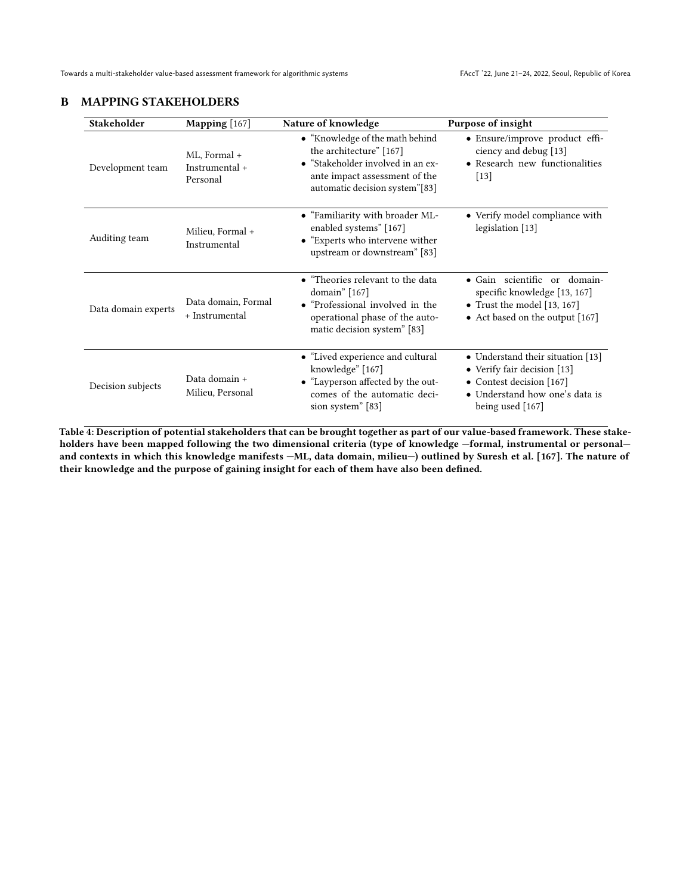<span id="page-18-0"></span>

| <b>Stakeholder</b>  | Mapping [167]                              | Nature of knowledge                                                                                                                                                | Purpose of insight                                                                                                                                 |
|---------------------|--------------------------------------------|--------------------------------------------------------------------------------------------------------------------------------------------------------------------|----------------------------------------------------------------------------------------------------------------------------------------------------|
| Development team    | ML, Formal +<br>Instrumental +<br>Personal | • "Knowledge of the math behind<br>the architecture" [167]<br>• "Stakeholder involved in an ex-<br>ante impact assessment of the<br>automatic decision system"[83] | • Ensure/improve product effi-<br>ciency and debug [13]<br>• Research new functionalities<br>$[13]$                                                |
| Auditing team       | Milieu, Formal +<br>Instrumental           | • "Familiarity with broader ML-<br>enabled systems" [167]<br>• "Experts who intervene wither<br>upstream or downstream" [83]                                       | • Verify model compliance with<br>legislation [13]                                                                                                 |
| Data domain experts | Data domain, Formal<br>+ Instrumental      | • "Theories relevant to the data<br>domain" $[167]$<br>• "Professional involved in the<br>operational phase of the auto-<br>matic decision system" [83]            | • Gain scientific or domain-<br>specific knowledge [13, 167]<br>• Trust the model $[13, 167]$<br>• Act based on the output [167]                   |
| Decision subjects   | Data domain +<br>Milieu, Personal          | • "Lived experience and cultural<br>knowledge" [167]<br>• "Layperson affected by the out-<br>comes of the automatic deci-<br>sion system" [83]                     | • Understand their situation [13]<br>• Verify fair decision [13]<br>• Contest decision [167]<br>• Understand how one's data is<br>being used [167] |

Table 4: Description of potential stakeholders that can be brought together as part of our value-based framework. These stakeholders have been mapped following the two dimensional criteria (type of knowledge —formal, instrumental or personal and contexts in which this knowledge manifests —ML, data domain, milieu—) outlined by Suresh et al. [\[167\]](#page-13-33). The nature of their knowledge and the purpose of gaining insight for each of them have also been defined.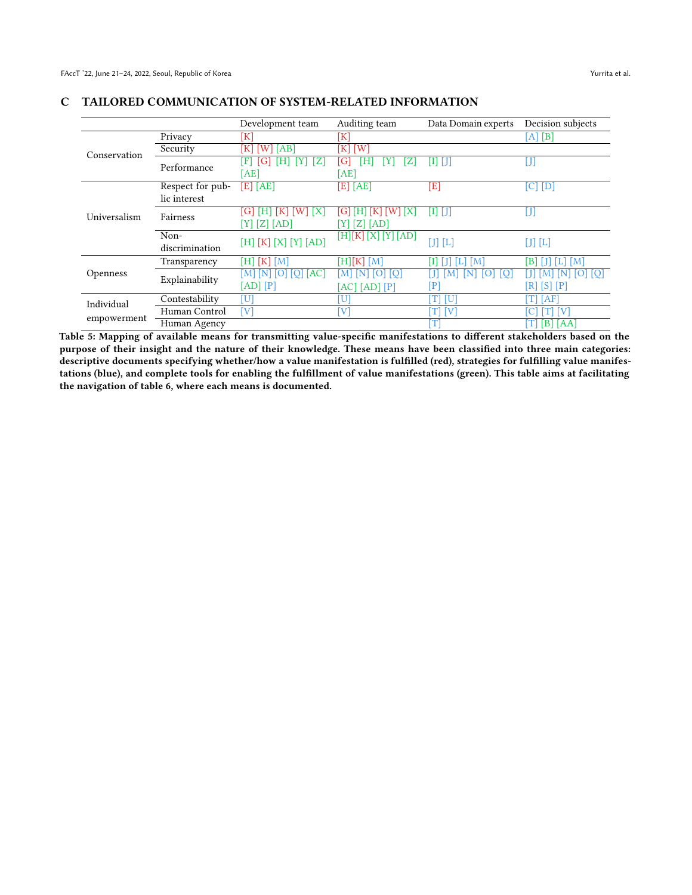|              |                        | Development team                                 | Auditing team                        | Data Domain experts | Decision subjects        |
|--------------|------------------------|--------------------------------------------------|--------------------------------------|---------------------|--------------------------|
|              | Privacy                | $[\mathrm{K}]$                                   | $[\mathrm{K}]$                       |                     | [A] [B]                  |
| Conservation | Security               | $\lceil W \rceil$<br>[AB]<br>K                   | ΪK<br>$\lceil W \rceil$              |                     |                          |
|              | Performance            | Z<br>H<br>F<br>[AE]                              | Ή<br>G<br>Z<br>[AE]                  | Π<br>- I T          | $\left[ \text{J}\right]$ |
|              | Respect for pub-       | $[E]$ [AE]                                       | [E] [AE]                             | $\bm{\Xi}$          | $[C]$ $[D]$              |
|              | lic interest           |                                                  |                                      |                     |                          |
| Universalism | Fairness               | [G]<br>ΙH<br> K <br> X <br>W<br>$[Z]$ [AD]<br>YJ | Gl<br>H<br>(1K)<br>IXI<br>$Z$ $[AD]$ | $[1]$ $[$ $]$       | J                        |
|              | Non-<br>discrimination | $[H] [K] [X] [Y] [AD]$                           | [H][K] [X] [Y] [AD]                  | $[J] [L]$           | $[J] [L]$                |
|              | Transparency           | [H]<br> K <br>[M]                                | [H][K][M]                            | M                   | [M]<br>B                 |
| Openness     | Explainability         | [AC]<br>IMI<br>IΝ                                | ſО<br>M                              |                     | [O]                      |
|              |                        | [AD]<br>[P]                                      | [AC] [AD] [P]                        | P                   | [S]<br>$\mathbb{P}$<br>R |
| Individual   | Contestability         | $\left[ \mathrm{U}\right]$                       | U                                    | T<br>[U]            | [AF]                     |
|              | Human Control          | [V]                                              | V                                    | $[T]$ $[V]$         | V                        |
| empowerment  | Human Agency           |                                                  |                                      | т                   | [B] [AA]<br>T            |

# <span id="page-19-1"></span><span id="page-19-0"></span>C TAILORED COMMUNICATION OF SYSTEM-RELATED INFORMATION

Table 5: Mapping of available means for transmitting value-specific manifestations to different stakeholders based on the purpose of their insight and the nature of their knowledge. These means have been classified into three main categories: descriptive documents specifying whether/how a value manifestation is fulfilled (red), strategies for fulfilling value manifestations (blue), and complete tools for enabling the fulfillment of value manifestations (green). This table aims at facilitating the navigation of table [6,](#page-20-0) where each means is documented.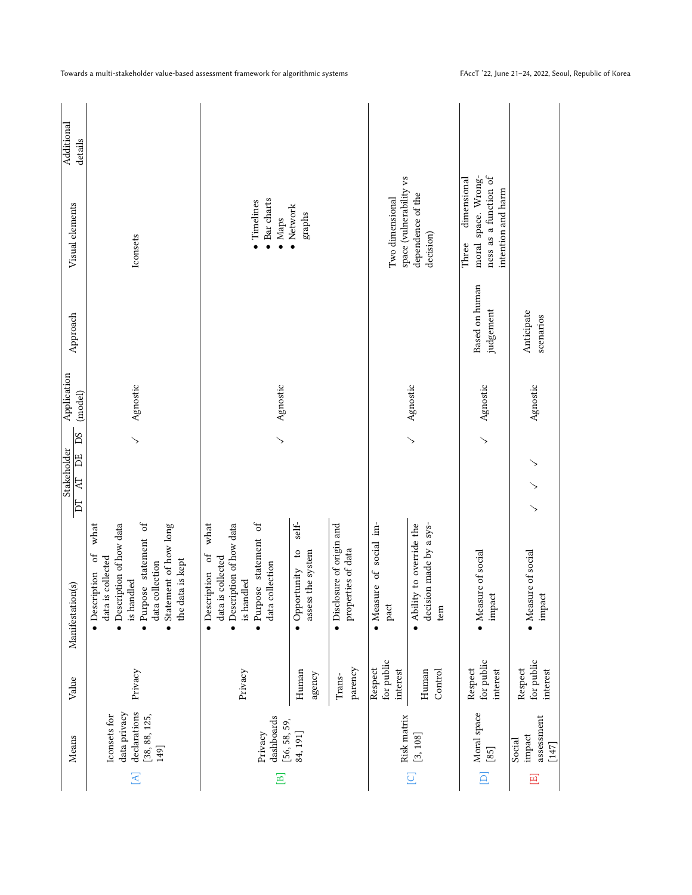<span id="page-20-0"></span>

|                   | Means                                                                 | Value                             | Manifestation(s)                                                                                                                                                                   | DS<br>Stakeholder<br>DE<br><b>AT</b><br>$\overline{\mathbb{Z}}$ | Application<br>(model) | Approach                    | Visual elements                                                                            | Additional<br>details |
|-------------------|-----------------------------------------------------------------------|-----------------------------------|------------------------------------------------------------------------------------------------------------------------------------------------------------------------------------|-----------------------------------------------------------------|------------------------|-----------------------------|--------------------------------------------------------------------------------------------|-----------------------|
| $\overline{A}$    | data privacy<br>declarations<br>Iconsets for<br>[38, 88, 125,<br>149] | Privacy                           | · Purpose statement of<br>what<br>· Description of how data<br>Statement of how long<br>· Description of<br>data is collected<br>the data is kept<br>data collection<br>is handled | $\overline{\phantom{0}}$                                        | Agnostic               |                             | Iconsets                                                                                   |                       |
| 亘                 | dashboards<br>[56, 58, 59,<br>Privacy                                 | Privacy                           | what<br>Description of how data<br>Purpose statement of<br>ð<br>data is collected<br>$\operatorname{collection}$<br>• Description<br>is handled<br>data                            |                                                                 | Agnostic               |                             | Bar charts<br>· Timelines<br>Maps<br>$\bullet$                                             |                       |
|                   | 84, 191]                                                              | Human<br>agency                   | self-<br>• Opportunity to<br>assess the system                                                                                                                                     |                                                                 |                        |                             | • Network<br>graphs                                                                        |                       |
|                   |                                                                       | parency<br>Trans-                 | • Disclosure of origin and<br>properties of data                                                                                                                                   |                                                                 |                        |                             |                                                                                            |                       |
|                   | Risk matrix                                                           | for public<br>Respect<br>interest | • Measure of social im-<br>$_{\rm part}$                                                                                                                                           |                                                                 |                        |                             | space (vulnerability vs<br>Two dimensional                                                 |                       |
| $\overline{C}$    | [3, 108]                                                              | Control<br>Human                  | $\bullet$ Ability to override the<br>decision made by a sys-<br>tem                                                                                                                | $\searrow$                                                      | Agnostic               |                             | dependence of the<br>decision)                                                             |                       |
| $\boxed{\square}$ | Moral space<br>$[85]$                                                 | for public<br>Respect<br>interest | • Measure of social<br>impact                                                                                                                                                      |                                                                 | Agnostic               | Based on human<br>judgement | moral space. Wrong-<br>ness as a function of<br>dimensional<br>intention and harm<br>Three |                       |
| $\Xi$             | assessment<br>impact<br>Social<br>$[147]$                             | for public<br>Respect<br>interest | • Measure of social<br>impact                                                                                                                                                      | $\rightarrow$<br>$\searrow$                                     | Agnostic               | Anticipate<br>scenarios     |                                                                                            |                       |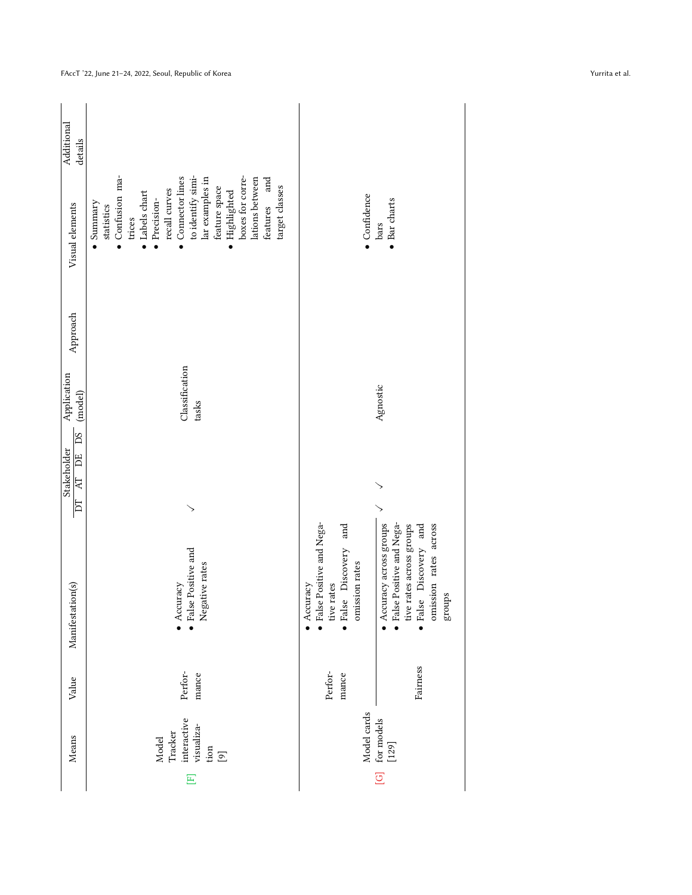| Additional<br>details                       | and                                                                                                                                                                                                                                                               |                                                                                                                                                                                                                                                                      |
|---------------------------------------------|-------------------------------------------------------------------------------------------------------------------------------------------------------------------------------------------------------------------------------------------------------------------|----------------------------------------------------------------------------------------------------------------------------------------------------------------------------------------------------------------------------------------------------------------------|
| Visual elements                             | • Confusion ma-<br>to identify simi-<br>boxes for corre-<br>Connector lines<br>lar examples in<br>lations between<br>target classes<br>feature space<br>recall curves<br>Labels chart<br>Highlighted<br>Precision-<br>features<br>Summary<br>statistics<br>trices | · Confidence<br>• Bar charts<br>bars                                                                                                                                                                                                                                 |
| Approach                                    |                                                                                                                                                                                                                                                                   |                                                                                                                                                                                                                                                                      |
| Application<br>(model)                      | Classification<br>tasks                                                                                                                                                                                                                                           | Agnostic                                                                                                                                                                                                                                                             |
| <b>PS</b><br>Stakeholder<br>Ë<br>R          |                                                                                                                                                                                                                                                                   |                                                                                                                                                                                                                                                                      |
| $\overline{\mathbf{D}}$<br>Manifestation(s) | $\bullet$ False Positive and<br>Negative rates<br>$\bullet$ Accuracy                                                                                                                                                                                              | $\bullet$ False Positive and Nega-<br>· False Positive and Nega-<br>and<br>tive rates across groups<br>· False Discovery and<br>omission rates across<br>Accuracy across groups<br>· False Discovery<br>omission rates<br>tive rates<br>$\bullet$ Accuracy<br>groups |
| Value                                       | Perfor-<br>mance                                                                                                                                                                                                                                                  | Fairness<br>Perfor-<br>mance                                                                                                                                                                                                                                         |
| Means                                       | interactive<br>visualiza-<br>Tracker<br>Model<br>$\lim_{\left[\mathcal{O}\right]}$                                                                                                                                                                                | Model cards<br>[G] for models<br>[129]                                                                                                                                                                                                                               |
|                                             | $\overline{E}$                                                                                                                                                                                                                                                    |                                                                                                                                                                                                                                                                      |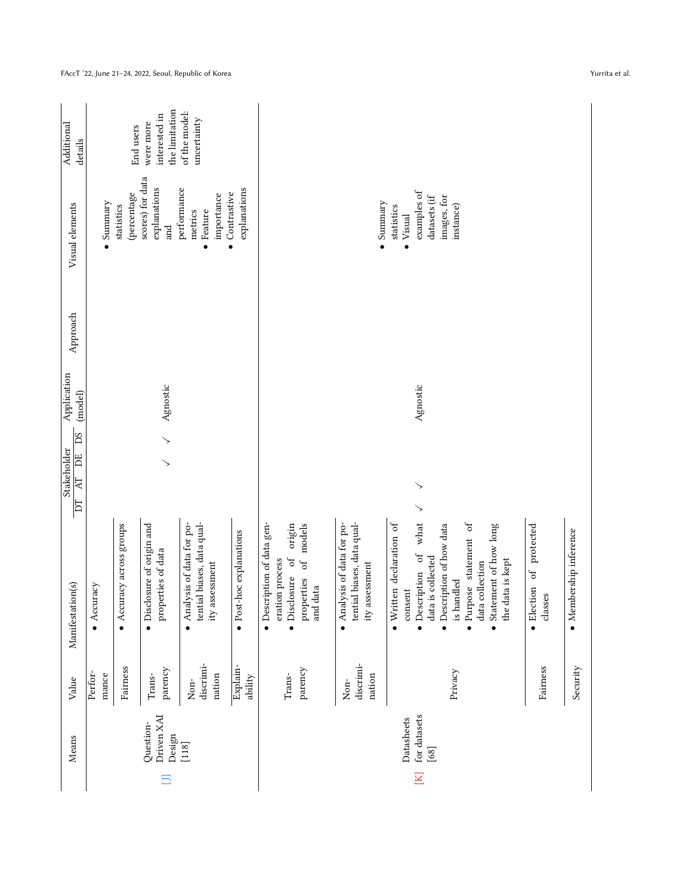| Additional<br>details                   |                   | End users                 | the limitation<br>interested in<br>were more     | of the model:<br>uncertainty                                                  |                                       |                                                                                                                      |                                                                               |                                                                                                                                                                                                                                                                                                        |                        |
|-----------------------------------------|-------------------|---------------------------|--------------------------------------------------|-------------------------------------------------------------------------------|---------------------------------------|----------------------------------------------------------------------------------------------------------------------|-------------------------------------------------------------------------------|--------------------------------------------------------------------------------------------------------------------------------------------------------------------------------------------------------------------------------------------------------------------------------------------------------|------------------------|
| Visual elements                         | $\bullet$ Summary | (percentage<br>statistics | scores) for data<br>explanations<br>$_{\rm and}$ | performance<br>importance<br>Feature<br>metrics<br>$\bullet$                  | explanations<br>$\bullet$ Contrastive |                                                                                                                      | Summary                                                                       | examples of<br>images, for<br>datasets (if<br>instance)<br>statistics<br>Visual                                                                                                                                                                                                                        |                        |
| Approach                                |                   |                           |                                                  |                                                                               |                                       |                                                                                                                      |                                                                               |                                                                                                                                                                                                                                                                                                        |                        |
| Application<br>(model)                  |                   |                           | Agnostic                                         |                                                                               |                                       |                                                                                                                      |                                                                               | Agnostic                                                                                                                                                                                                                                                                                               |                        |
| <b>PS</b><br>Stakeholder<br>DE<br>$\Xi$ |                   |                           | ↘                                                |                                                                               |                                       |                                                                                                                      |                                                                               | ↘                                                                                                                                                                                                                                                                                                      |                        |
| E<br>Manifestation(s)                   | Accuracy          | • Accuracy across groups  | • Disclosure of origin and<br>properties of data | tential biases, data qual-<br>• Analysis of data for po-<br>assessment<br>ity | · Post-hoc explanations               | • Description of data gen-<br>origin<br>of models<br>· Disclosure of<br>eration process<br>properties<br>data<br>and | tential biases, data qual-<br>• Analysis of data for po-<br>assessment<br>ity | $\searrow$<br>what<br>• Written declaration of<br>· Purpose statement of<br>· Description of how data<br>protected<br>Statement of how long<br>• Description of<br>data is collected<br>the data is kept<br>data collection<br>$\sigma$<br>is handled<br>• Election<br>consent<br>classes<br>$\bullet$ | · Membership inference |
| Value                                   | Perfor-<br>mance  | Fairness                  | parency<br>Trans-                                | discrimi-<br>nation<br>Non-                                                   | Explain-<br>ability                   | parency<br>Trans-                                                                                                    | discrimi-<br>nation<br>$\mbox{Non}$                                           | Fairness<br>Privacy                                                                                                                                                                                                                                                                                    | Security               |
| Means                                   |                   |                           | Driven XAI<br>Question-<br>Design<br>$\Box$      | $[118]$                                                                       |                                       |                                                                                                                      |                                                                               | for datasets<br>Datasheets<br>$[68]$<br>$\mathbb K$                                                                                                                                                                                                                                                    |                        |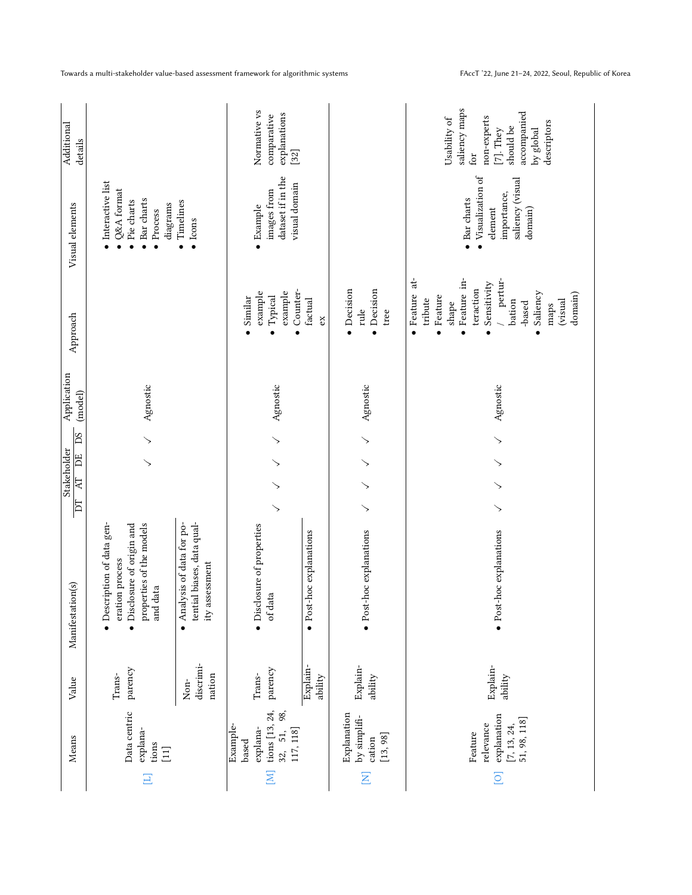|                         | Means                                                                            | Value                         | Manifestation(s)                                                                                                    | $\overline{D}$ | Stakeholder<br>Ë<br>$\mathbb{R}$ | DS         | Application<br>(model) | Approach                                                                                                                                                                     | Visual elements                                                                                           | Additional<br>details                                                                                                       |
|-------------------------|----------------------------------------------------------------------------------|-------------------------------|---------------------------------------------------------------------------------------------------------------------|----------------|----------------------------------|------------|------------------------|------------------------------------------------------------------------------------------------------------------------------------------------------------------------------|-----------------------------------------------------------------------------------------------------------|-----------------------------------------------------------------------------------------------------------------------------|
| Ξ                       | Data centric<br>explana-<br>tions<br>$[11]$                                      | parency<br>Trans-             | · Description of data gen-<br>• Disclosure of origin and<br>properties of the models<br>eration process<br>and data |                | ↘                                | $\searrow$ | Agnostic               |                                                                                                                                                                              | $\bullet$ Interactive list<br>Q&A format<br>• Bar charts<br>• Pie charts<br>diagrams<br>$\bullet$ Process |                                                                                                                             |
|                         |                                                                                  | discrimi-<br>nation<br>$Non-$ | tential biases, data qual-<br>• Analysis of data for po-<br>ity assessment                                          |                |                                  |            |                        |                                                                                                                                                                              | Timelines<br>$\bullet$ Icons                                                                              |                                                                                                                             |
| $\overline{\Xi}$        | tions $[13, 24,$<br>98,<br>Example-<br>explana-<br>32, 51,<br>117, 118]<br>based | parency<br>Trans-             | • Disclosure of properties<br>of data                                                                               | $\searrow$     | ↘<br>↘                           | $\searrow$ | Agnostic               | Counter-<br>example<br>example<br>Typical<br>Similar                                                                                                                         | dataset if in the<br>visual domain<br>images from<br>$\bullet$ Example                                    | Normative vs<br>explanations<br>comparative<br>$[32]$                                                                       |
|                         |                                                                                  | Explain-<br>ability           | • Post-hoc explanations                                                                                             |                |                                  |            |                        | factual<br>ex                                                                                                                                                                |                                                                                                           |                                                                                                                             |
| $\overline{\mathsf{z}}$ | Explanation<br>by simplifi-<br>[13, 98]<br>cation                                | Explain-<br>ability           | · Post-hoc explanations                                                                                             | $\searrow$     | ↘<br>↘                           | ↘          | Agnostic               | Decision<br>$\bullet$ Decision<br>rule<br>tree                                                                                                                               |                                                                                                           |                                                                                                                             |
| $\overline{\circ}$      | explanation<br>51, 98, 118]<br>relevance<br>$[7, 13, 24,$<br>Feature             | Explain-<br>ability           | · Post-hoc explanations                                                                                             | $\searrow$     | $\searrow$<br>$\searrow$         | $\searrow$ | Agnostic               | · Feature at-<br>Feature in-<br>pertur-<br>Sensitivity<br>teraction<br>Saliency<br>domain)<br>Feature<br>tribute<br>bation<br>(visual<br>$_{\mbox{shape}}$<br>-based<br>maps | Visualization of<br>saliency (visual<br>importance,<br>• Bar charts<br>element<br>domain)                 | saliency maps<br>accompanied<br>non-experts<br>Usability of<br>descriptors<br>should be<br>$[7]$ . They<br>by global<br>for |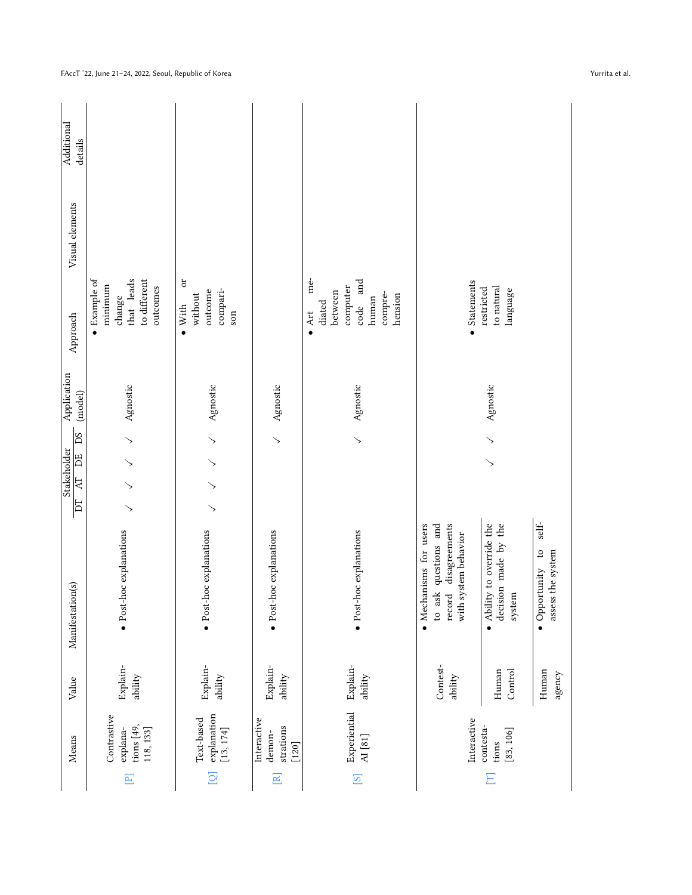|                         | Means                                                | Value               | Manifestation(s)                                                                               | Stakeholder<br>$\Xi$<br>E | <b>DS</b><br>DE             | Application<br>(model) | Approach                                                                                            | Visual elements | Additional<br>details |
|-------------------------|------------------------------------------------------|---------------------|------------------------------------------------------------------------------------------------|---------------------------|-----------------------------|------------------------|-----------------------------------------------------------------------------------------------------|-----------------|-----------------------|
| $\Xi$                   | Contrastive<br>tions $[49,$<br>118, 133]<br>explana- | Explain-<br>ability | · Post-hoc explanations                                                                        | ↘<br>↘                    | $\searrow$<br>$\gt$         | Agnostic               | Example of<br>that leads<br>to different<br>minimum<br>outcomes<br>change<br>$\bullet$              |                 |                       |
| $\overline{Q}$          | explanation<br>Text-based<br>[13, 174]               | Explain-<br>ability | · Post-hoc explanations                                                                        | $\searrow$<br>$\searrow$  | $\searrow$<br>$\rightarrow$ | Agnostic               | ðr<br>compari-<br>outcome<br>without<br>$\bullet$ With<br>son                                       |                 |                       |
| $\Xi$                   | Interactive<br>strations<br>demon-<br>$[120]$        | Explain-<br>ability | · Post-hoc explanations                                                                        |                           | ↘                           | Agnostic               |                                                                                                     |                 |                       |
| $\overline{\mathbb{S}}$ | Experiential<br>AI[81]                               | Explain-<br>ability | · Post-hoc explanations                                                                        |                           | ↘                           | Agnostic               | me-<br>and<br>computer<br>between<br>compre-<br>hension<br>human<br>diated<br>code<br>$\bullet$ Art |                 |                       |
|                         | Interactive                                          | Contest-<br>ability | to ask questions and<br>record disagreements<br>• Mechanisms for users<br>with system behavior |                           |                             |                        | • Statements                                                                                        |                 |                       |
| Ξ                       | contesta-<br>[83, 106]<br>tions                      | Control<br>Human    | • Ability to override the<br>decision made by the<br>system                                    |                           | ↘<br>↘                      | Agnostic               | to natural<br>restricted<br>language                                                                |                 |                       |
|                         |                                                      | Human<br>agency     | self-<br>• Opportunity to<br>assess the system                                                 |                           |                             |                        |                                                                                                     |                 |                       |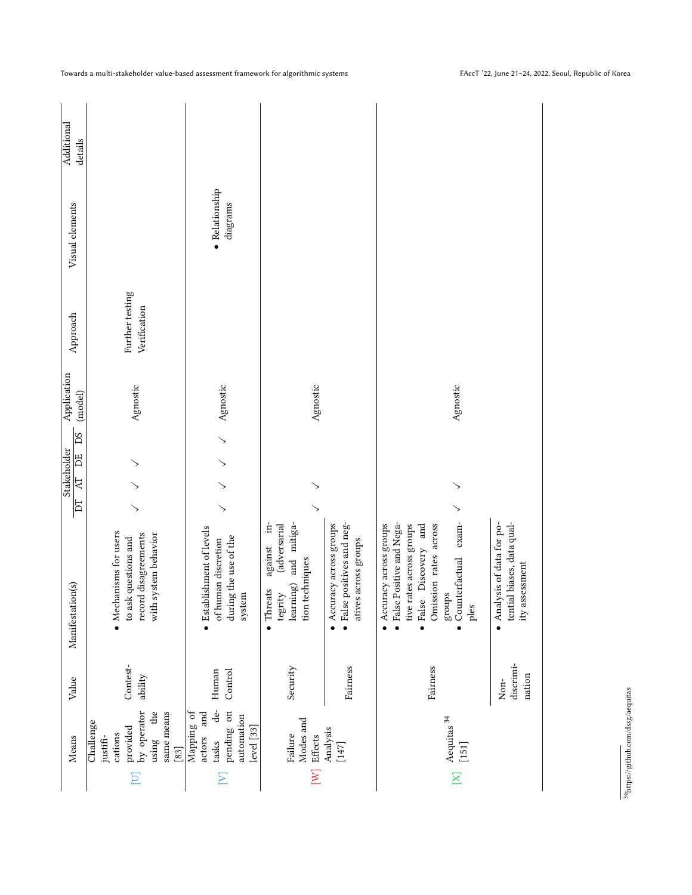|                       | Means                                                                                                      | Value                         | Manifestation(s)                                                                                                                                                                                  | $\overline{\rm{h}}$ | DS<br>Stakeholder<br>DE<br>$\mathbb{R}$ | Application<br>(model) | Approach                        | Visual elements            | Additional<br>details |
|-----------------------|------------------------------------------------------------------------------------------------------------|-------------------------------|---------------------------------------------------------------------------------------------------------------------------------------------------------------------------------------------------|---------------------|-----------------------------------------|------------------------|---------------------------------|----------------------------|-----------------------|
| E                     | by operator<br>same means<br>$\mathbf{d}$<br>Challenge<br>provided<br>cations<br>using<br>justifi-<br>[83] | Contest-<br>ability           | • Mechanisms for users<br>with system behavior<br>record disagreements<br>to ask questions and                                                                                                    | ↘                   |                                         | Agnostic               | Further testing<br>Verification |                            |                       |
| Σ                     | de-<br>pending on<br>Mapping of<br>and<br>automation<br>level [33]<br>actors<br>tasks                      | Control<br>Human              | • Establishment of levels<br>during the use of the<br>of human discretion<br>system                                                                                                               | ↘                   | ↘                                       | Agnostic               |                                 | • Relationship<br>diagrams |                       |
| $\sum$                | Modes and<br>Failure<br>Effects                                                                            | Security                      | $\dot{H}$<br>and mitiga-<br>(adversarial<br>against<br>tion techniques<br>learning)<br>$\bullet$ Threats<br>tegrity                                                                               | ↘                   |                                         | Agnostic               |                                 |                            |                       |
|                       | Analysis<br>$[147]$                                                                                        | Fairness                      | $\bullet$ False positives and neg-<br>Accuracy across groups<br>atives across groups                                                                                                              |                     |                                         |                        |                                 |                            |                       |
| $\overline{\text{K}}$ | Aequitas $^{\rm 34}$<br>$[151]$                                                                            | Fairness                      | • False Positive and Nega-<br>exam-<br>tive rates across groups<br>• Accuracy across groups<br>False Discovery and<br>Omission rates across<br>Counterfactual<br>groups<br>ples<br>$\bullet$<br>ė | ↘                   |                                         | Agnostic               |                                 |                            |                       |
|                       |                                                                                                            | discrimi-<br>nation<br>$Non-$ | tential biases, data qual-<br>• Analysis of data for po-<br>assessment<br>ity                                                                                                                     |                     |                                         |                        |                                 |                            |                       |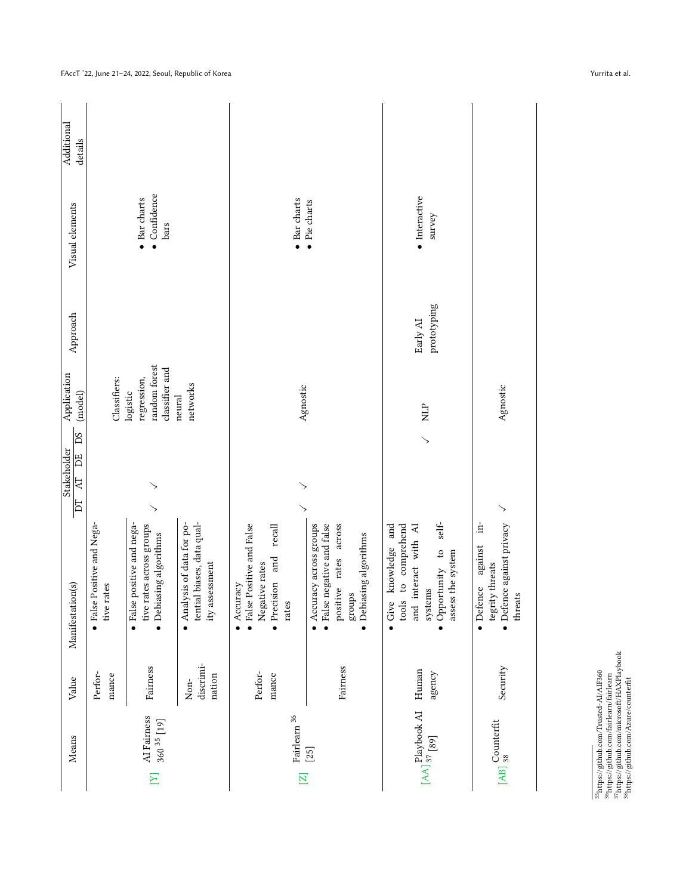| Means                                      | Value                       | Manifestation(s)                                                                                                                                     | <b>DS</b><br>Stakeholder<br>Ë<br>R<br>DT | Application<br>(model)                                     | Approach                | Visual elements                              | Additional<br>details |
|--------------------------------------------|-----------------------------|------------------------------------------------------------------------------------------------------------------------------------------------------|------------------------------------------|------------------------------------------------------------|-------------------------|----------------------------------------------|-----------------------|
|                                            | Perfor-<br>mance            | • False Positive and Nega-<br>tive rates                                                                                                             |                                          | Classifiers:                                               |                         |                                              |                       |
| AI Fairness<br>$360^{35}$ [19]<br>$\Xi$    | Fairness                    | False positive and nega-<br>tive rates across groups<br>$\bullet$ Debiasing algorithms<br>$\bullet$                                                  | ↘                                        | random forest<br>classifier and<br>regression,<br>logistic |                         | $\bullet$ Confidence<br>• Bar charts<br>bars |                       |
|                                            | discrimi-<br>nation<br>Non- | Analysis of data for po-<br>tential biases, data qual-<br>ity assessment<br>$\bullet$                                                                |                                          | networks<br>neural                                         |                         |                                              |                       |
| Fairlearn $^{36}\,$<br>$\overline{\Xi}$    | Perfor-<br>mance            | • False Positive and False<br>$_{\rm{recall}}$<br>· Precision and<br>Negative rates<br>Accuracy<br>rates                                             | ↘                                        | Agnostic                                                   |                         | • Bar charts                                 |                       |
| $[25]$                                     | Fairness                    | $\bullet$ False negative and false<br>positive rates across<br>Accuracy across groups<br>Debiasing algorithms<br>groups<br>$\bullet$                 |                                          |                                                            |                         | • Pie charts                                 |                       |
| [AA] 37 [89]<br>[AA] 37 [89]               | Human<br>agency             | self-<br>knowledge and<br>to comprehend<br>interact with AI<br>· Opportunity to<br>assess the system<br>systems<br>tools<br>Give<br>and<br>$\bullet$ | $\searrow$                               | $\overline{H}$                                             | prototyping<br>Early AI | $\bullet$ Interactive<br>survey              |                       |
| $_{\rm [AB]}$ $_{\rm 38}^{\rm Counterfit}$ | Security                    | $\frac{1}{2}$<br>$\bullet$ Defence against privacy<br>against<br>tegrity threats<br>· Defence<br>threats                                             | ↘                                        | Agnostic                                                   |                         |                                              |                       |
|                                            |                             |                                                                                                                                                      |                                          |                                                            |                         |                                              |                       |

FAccT '22, June 21–24, 2022, Seoul, Republic of Korea Yurrita et al.

 $^{35}\mathrm{htps.}//github.com/Trusted-AI/AF360$   $^{36}\mathrm{htps.}/github.com/fairlearn/fairedman/37htps.}/github.com/microsoftHAZPhybook$   $^{38}\mathrm{htps.}/github.com/Axuc/counterft$